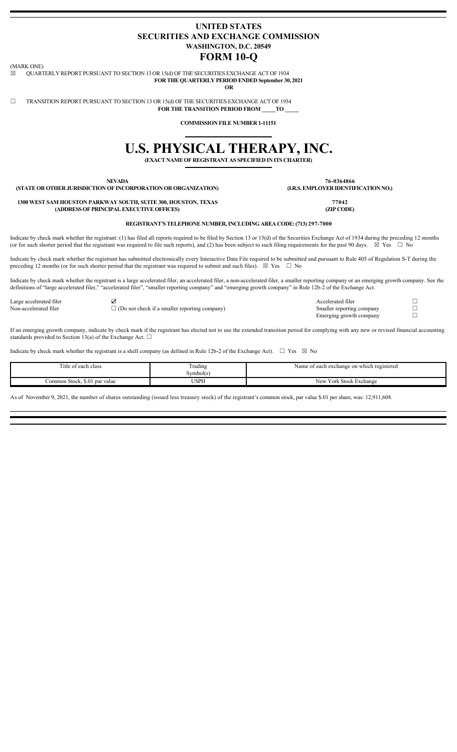# **UNITED STATES SECURITIES AND EXCHANGE COMMISSION WASHINGTON, D.C. 20549 FORM 10-Q**

(MARK ONE)

 $\overline{\boxtimes}$  QUARTERLY REPORT PURSUANT TO SECTION 13 OR 15(d) OF THE SECURITIES EXCHANGE ACT OF 1934 **FOR THE QUARTERLY PERIOD ENDED September 30, 2021**

 **OR**

☐ TRANSITION REPORT PURSUANT TO SECTION 13 OR 15(d) OF THE SECURITIES EXCHANGE ACT OF 1934 FOR THE TRANSITION PERIOD FROM **TO** 

**COMMISSION FILE NUMBER 1-11151**

# **U.S. PHYSICAL THERAPY, INC.**

**(EXACT NAME OF REGISTRANT AS SPECIFIED IN ITS CHARTER)**

**NEVADA 76-0364866**<br> **1991 (I.R.S. EMPLOYER IDENTIFICATION NO.)**<br> **1992 (I.R.S. EMPLOYER IDENTIFICATION NO.)** 

**(STATE OR OTHER JURISDICTION OF INCORPORATION OR ORGANIZATION) 1300 WEST SAM HOUSTON PARKWAY SOUTH, SUITE 300, HOUSTON, TEXAS 77042**

**(ADDRESS OF PRINCIPAL EXECUTIVE OFFICES) (ZIP CODE)**

### **REGISTRANT'S TELEPHONE NUMBER, INCLUDING AREA CODE: (713) 297-7000**

Indicate by check mark whether the registrant: (1) has filed all reports required to be filed by Section 13 or 15(d) of the Securities Exchange Act of 1934 during the preceding 12 months (or for such shorter period that the registrant was required to file such reports), and (2) has been subject to such filing requirements for the past 90 days.  $\boxtimes$  Yes  $\Box$  No

Indicate by check mark whether the registrant has submitted electronically every Interactive Data File required to be submitted and pursuant to Rule 405 of Regulation S-T during the preceding 12 months (or for such shorter period that the registrant was required to submit and such files).  $\boxtimes$  Yes  $\Box$  No

Indicate by check mark whether the registrant is a large accelerated filer, an accelerated filer, a non-accelerated filer, a smaller reporting company or an emerging growth company. See the definitions of "large accelerated filer," "accelerated filer", "smaller reporting company" and "emerging growth company" in Rule 12b-2 of the Exchange Act.

Large accelerated filer ☑ Accelerated filer ☐  $\Box$  (Do not check if a smaller reporting company) Smaller reporting company  $\Box$ <br>Finerging growth company

Emerging growth company

If an emerging growth company, indicate by check mark if the registrant has elected not to use the extended transition period for complying with any new or revised financial accounting standards provided to Section 13(a) of the Exchange Act.  $\square$ 

Indicate by check mark whether the registrant is a shell company (as defined in Rule 12b-2 of the Exchange Act).  $\Box$  Yes  $\boxtimes$  No

| Title of<br>t each class                      | m<br>i rading<br>Sumbol(s) | Name of each exchange on which registered |
|-----------------------------------------------|----------------------------|-------------------------------------------|
| <b>S.O1</b><br>⊆ommon Stock. .<br>. par value | USPH                       | / York Stock Exchange<br>New              |

As of November 9, 2021, the number of shares outstanding (issued less treasury stock) of the registrant's common stock, par value \$.01 per share, was: 12,911,608.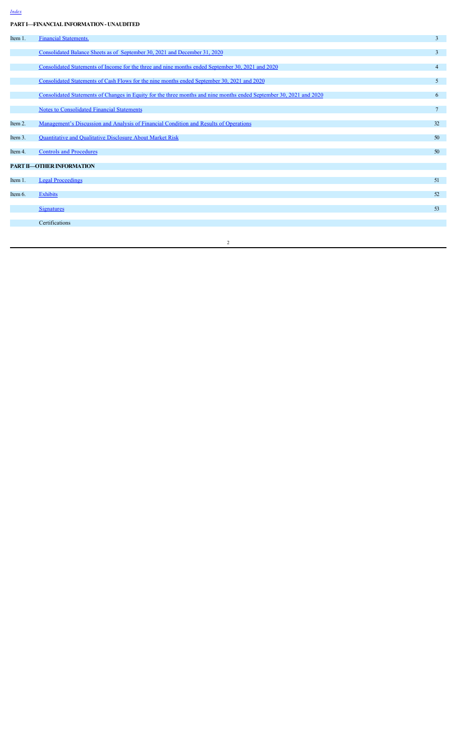### <span id="page-1-0"></span>**PART I—FINANCIAL INFORMATION - UNAUDITED**

| Item 1. | <b>Financial Statements.</b>                                                                                        | $\mathbf{3}$   |
|---------|---------------------------------------------------------------------------------------------------------------------|----------------|
|         |                                                                                                                     |                |
|         | Consolidated Balance Sheets as of September 30, 2021 and December 31, 2020                                          | 3 <sup>1</sup> |
|         |                                                                                                                     |                |
|         | Consolidated Statements of Income for the three and nine months ended September 30, 2021 and 2020                   | $\overline{4}$ |
|         |                                                                                                                     |                |
|         | Consolidated Statements of Cash Flows for the nine months ended September 30, 2021 and 2020                         | 5 <sup>5</sup> |
|         | Consolidated Statements of Changes in Equity for the three months and nine months ended September 30, 2021 and 2020 | 6              |
|         |                                                                                                                     |                |
|         | <b>Notes to Consolidated Financial Statements</b>                                                                   | $7^{\circ}$    |
|         |                                                                                                                     |                |
| Item 2. | Management's Discussion and Analysis of Financial Condition and Results of Operations                               | 32             |
|         |                                                                                                                     |                |
| Item 3. | Quantitative and Qualitative Disclosure About Market Risk                                                           | 50             |
|         |                                                                                                                     |                |
| Item 4. | <b>Controls and Procedures</b>                                                                                      | 50             |
|         |                                                                                                                     |                |
|         | <b>PART II-OTHER INFORMATION</b>                                                                                    |                |
| Item 1. | <b>Legal Proceedings</b>                                                                                            | 51             |
|         |                                                                                                                     |                |
| Item 6. | <b>Exhibits</b>                                                                                                     | 52             |
|         |                                                                                                                     |                |
|         | Signatures                                                                                                          | 53             |
|         |                                                                                                                     |                |
|         | Certifications                                                                                                      |                |
|         |                                                                                                                     |                |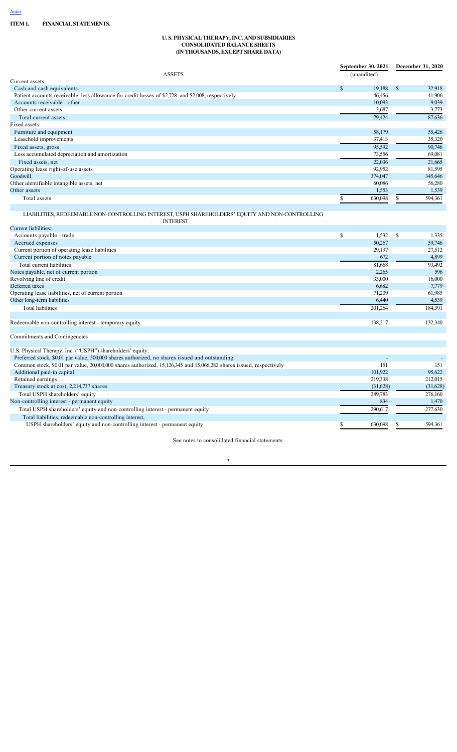#### **U. S. PHYSICAL THERAPY, INC. AND SUBSIDIARIES CONSOLIDATED BALANCE SHEETS (IN THOUSANDS, EXCEPT SHARE DATA)**

<span id="page-2-1"></span><span id="page-2-0"></span>

|                                                                                                    | September 30, 2021 | <b>December 31, 2020</b> |
|----------------------------------------------------------------------------------------------------|--------------------|--------------------------|
| <b>ASSETS</b>                                                                                      | (unaudited)        |                          |
| Current assets:                                                                                    |                    |                          |
| Cash and cash equivalents                                                                          | \$<br>19,188       | 32,918<br>-S             |
| Patient accounts receivable, less allowance for credit losses of \$2,728 and \$2,008, respectively | 46,456             | 41,906                   |
| Accounts receivable - other                                                                        | 10,093             | 9,039                    |
| Other current assets                                                                               | 3,687              | 3,773                    |
| Total current assets                                                                               | 79,424             | 87,636                   |
| Fixed assets:                                                                                      |                    |                          |
| Furniture and equipment                                                                            | 58,179             | 55,426                   |
| Leasehold improvements                                                                             | 37,413             | 35,320                   |
| Fixed assets, gross                                                                                | 95,592             | 90,746                   |
| Less accumulated depreciation and amortization                                                     | 73,556             | 69,081                   |
| Fixed assets, net                                                                                  | 22,036             | 21,665                   |
| Operating lease right-of-use assets                                                                | 92,952             | 81,595                   |
| Goodwill                                                                                           | 374,047            | 345,646                  |
| Other identifiable intangible assets, net                                                          | 60,086             | 56,280                   |
| Other assets                                                                                       | 1,553              | 1,539                    |
| Total assets                                                                                       | 630,098            | 594,361                  |
|                                                                                                    |                    |                          |

LIABILITIES, REDEEMABLE NON-CONTROLLING INTEREST, USPH SHAREHOLDERS' EQUITY AND NON-CONTROLLING

| <b>INTEREST</b>                                        |   |         |    |         |
|--------------------------------------------------------|---|---------|----|---------|
| Current liabilities:                                   |   |         |    |         |
| Accounts payable - trade                               | S | 1,532   | ð. | 1,335   |
| Accrued expenses                                       |   | 50,267  |    | 59,746  |
| Current portion of operating lease liabilities         |   | 29,197  |    | 27,512  |
| Current portion of notes payable                       |   | 672     |    | 4,899   |
| Total current liabilities                              |   | 81,668  |    | 93,492  |
| Notes payable, net of current portion                  |   | 2,265   |    | 596     |
| Revolving line of credit                               |   | 33,000  |    | 16,000  |
| Deferred taxes                                         |   | 6,682   |    | 7,779   |
| Operating lease liabilities, net of current portion    |   | 71,209  |    | 61,985  |
| Other long-term liabilities                            |   | 6,440   |    | 4,539   |
| <b>Total liabilities</b>                               |   | 201,264 |    | 184,391 |
|                                                        |   |         |    |         |
| Redeemable non-controlling interest - temporary equity |   | 138,217 |    | 132,340 |
|                                                        |   |         |    |         |

Commitments and Contingencies

| U.S. Physical Therapy, Inc. ("USPH") shareholders' equity:                                                          |          |          |
|---------------------------------------------------------------------------------------------------------------------|----------|----------|
| Preferred stock, \$0.01 par value, 500,000 shares authorized, no shares issued and outstanding                      |          |          |
| Common stock, \$0.01 par value, 20,000,000 shares authorized, 15,126,345 and 15,066,282 shares issued, respectively | 151      | 151      |
| Additional paid-in capital                                                                                          | 101.922  | 95,622   |
| Retained earnings                                                                                                   | 219.338  | 212,015  |
| Treasury stock at cost, 2,214,737 shares                                                                            | (31,628) | (31,628) |
| Total USPH shareholders' equity                                                                                     | 289,783  | 276,160  |
| Non-controlling interest - permanent equity                                                                         | 834      | 1,470    |
| Total USPH shareholders' equity and non-controlling interest - permanent equity                                     | 290,617  | 277,630  |
| Total liabilities, redeemable non-controlling interest,                                                             |          |          |
| USPH shareholders' equity and non-controlling interest - permanent equity                                           | 630.098  | 594.361  |
|                                                                                                                     |          |          |

See notes to consolidated financial statements.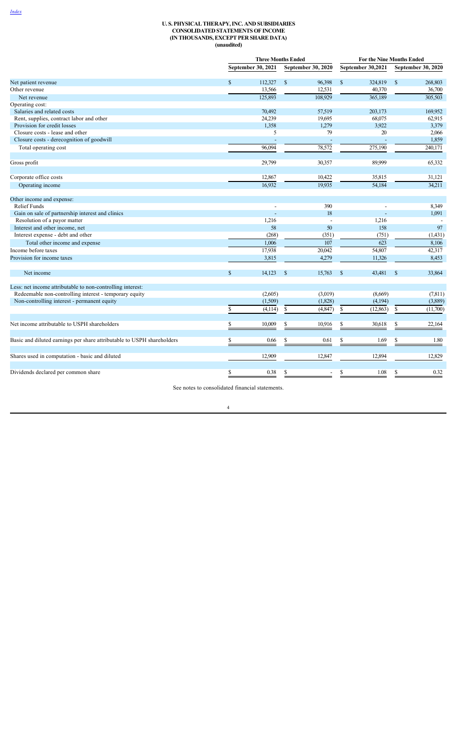#### **U. S. PHYSICAL THERAPY, INC. AND SUBSIDIARIES CONSOLIDATED STATEMENTS OF INCOME (IN THOUSANDS, EXCEPT PER SHARE DATA) (unaudited)**

<span id="page-3-0"></span>

|                                                                        | <b>Three Months Ended</b> |                           |                           |          | <b>For the Nine Months Ended</b> |                   |              |                    |  |  |
|------------------------------------------------------------------------|---------------------------|---------------------------|---------------------------|----------|----------------------------------|-------------------|--------------|--------------------|--|--|
|                                                                        |                           | <b>September 30, 2021</b> | <b>September 30, 2020</b> |          |                                  | September 30,2021 |              | September 30, 2020 |  |  |
| Net patient revenue                                                    | S                         | 112,327                   | $\mathbb{S}$              | 96,398   | $\mathbf S$                      | 324,819           | $\mathbb{S}$ | 268,803            |  |  |
| Other revenue                                                          |                           | 13,566                    |                           | 12,531   |                                  | 40,370            |              | 36,700             |  |  |
| Net revenue                                                            |                           | 125,893                   |                           | 108,929  |                                  | 365,189           |              | 305,503            |  |  |
| Operating cost:                                                        |                           |                           |                           |          |                                  |                   |              |                    |  |  |
| Salaries and related costs                                             |                           | 70,492                    |                           | 57,519   |                                  | 203,173           |              | 169,952            |  |  |
| Rent, supplies, contract labor and other                               |                           | 24,239                    |                           | 19,695   |                                  | 68,075            |              | 62,915             |  |  |
| Provision for credit losses                                            |                           | 1,358                     |                           | 1,279    |                                  | 3,922             |              | 3,379              |  |  |
| Closure costs - lease and other                                        |                           | 5                         |                           | 79       |                                  | 20                |              | 2,066              |  |  |
| Closure costs - derecognition of goodwill                              |                           |                           |                           |          |                                  |                   |              | 1,859              |  |  |
| Total operating cost                                                   |                           | 96,094                    |                           | 78,572   |                                  | 275,190           |              | 240,171            |  |  |
| Gross profit                                                           |                           | 29,799                    |                           | 30,357   |                                  | 89,999            |              | 65,332             |  |  |
|                                                                        |                           |                           |                           |          |                                  |                   |              |                    |  |  |
| Corporate office costs                                                 |                           | 12,867                    |                           | 10,422   |                                  | 35,815            |              | 31,121             |  |  |
| Operating income                                                       |                           | 16.932                    |                           | 19,935   |                                  | 54,184            |              | 34,211             |  |  |
| Other income and expense:                                              |                           |                           |                           |          |                                  |                   |              |                    |  |  |
| <b>Relief Funds</b>                                                    |                           |                           |                           | 390      |                                  |                   |              | 8,349              |  |  |
| Gain on sale of partnership interest and clinics                       |                           |                           |                           | 18       |                                  |                   |              | 1,091              |  |  |
| Resolution of a payor matter                                           |                           | 1,216                     |                           | $\sim$   |                                  | 1,216             |              |                    |  |  |
| Interest and other income, net                                         |                           | 58                        |                           | 50       |                                  | 158               |              | 97                 |  |  |
| Interest expense - debt and other                                      |                           | (268)                     |                           | (351)    |                                  | (751)             |              | (1,431)            |  |  |
| Total other income and expense                                         |                           | 1,006                     |                           | 107      |                                  | 623               |              | 8,106              |  |  |
| Income before taxes                                                    |                           | 17,938                    |                           | 20,042   |                                  | 54,807            |              | 42,317             |  |  |
| Provision for income taxes                                             |                           | 3,815                     |                           | 4,279    |                                  | 11,326            |              | 8,453              |  |  |
| Net income                                                             | $\mathbf S$               | 14,123                    | <sup>\$</sup>             | 15,763   | <sup>\$</sup>                    | 43,481            | $\mathbb{S}$ | 33,864             |  |  |
| Less: net income attributable to non-controlling interest:             |                           |                           |                           |          |                                  |                   |              |                    |  |  |
| Redeemable non-controlling interest - temporary equity                 |                           | (2,605)                   |                           | (3,019)  |                                  | (8,669)           |              | (7,811)            |  |  |
| Non-controlling interest - permanent equity                            |                           | (1,509)                   |                           | (1,828)  |                                  | (4,194)           |              | (3,889)            |  |  |
|                                                                        | S                         | (4, 114)                  | \$                        | (4, 847) | $\mathbb{S}$                     | (12, 863)         | \$           | (11,700)           |  |  |
| Net income attributable to USPH shareholders                           |                           | 10,009                    | S                         | 10,916   | S                                | 30,618            | S            | 22,164             |  |  |
| Basic and diluted earnings per share attributable to USPH shareholders |                           | 0.66                      | S                         | 0.61     | S                                | 1.69              |              | 1.80               |  |  |
| Shares used in computation - basic and diluted                         |                           | 12,909                    |                           | 12,847   |                                  | 12,894            |              | 12,829             |  |  |
|                                                                        |                           |                           |                           |          |                                  |                   |              |                    |  |  |
| Dividends declared per common share                                    | S                         | 0.38                      | S                         |          | S                                | 1.08              |              | 0.32               |  |  |

See notes to consolidated financial statements.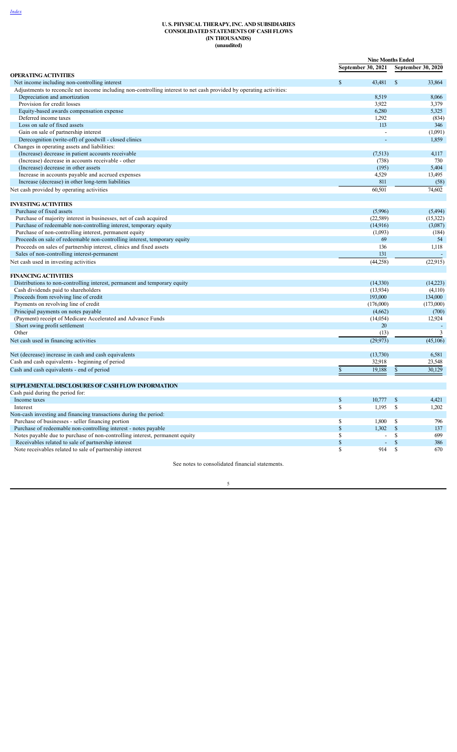#### **U. S. PHYSICAL THERAPY, INC. AND SUBSIDIARIES CONSOLIDATED STATEMENTS OF CASH FLOWS (IN THOUSANDS) (unaudited)**

<span id="page-4-0"></span>

|                                                                                                                                                  |               | <b>Nine Months Ended</b>  |                           |                     |  |  |  |
|--------------------------------------------------------------------------------------------------------------------------------------------------|---------------|---------------------------|---------------------------|---------------------|--|--|--|
|                                                                                                                                                  |               | <b>September 30, 2021</b> | <b>September 30, 2020</b> |                     |  |  |  |
| <b>OPERATING ACTIVITIES</b>                                                                                                                      |               |                           |                           |                     |  |  |  |
| Net income including non-controlling interest                                                                                                    | \$            | 43,481                    | \$                        | 33,864              |  |  |  |
| Adjustments to reconcile net income including non-controlling interest to net cash provided by operating activities:                             |               |                           |                           |                     |  |  |  |
| Depreciation and amortization                                                                                                                    |               | 8,519                     |                           | 8,066               |  |  |  |
| Provision for credit losses                                                                                                                      |               | 3,922                     |                           | 3,379               |  |  |  |
| Equity-based awards compensation expense                                                                                                         |               | 6,280                     |                           | 5,325               |  |  |  |
| Deferred income taxes                                                                                                                            |               | 1,292                     |                           | (834)               |  |  |  |
| Loss on sale of fixed assets                                                                                                                     |               | 113                       |                           | 346                 |  |  |  |
| Gain on sale of partnership interest                                                                                                             |               |                           |                           | (1,091)             |  |  |  |
| Derecognition (write-off) of goodwill - closed clinics                                                                                           |               |                           |                           | 1,859               |  |  |  |
| Changes in operating assets and liabilities:                                                                                                     |               |                           |                           |                     |  |  |  |
| (Increase) decrease in patient accounts receivable                                                                                               |               | (7,513)                   |                           | 4,117               |  |  |  |
| (Increase) decrease in accounts receivable - other                                                                                               |               | (738)                     |                           | 730                 |  |  |  |
| (Increase) decrease in other assets                                                                                                              |               | (195)                     |                           | 5,404               |  |  |  |
| Increase in accounts payable and accrued expenses                                                                                                |               | 4,529                     |                           | 13,495              |  |  |  |
| Increase (decrease) in other long-term liabilities                                                                                               |               | 811                       |                           | (58)                |  |  |  |
| Net cash provided by operating activities                                                                                                        |               | 60,501                    |                           | 74,602              |  |  |  |
|                                                                                                                                                  |               |                           |                           |                     |  |  |  |
| <b>INVESTING ACTIVITIES</b>                                                                                                                      |               |                           |                           |                     |  |  |  |
| Purchase of fixed assets<br>Purchase of majority interest in businesses, net of cash acquired                                                    |               | (5,996)<br>(22, 589)      |                           | (5,494)<br>(15,322) |  |  |  |
|                                                                                                                                                  |               |                           |                           |                     |  |  |  |
| Purchase of redeemable non-controlling interest, temporary equity<br>Purchase of non-controlling interest, permanent equity                      |               | (14,916)<br>(1,093)       |                           | (3,087)<br>(184)    |  |  |  |
|                                                                                                                                                  |               |                           |                           | 54                  |  |  |  |
| Proceeds on sale of redeemable non-controlling interest, temporary equity<br>Proceeds on sales of partnership interest, clinics and fixed assets |               | 69<br>136                 |                           |                     |  |  |  |
| Sales of non-controlling interest-permanent                                                                                                      |               | 131                       |                           | 1,118               |  |  |  |
| Net cash used in investing activities                                                                                                            |               | (44, 258)                 |                           | (22,915)            |  |  |  |
|                                                                                                                                                  |               |                           |                           |                     |  |  |  |
| <b>FINANCING ACTIVITIES</b>                                                                                                                      |               |                           |                           |                     |  |  |  |
| Distributions to non-controlling interest, permanent and temporary equity                                                                        |               | (14,330)                  |                           | (14,223)            |  |  |  |
| Cash dividends paid to shareholders                                                                                                              |               | (13,934)                  |                           | (4,110)             |  |  |  |
| Proceeds from revolving line of credit                                                                                                           |               | 193,000                   |                           | 134,000             |  |  |  |
| Payments on revolving line of credit                                                                                                             |               | (176,000)                 |                           | (173,000)           |  |  |  |
| Principal payments on notes payable                                                                                                              |               | (4,662)                   |                           | (700)               |  |  |  |
| (Payment) receipt of Medicare Accelerated and Advance Funds                                                                                      |               | (14, 054)                 |                           | 12,924              |  |  |  |
| Short swing profit settlement                                                                                                                    |               | 20                        |                           |                     |  |  |  |
| Other                                                                                                                                            |               | (13)                      |                           | 3                   |  |  |  |
| Net cash used in financing activities                                                                                                            |               | (29, 973)                 |                           | (45,106)            |  |  |  |
|                                                                                                                                                  |               |                           |                           |                     |  |  |  |
| Net (decrease) increase in cash and cash equivalents                                                                                             |               | (13,730)                  |                           | 6,581               |  |  |  |
| Cash and cash equivalents - beginning of period                                                                                                  |               | 32,918                    |                           | 23,548              |  |  |  |
| Cash and cash equivalents - end of period                                                                                                        | \$            | 19,188                    | \$                        | 30,129              |  |  |  |
|                                                                                                                                                  |               |                           |                           |                     |  |  |  |
| SUPPLEMENTAL DISCLOSURES OF CASH FLOW INFORMATION                                                                                                |               |                           |                           |                     |  |  |  |
| Cash paid during the period for:                                                                                                                 |               |                           |                           |                     |  |  |  |
| Income taxes                                                                                                                                     | <sup>\$</sup> | 10,777                    | \$                        | 4,421               |  |  |  |
| Interest                                                                                                                                         | \$            | 1,195                     | \$                        | 1,202               |  |  |  |
| Non-cash investing and financing transactions during the period:                                                                                 |               |                           |                           |                     |  |  |  |
| Purchase of businesses - seller financing portion                                                                                                | \$            | 1,800                     | \$                        | 796                 |  |  |  |
| Purchase of redeemable non-controlling interest - notes payable                                                                                  | $\$$          | 1,302                     | $\mathbb{S}$              | 137                 |  |  |  |
| Notes payable due to purchase of non-controlling interest, permanent equity                                                                      | \$            | $\overline{a}$            | <sup>\$</sup>             | 699                 |  |  |  |
| Receivables related to sale of partnership interest                                                                                              | $\mathbb{S}$  | $\blacksquare$            | $\mathbb{S}$              | 386                 |  |  |  |
| Note receivables related to sale of partnership interest                                                                                         | \$            | 914                       | <sup>\$</sup>             | 670                 |  |  |  |

See notes to consolidated financial statements.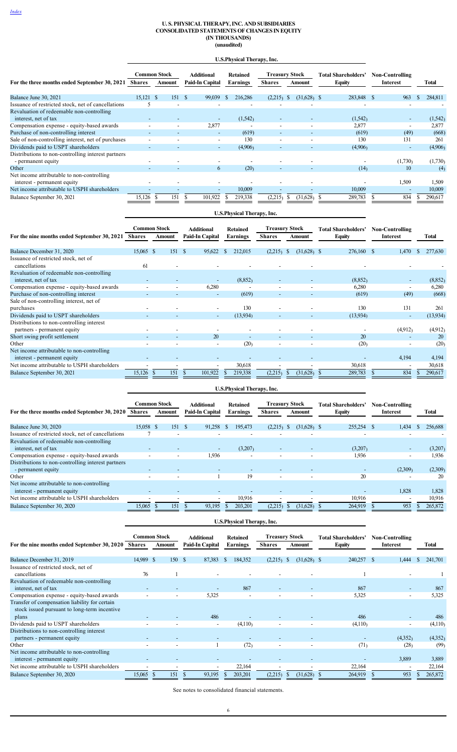#### **U. S. PHYSICAL THERAPY, INC. AND SUBSIDIARIES CONSOLIDATED STATEMENTS OF CHANGES IN EQUITY (IN THOUSANDS) (unaudited)**

# **U.S.Physical Therapy, Inc.**

<span id="page-5-0"></span>

| For the three months ended September 30, 2021      | <b>Shares</b>        | Common Stock<br>Amount |      | <b>Additional</b><br><b>Paid-In Capital</b> |     | <b>Retained</b><br><b>Earnings</b> | <b>Treasury Stock</b><br><b>Shares</b> |   | Amount        | <b>Total Shareholders'</b><br><b>Equity</b> |    | <b>Non-Controlling</b><br><b>Interest</b> | Total    |
|----------------------------------------------------|----------------------|------------------------|------|---------------------------------------------|-----|------------------------------------|----------------------------------------|---|---------------|---------------------------------------------|----|-------------------------------------------|----------|
| Balance June 30, 2021                              | $15,121 \text{ }$ \$ |                        | 151S | 99,039                                      | Ж.  | 216,286                            | (2,215)                                | Ъ | $(31,628)$ \$ | 283,848                                     | -8 | 963                                       | 284,811  |
| Issuance of restricted stock, net of cancellations |                      |                        |      |                                             |     |                                    |                                        |   |               |                                             |    |                                           |          |
| Revaluation of redeemable non-controlling          |                      |                        |      |                                             |     |                                    |                                        |   |               |                                             |    |                                           |          |
| interest, net of tax                               |                      |                        |      |                                             |     | (1,542)                            |                                        |   |               | (1, 542)                                    |    | $\overline{\phantom{a}}$                  | (1, 542) |
| Compensation expense - equity-based awards         |                      |                        |      | 2,877                                       |     | $\overline{\phantom{a}}$           |                                        |   |               | 2,877                                       |    | $\overline{\phantom{a}}$                  | 2,877    |
| Purchase of non-controlling interest               |                      |                        |      |                                             |     | (619)                              |                                        |   |               | (619)                                       |    | (49)                                      | (668)    |
| Sale of non-controlling interest, net of purchases |                      |                        |      |                                             |     | 130                                |                                        |   |               | 130                                         |    | 131                                       | 261      |
| Dividends paid to USPT shareholders                |                      |                        |      | $\sim$                                      |     | (4,906)                            | $\overline{\phantom{0}}$               |   |               | (4,906)                                     |    | $\overline{\phantom{a}}$                  | (4,906)  |
| Distributions to non-controlling interest partners |                      |                        |      |                                             |     |                                    |                                        |   |               |                                             |    |                                           |          |
| - permanent equity                                 |                      |                        |      |                                             |     |                                    |                                        |   |               |                                             |    | (1,730)                                   | (1,730)  |
| Other                                              |                      |                        |      | 6                                           |     | (20)                               |                                        |   |               | (14)                                        |    | 10                                        | (4)      |
| Net income attributable to non-controlling         |                      |                        |      |                                             |     |                                    |                                        |   |               |                                             |    |                                           |          |
| interest - permanent equity                        |                      |                        |      |                                             |     |                                    |                                        |   |               |                                             |    | 1,509                                     | 1,509    |
| Net income attributable to USPH shareholders       |                      |                        |      |                                             |     | 10,009                             |                                        |   |               | 10,009                                      |    |                                           | 10,009   |
| Balance September 30, 2021                         | 15,126 \$            |                        | 151  | 101,922                                     | Эħ. | 219,338                            | $(2,215)$ \$                           |   | (31,628)      | 289,783                                     |    | 834                                       | 290,617  |

# **U.S.Physical Therapy, Inc.**

| For the nine months ended September 30, 2021                              | <b>Common Stock</b><br><b>Shares</b><br>Amount |                     |      | Additional<br><b>Paid-In Capital</b> | <b>Retained</b><br>Earnings | <b>Treasury Stock</b><br><b>Shares</b> |    | Amount        |  | <b>Total Shareholders'</b><br><b>Equity</b> | <b>Non-Controlling</b><br><b>Interest</b> |  | Total    |
|---------------------------------------------------------------------------|------------------------------------------------|---------------------|------|--------------------------------------|-----------------------------|----------------------------------------|----|---------------|--|---------------------------------------------|-------------------------------------------|--|----------|
| Balance December 31, 2020                                                 | 15,065 \$                                      |                     | 151S | 95,622                               | 212,015<br>S.               | (2,215)                                | -S | $(31,628)$ \$ |  | 276,160 \$                                  | 1,470                                     |  | 277,630  |
| Issuance of restricted stock, net of<br>cancellations                     | 61                                             |                     |      |                                      |                             |                                        |    |               |  |                                             |                                           |  |          |
| Revaluation of redeemable non-controlling<br>interest, net of tax         |                                                |                     |      |                                      | (8,852)                     |                                        |    |               |  | (8,852)                                     |                                           |  | (8,852)  |
| Compensation expense - equity-based awards                                |                                                |                     |      | 6,280                                |                             |                                        |    |               |  | 6.280                                       | $\overline{\phantom{a}}$                  |  | 6,280    |
| Purchase of non-controlling interest                                      |                                                |                     |      |                                      | (619)                       |                                        |    |               |  | (619)                                       | (49)                                      |  | (668)    |
| Sale of non-controlling interest, net of                                  |                                                |                     |      |                                      |                             |                                        |    |               |  |                                             |                                           |  |          |
| purchases                                                                 |                                                |                     |      |                                      | 130                         |                                        |    |               |  | 130                                         | 131                                       |  | 261      |
| Dividends paid to USPT shareholders                                       |                                                |                     |      | ٠                                    | (13,934)                    |                                        |    |               |  | (13,934)                                    | $\overline{\phantom{a}}$                  |  | (13,934) |
| Distributions to non-controlling interest<br>partners - permanent equity  |                                                |                     |      |                                      |                             |                                        |    |               |  |                                             | (4,912)                                   |  | (4,912)  |
| Short swing profit settlement                                             |                                                |                     |      | 20                                   |                             |                                        |    |               |  | 20                                          |                                           |  | 20       |
| Other                                                                     |                                                |                     |      | $\blacksquare$                       | (20)                        | ٠                                      |    |               |  | (20)                                        |                                           |  | (20)     |
| Net income attributable to non-controlling<br>interest - permanent equity |                                                |                     |      |                                      |                             |                                        |    |               |  |                                             | 4,194                                     |  | 4,194    |
| Net income attributable to USPH shareholders                              |                                                |                     |      | $\overline{\phantom{a}}$             | 30,618                      |                                        |    |               |  | 30,618                                      | $\overline{\phantom{a}}$                  |  | 30,618   |
| Balance September 30, 2021                                                | 15,126                                         | 151<br><sup>S</sup> |      | 101,922                              | 219,338                     | (2,215)                                |    | (31,628)      |  | 289,783                                     | 834                                       |  | 290,617  |

# **U.S.Physical Therapy, Inc.**

|                                                    | <b>Common Stock</b> |        |     | <b>Additional</b> |                        | <b>Retained</b> |          | <b>Treasury Stock</b>    |   |               | <b>Total Shareholders'</b> |               | <b>Non-Controlling</b> |                 |         |
|----------------------------------------------------|---------------------|--------|-----|-------------------|------------------------|-----------------|----------|--------------------------|---|---------------|----------------------------|---------------|------------------------|-----------------|---------|
| For the three months ended September 30, 2020      | <b>Shares</b>       | Amount |     |                   | <b>Paid-In Capital</b> |                 | Earnings | <b>Shares</b>            |   | Amount        |                            | <b>Equity</b> |                        | <b>Interest</b> | Total   |
| Balance June 30, 2020                              | 15.058 \$           |        | 151 | - \$              | 91.258                 | ж               | 195,473  | $(2.215)$ \$             |   | $(31,628)$ \$ |                            | 255,254       |                        | 1,434           | 256,688 |
| Issuance of restricted stock, net of cancellations |                     |        |     |                   |                        |                 |          |                          |   |               |                            |               |                        |                 |         |
| Revaluation of redeemable non-controlling          |                     |        |     |                   |                        |                 |          |                          |   |               |                            |               |                        |                 |         |
| interest, net of tax                               |                     |        |     |                   |                        |                 | (3,207)  |                          |   |               |                            | (3,207)       |                        |                 | (3,207) |
| Compensation expense - equity-based awards         |                     |        |     |                   | 1,936                  |                 |          | $\overline{\phantom{a}}$ |   |               |                            | 1,936         |                        |                 | 1,936   |
| Distributions to non-controlling interest partners |                     |        |     |                   |                        |                 |          |                          |   |               |                            |               |                        |                 |         |
| - permanent equity                                 |                     |        |     |                   |                        |                 |          |                          |   |               |                            |               |                        | (2,309)         | (2,309) |
| Other                                              |                     |        |     |                   |                        |                 | 19       | $\overline{\phantom{a}}$ |   |               |                            | 20            |                        |                 | 20      |
| Net income attributable to non-controlling         |                     |        |     |                   |                        |                 |          |                          |   |               |                            |               |                        |                 |         |
| interest - permanent equity                        |                     |        |     |                   |                        |                 |          |                          |   |               |                            |               |                        | 1.828           | 1,828   |
| Net income attributable to USPH shareholders       |                     |        |     |                   |                        |                 | 10,916   | -                        |   |               |                            | 10,916        |                        |                 | 10,916  |
| Balance September 30, 2020                         | 15,065              |        | 151 |                   | 93,195                 |                 | 203,201  | (2,215)                  | Ъ | (31,628)      |                            | 264,919       |                        | 953             | 265,872 |

**U.S.Physical Therapy, Inc.**

|               |                          |                                  | <b>Additional</b>        |                                            |                                  |                 |                                 |               |                            |            |                                                    |         |
|---------------|--------------------------|----------------------------------|--------------------------|--------------------------------------------|----------------------------------|-----------------|---------------------------------|---------------|----------------------------|------------|----------------------------------------------------|---------|
| <b>Shares</b> | Amount                   |                                  |                          | <b>Earnings</b>                            | <b>Shares</b>                    |                 |                                 | <b>Equity</b> |                            |            |                                                    | Total   |
|               |                          |                                  |                          |                                            |                                  |                 |                                 |               |                            |            |                                                    |         |
|               |                          |                                  |                          |                                            |                                  |                 |                                 |               |                            |            |                                                    | 241,701 |
| 76            |                          |                                  |                          |                                            |                                  |                 |                                 |               |                            |            |                                                    |         |
|               |                          |                                  |                          |                                            |                                  |                 |                                 |               |                            |            |                                                    |         |
|               | $\overline{\phantom{0}}$ |                                  | $\overline{\phantom{a}}$ | 867                                        |                                  |                 |                                 | 867           |                            |            |                                                    | 867     |
|               | $\overline{\phantom{a}}$ |                                  | 5,325                    |                                            |                                  |                 |                                 | 5,325         |                            |            |                                                    | 5,325   |
|               |                          |                                  |                          |                                            |                                  |                 |                                 |               |                            |            |                                                    |         |
|               |                          |                                  |                          |                                            |                                  |                 |                                 |               |                            |            |                                                    |         |
|               |                          |                                  | 486                      |                                            |                                  |                 |                                 | 486           |                            |            |                                                    | 486     |
|               |                          |                                  |                          | (4,110)                                    | $\overline{\phantom{0}}$         |                 |                                 | (4,110)       |                            |            |                                                    | (4,110) |
|               |                          |                                  |                          |                                            |                                  |                 |                                 |               |                            |            |                                                    |         |
|               |                          |                                  |                          |                                            |                                  |                 |                                 |               |                            | (4,352)    |                                                    | (4,352) |
|               | ٠                        |                                  |                          | (72)                                       | ٠                                |                 |                                 | (71)          |                            | (28)       |                                                    | (99)    |
|               |                          |                                  |                          |                                            |                                  |                 |                                 |               |                            |            |                                                    |         |
|               |                          |                                  |                          |                                            |                                  |                 |                                 |               |                            | 3,889      |                                                    | 3,889   |
|               |                          |                                  |                          | 22,164                                     |                                  |                 |                                 | 22,164        |                            |            |                                                    | 22,164  |
| 15,065        | 151<br>-8                |                                  |                          | 203,201                                    | (2,215)                          | (31,628)        |                                 | 264,919       |                            | 953        |                                                    | 265,872 |
|               |                          | <b>Common Stock</b><br>14,989 \$ | 150S                     | <b>Paid-In Capital</b><br>87,383<br>93,195 | <b>Retained</b><br>184,352<br>-S | (2,215)<br>- \$ | <b>Treasury Stock</b><br>Amount | $(31,628)$ \$ | <b>Total Shareholders'</b> | 240,257 \$ | <b>Non-Controlling</b><br><b>Interest</b><br>1,444 | S       |

See notes to consolidated financial statements.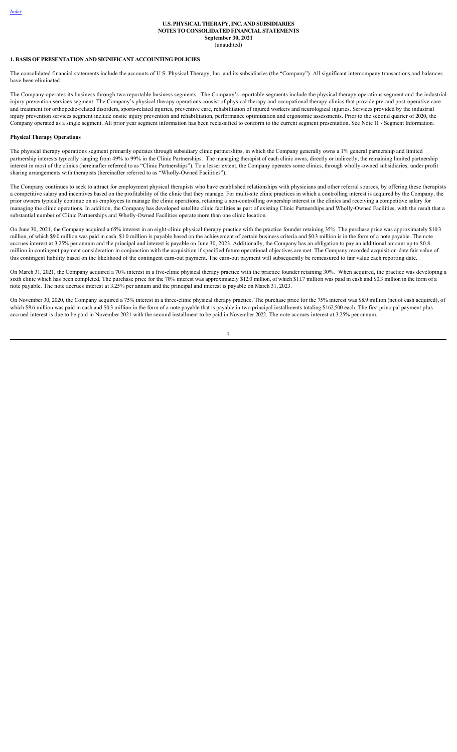### <span id="page-6-0"></span>**U.S. PHYSICAL THERAPY, INC. AND SUBSIDIARIES NOTES TO CONSOLIDATED FINANCIAL STATEMENTS September 30, 2021** (unaudited)

### **1. BASIS OF PRESENTATION AND SIGNIFICANT ACCOUNTING POLICIES**

The consolidated financial statements include the accounts of U.S. Physical Therapy, Inc. and its subsidiaries (the "Company"). All significant intercompany transactions and balances have been eliminated.

The Company operates its business through two reportable business segments. The Company's reportable segments include the physical therapy operations segment and the industrial injury prevention services segment. The Company's physical therapy operations consist of physical therapy and occupational therapy clinics that provide pre-and post-operative care and treatment for orthopedic-related disorders, sports-related injuries, preventive care, rehabilitation of injured workers and neurological injuries. Services provided by the industrial injury prevention services segment include onsite injury prevention and rehabilitation, performance optimization and ergonomic assessments. Prior to the second quarter of 2020, the Company operated as a single segment. All prior year segment information has been reclassified to conform to the current segment presentation. See Note 11 - Segment Information.

### **Physical Therapy Operations**

The physical therapy operations segment primarily operates through subsidiary clinic partnerships, in which the Company generally owns a 1% general partnership and limited partnership interests typically ranging from 49% to 99% in the Clinic Partnerships. The managing therapist of each clinic owns, directly or indirectly, the remaining limited partnership interest in most of the clinics (hereinafter referred to as "Clinic Partnerships"). To a lesser extent, the Company operates some clinics, through wholly-owned subsidiaries, under profit sharing arrangements with therapists (hereinafter referred to as "Wholly-Owned Facilities").

The Company continues to seek to attract for employment physical therapists who have established relationships with physicians and other referral sources, by offering these therapists a competitive salary and incentives based on the profitability of the clinic that they manage. For multi-site clinic practices in which a controlling interest is acquired by the Company, the prior owners typically continue on as employees to manage the clinic operations, retaining a non-controlling ownership interest in the clinics and receiving a competitive salary for managing the clinic operations. In addition, the Company has developed satellite clinic facilities as part of existing Clinic Partnerships and Wholly-Owned Facilities, with the result that a substantial number of Clinic Partnerships and Wholly-Owned Facilities operate more than one clinic location.

On June 30, 2021, the Company acquired a 65% interest in an eight-clinic physical therapy practice with the practice founder retaining 35%. The purchase price was approximately \$10.3 million, of which \$9.0 million was paid in cash, \$1.0 million is payable based on the achievement of certain business criteria and \$0.3 million is in the form of a note payable. The note accrues interest at 3.25% per annum and the principal and interest is payable on June 30, 2023. Additionally, the Company has an obligation to pay an additional amount up to \$0.8 million in contingent payment consideration in conjunction with the acquisition if specified future operational objectives are met. The Company recorded acquisition-date fair value of this contingent liability based on the likelihood of the contingent earn-out payment. The earn-out payment will subsequently be remeasured to fair value each reporting date.

On March 31, 2021, the Company acquired a 70% interest in a five-clinic physical therapy practice with the practice founder retaining 30%. When acquired, the practice was developing a sixth clinic which has been completed. The purchase price for the 70% interest was approximately \$12.0 million, of which \$11.7 million was paid in cash and \$0.3 million in the form of a note payable. The note accrues interest at 3.25% per annum and the principal and interest is payable on March 31, 2023.

On November 30, 2020, the Company acquired a 75% interest in a three-clinic physical therapy practice. The purchase price for the 75% interest was \$8.9 million (net of cash acquired), of which \$8.6 million was paid in cash and \$0.3 million in the form of a note payable that is payable in two principal installments totaling \$162,500 each. The first principal payment plus accrued interest is due to be paid in November 2021 with the second installment to be paid in November 2022. The note accrues interest at 3.25% per annum.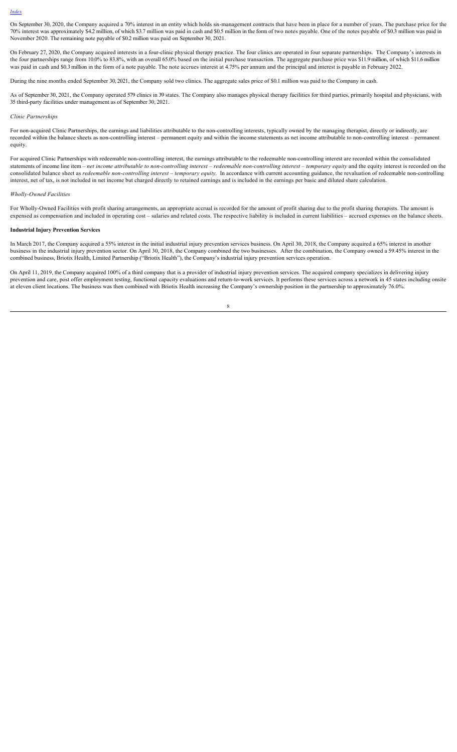On September 30, 2020, the Company acquired a 70% interest in an entity which holds six-management contracts that have been in place for a number of years. The purchase price for the 70% interest was approximately \$4.2 million, of which \$3.7 million was paid in cash and \$0.5 million in the form of two notes payable. One of the notes payable of \$0.3 million was paid in November 2020. The remaining note payable of \$0.2 million was paid on September 30, 2021.

On February 27, 2020, the Company acquired interests in a four-clinic physical therapy practice. The four clinics are operated in four separate partnerships. The Company's interests in the four partnerships range from 10.0% to 83.8%, with an overall 65.0% based on the initial purchase transaction. The aggregate purchase price was \$11.9 million, of which \$11.6 million was paid in cash and \$0.3 million in the form of a note payable. The note accrues interest at 4.75% per annum and the principal and interest is payable in February 2022.

During the nine months ended September 30, 2021, the Company sold two clinics. The aggregate sales price of \$0.1 million was paid to the Company in cash.

As of September 30, 2021, the Company operated 579 clinics in 39 states. The Company also manages physical therapy facilities for third parties, primarily hospital and physicians, with 35 third-party facilities under management as of September 30, 2021.

#### *Clinic Partnerships*

For non-acquired Clinic Partnerships, the earnings and liabilities attributable to the non-controlling interests, typically owned by the managing therapist, directly or indirectly, are recorded within the balance sheets as non-controlling interest – permanent equity and within the income statements as net income attributable to non-controlling interest – permanent equity.

For acquired Clinic Partnerships with redeemable non-controlling interest, the earnings attributable to the redeemable non-controlling interest are recorded within the consolidated statements of income line item – *net income attributable to non-controlling interest* – *redeemable non-controlling interest* – *temporary equity* and the equity interest is recorded on the consolidated balance sheet as *redeemable non-controlling interest – temporary equity*. In accordance with current accounting guidance, the revaluation of redeemable non-controlling interest, net of tax, is not included in net income but charged directly to retained earnings and is included in the earnings per basic and diluted share calculation.

#### *Wholly-Owned Facilities*

For Wholly-Owned Facilities with profit sharing arrangements, an appropriate accrual is recorded for the amount of profit sharing due to the profit sharing therapists. The amount is expensed as compensation and included in operating cost – salaries and related costs. The respective liability is included in current liabilities – accrued expenses on the balance sheets.

### **Industrial Injury Prevention Services**

In March 2017, the Company acquired a 55% interest in the initial industrial injury prevention services business. On April 30, 2018, the Company acquired a 65% interest in another business in the industrial injury prevention sector. On April 30, 2018, the Company combined the two businesses. After the combination, the Company owned a 59.45% interest in the combined business, Briotix Health, Limited Partnership ("Briotix Health"), the Company's industrial injury prevention services operation.

On April 11, 2019, the Company acquired 100% of a third company that is a provider of industrial injury prevention services. The acquired company specializes in delivering injury prevention and care, post offer employment testing, functional capacity evaluations and return-to-work services. It performs these services across a network in 45 states including onsite at eleven client locations. The business was then combined with Briotix Health increasing the Company's ownership position in the partnership to approximately 76.0%.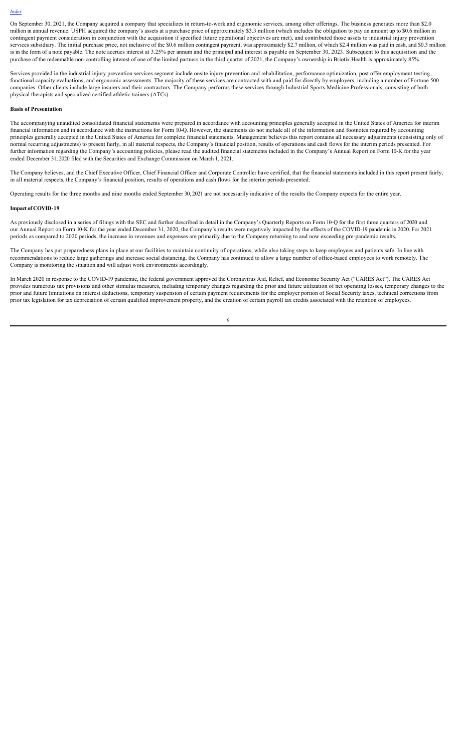On September 30, 2021, the Company acquired a company that specializes in return-to-work and ergonomic services, among other offerings. The business generates more than \$2.0 million in annual revenue. USPH acquired the company's assets at a purchase price of approximately \$3.3 million (which includes the obligation to pay an amount up to \$0.6 million in contingent payment consideration in conjunction with the acquisition if specified future operational objectives are met), and contributed those assets to industrial injury prevention services subsidiary. The initial purchase price, not inclusive of the \$0.6 million contingent payment, was approximately \$2.7 million, of which \$2.4 million was paid in cash, and \$0.3 million is in the form of a note payable. The note accrues interest at 3.25% per annum and the principal and interest is payable on September 30, 2023. Subsequent to this acquisition and the purchase of the redeemable non-controlling interest of one of the limited partners in the third quarter of 2021, the Company's ownership in Briotix Health is approximately 85%.

Services provided in the industrial injury prevention services segment include onsite injury prevention and rehabilitation, performance optimization, post offer employment testing, functional capacity evaluations, and ergonomic assessments. The majority of these services are contracted with and paid for directly by employers, including a number of Fortune 500 companies. Other clients include large insurers and their contractors. The Company performs these services through Industrial Sports Medicine Professionals, consisting of both physical therapists and specialized certified athletic trainers (ATCs).

#### **Basis of Presentation**

The accompanying unaudited consolidated financial statements were prepared in accordance with accounting principles generally accepted in the United States of America for interim financial information and in accordance with the instructions for Form 10-Q. However, the statements do not include all of the information and footnotes required by accounting principles generally accepted in the United States of America for complete financial statements. Management believes this report contains all necessary adjustments (consisting only of normal recurring adjustments) to present fairly, in all material respects, the Company's financial position, results of operations and cash flows for the interim periods presented. For further information regarding the Company's accounting policies, please read the audited financial statements included in the Company's Annual Report on Form 10-K for the year ended December 31, 2020 filed with the Securities and Exchange Commission on March 1, 2021.

The Company believes, and the Chief Executive Officer, Chief Financial Officer and Corporate Controller have certified, that the financial statements included in this report present fairly, in all material respects, the Company's financial position, results of operations and cash flows for the interim periods presented.

Operating results for the three months and nine months ended September 30, 2021 are not necessarily indicative of the results the Company expects for the entire year.

### **Impact of COVID-19**

As previously disclosed in a series of filings with the SEC and further described in detail in the Company's Quarterly Reports on Form 10-Q for the first three quarters of 2020 and our Annual Report on Form 10-K for the year ended December 31, 2020, the Company's results were negatively impacted by the effects of the COVID-19 pandemic in 2020. For 2021 periods as compared to 2020 periods, the increase in revenues and expenses are primarily due to the Company returning to and now exceeding pre-pandemic results.

The Company has put preparedness plans in place at our facilities to maintain continuity of operations, while also taking steps to keep employees and patients safe. In line with recommendations to reduce large gatherings and increase social distancing, the Company has continued to allow a large number of office-based employees to work remotely. The Company is monitoring the situation and will adjust work environments accordingly.

In March 2020 in response to the COVID-19 pandemic, the federal government approved the Coronavirus Aid, Relief, and Economic Security Act ("CARES Act"). The CARES Act provides numerous tax provisions and other stimulus measures, including temporary changes regarding the prior and future utilization of net operating losses, temporary changes to the prior and future limitations on interest deductions, temporary suspension of certain payment requirements for the employer portion of Social Security taxes, technical corrections from prior tax legislation for tax depreciation of certain qualified improvement property, and the creation of certain payroll tax credits associated with the retention of employees.

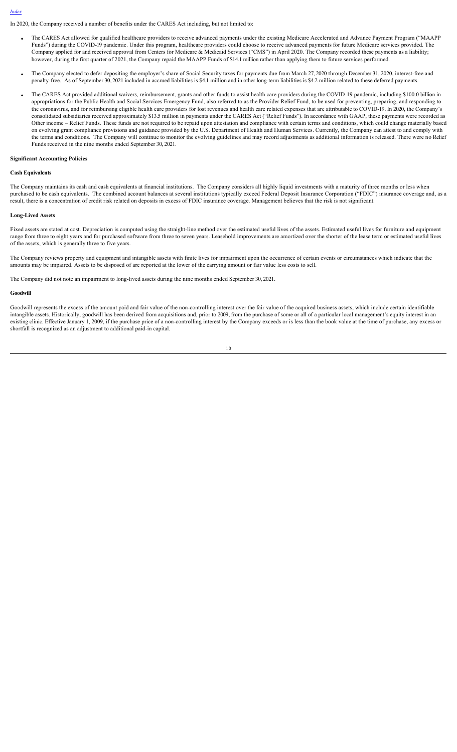In 2020, the Company received a number of benefits under the CARES Act including, but not limited to:

- The CARES Act allowed for qualified healthcare providers to receive advanced payments under the existing Medicare Accelerated and Advance Payment Program ("MAAPP Funds") during the COVID-19 pandemic. Under this program, healthcare providers could choose to receive advanced payments for future Medicare services provided. The Company applied for and received approval from Centers for Medicare & Medicaid Services ("CMS") in April 2020. The Company recorded these payments as a liability; however, during the first quarter of 2021, the Company repaid the MAAPP Funds of \$14.1 million rather than applying them to future services performed.
- The Company elected to defer depositing the employer's share of Social Security taxes for payments due from March 27, 2020 through December 31, 2020, interest-free and penalty-free. As of September 30, 2021 included in acc
- The CARES Act provided additional waivers, reimbursement, grants and other funds to assist health care providers during the COVID-19 pandemic, including \$100.0 billion in appropriations for the Public Health and Social Services Emergency Fund, also referred to as the Provider Relief Fund, to be used for preventing, preparing, and responding to the coronavirus, and for reimbursing eligible health care providers for lost revenues and health care related expenses that are attributable to COVID-19. In 2020, the Company's consolidated subsidiaries received approximately \$13.5 million in payments under the CARES Act ("Relief Funds"). In accordance with GAAP, these payments were recorded as Other income – Relief Funds. These funds are not required to be repaid upon attestation and compliance with certain terms and conditions, which could change materially based on evolving grant compliance provisions and guidance provided by the U.S. Department of Health and Human Services. Currently, the Company can attest to and comply with the terms and conditions. The Company will continue to monitor the evolving guidelines and may record adjustments as additional information is released. There were no Relief Funds received in the nine months ended September 30, 2021.

### **Significant Accounting Policies**

### **Cash Equivalents**

The Company maintains its cash and cash equivalents at financial institutions. The Company considers all highly liquid investments with a maturity of three months or less when purchased to be cash equivalents. The combined account balances at several institutions typically exceed Federal Deposit Insurance Corporation ("FDIC") insurance coverage and, as a result, there is a concentration of credit risk related on deposits in excess of FDIC insurance coverage. Management believes that the risk is not significant.

#### **Long-Lived Assets**

Fixed assets are stated at cost. Depreciation is computed using the straight-line method over the estimated useful lives of the assets. Estimated useful lives for furniture and equipment range from three to eight years and for purchased software from three to seven years. Leasehold improvements are amortized over the shorter of the lease term or estimated useful lives of the assets, which is generally three to five years.

The Company reviews property and equipment and intangible assets with finite lives for impairment upon the occurrence of certain events or circumstances which indicate that the amounts may be impaired. Assets to be disposed of are reported at the lower of the carrying amount or fair value less costs to sell.

The Company did not note an impairment to long-lived assets during the nine months ended September 30, 2021.

#### **Goodwill**

Goodwill represents the excess of the amount paid and fair value of the non-controlling interest over the fair value of the acquired business assets, which include certain identifiable intangible assets. Historically, goodwill has been derived from acquisitions and, prior to 2009, from the purchase of some or all of a particular local management's equity interest in an existing clinic. Effective January 1, 2009, if the purchase price of a non-controlling interest by the Company exceeds or is less than the book value at the time of purchase, any excess or shortfall is recognized as an adjustment to additional paid-in capital.

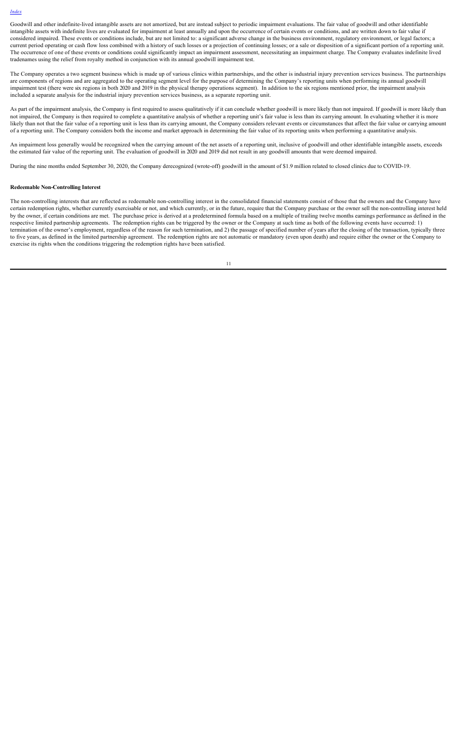Goodwill and other indefinite-lived intangible assets are not amortized, but are instead subject to periodic impairment evaluations. The fair value of goodwill and other identifiable intangible assets with indefinite lives are evaluated for impairment at least annually and upon the occurrence of certain events or conditions, and are written down to fair value if considered impaired. These events or conditions include, but are not limited to: a significant adverse change in the business environment, regulatory environment, or legal factors; a current period operating or cash flow loss combined with a history of such losses or a projection of continuing losses; or a sale or disposition of a significant portion of a reporting unit. The occurrence of one of these events or conditions could significantly impact an impairment assessment, necessitating an impairment charge. The Company evaluates indefinite lived tradenames using the relief from royalty method in conjunction with its annual goodwill impairment test.

The Company operates a two segment business which is made up of various clinics within partnerships, and the other is industrial injury prevention services business. The partnerships are components of regions and are aggregated to the operating segment level for the purpose of determining the Company's reporting units when performing its annual goodwill impairment test (there were six regions in both 2020 and 2019 in the physical therapy operations segment). In addition to the six regions mentioned prior, the impairment analysis included a separate analysis for the industrial injury prevention services business, as a separate reporting unit.

As part of the impairment analysis, the Company is first required to assess qualitatively if it can conclude whether goodwill is more likely than not impaired. If goodwill is more likely than not impaired, the Company is then required to complete a quantitative analysis of whether a reporting unit's fair value is less than its carrying amount. In evaluating whether it is more likely than not that the fair value of a reporting unit is less than its carrying amount, the Company considers relevant events or circumstances that affect the fair value or carrying amount of a reporting unit. The Company considers both the income and market approach in determining the fair value of its reporting units when performing a quantitative analysis.

An impairment loss generally would be recognized when the carrying amount of the net assets of a reporting unit, inclusive of goodwill and other identifiable intangible assets, exceeds the estimated fair value of the reporting unit. The evaluation of goodwill in 2020 and 2019 did not result in any goodwill amounts that were deemed impaired.

During the nine months ended September 30, 2020, the Company derecognized (wrote-off) goodwill in the amount of \$1.9 million related to closed clinics due to COVID-19.

### **Redeemable Non-Controlling Interest**

The non-controlling interests that are reflected as redeemable non-controlling interest in the consolidated financial statements consist of those that the owners and the Company have certain redemption rights, whether currently exercisable or not, and which currently, or in the future, require that the Company purchase or the owner sell the non-controlling interest held by the owner, if certain conditions are met. The purchase price is derived at a predetermined formula based on a multiple of trailing twelve months earnings performance as defined in the respective limited partnership agreements. The redemption rights can be triggered by the owner or the Company at such time as both of the following events have occurred: 1) termination of the owner's employment, regardless of the reason for such termination, and 2) the passage of specified number of years after the closing of the transaction, typically three to five years, as defined in the limited partnership agreement. The redemption rights are not automatic or mandatory (even upon death) and require either the owner or the Company to exercise its rights when the conditions triggering the redemption rights have been satisfied.

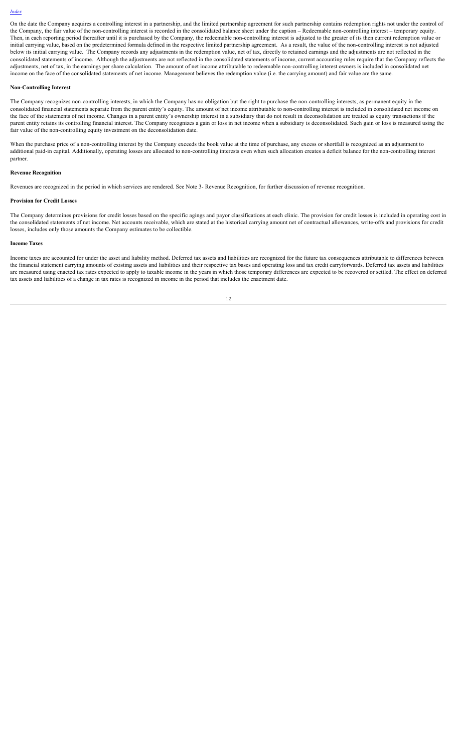On the date the Company acquires a controlling interest in a partnership, and the limited partnership agreement for such partnership contains redemption rights not under the control of the Company, the fair value of the non-controlling interest is recorded in the consolidated balance sheet under the caption – Redeemable non-controlling interest – temporary equity. Then, in each reporting period thereafter until it is purchased by the Company, the redeemable non-controlling interest is adjusted to the greater of its then current redemption value or initial carrying value, based on the predetermined formula defined in the respective limited partnership agreement. As a result, the value of the non-controlling interest is not adjusted below its initial carrying value. The Company records any adjustments in the redemption value, net of tax, directly to retained earnings and the adjustments are not reflected in the consolidated statements of income. Although the adjustments are not reflected in the consolidated statements of income, current accounting rules require that the Company reflects the adjustments, net of tax, in the earnings per share calculation. The amount of net income attributable to redeemable non-controlling interest owners is included in consolidated net income on the face of the consolidated statements of net income. Management believes the redemption value (i.e. the carrying amount) and fair value are the same.

### **Non-Controlling Interest**

The Company recognizes non-controlling interests, in which the Company has no obligation but the right to purchase the non-controlling interests, as permanent equity in the consolidated financial statements separate from the parent entity's equity. The amount of net income attributable to non-controlling interest is included in consolidated net income on the face of the statements of net income. Changes in a parent entity's ownership interest in a subsidiary that do not result in deconsolidation are treated as equity transactions if the parent entity retains its controlling financial interest. The Company recognizes a gain or loss in net income when a subsidiary is deconsolidated. Such gain or loss is measured using the fair value of the non-controlling equity investment on the deconsolidation date.

When the purchase price of a non-controlling interest by the Company exceeds the book value at the time of purchase, any excess or shortfall is recognized as an adjustment to additional paid-in capital. Additionally, operating losses are allocated to non-controlling interests even when such allocation creates a deficit balance for the non-controlling interest partner.

### **Revenue Recognition**

Revenues are recognized in the period in which services are rendered. See Note 3- Revenue Recognition, for further discussion of revenue recognition.

### **Provision for Credit Losses**

The Company determines provisions for credit losses based on the specific agings and payor classifications at each clinic. The provision for credit losses is included in operating cost in the consolidated statements of net income. Net accounts receivable, which are stated at the historical carrying amount net of contractual allowances, write-offs and provisions for credit losses, includes only those amounts the Company estimates to be collectible.

### **Income Taxes**

Income taxes are accounted for under the asset and liability method. Deferred tax assets and liabilities are recognized for the future tax consequences attributable to differences between the financial statement carrying amounts of existing assets and liabilities and their respective tax bases and operating loss and tax credit carryforwards. Deferred tax assets and liabilities are measured using enacted tax rates expected to apply to taxable income in the years in which those temporary differences are expected to be recovered or settled. The effect on deferred tax assets and liabilities of a change in tax rates is recognized in income in the period that includes the enactment date.

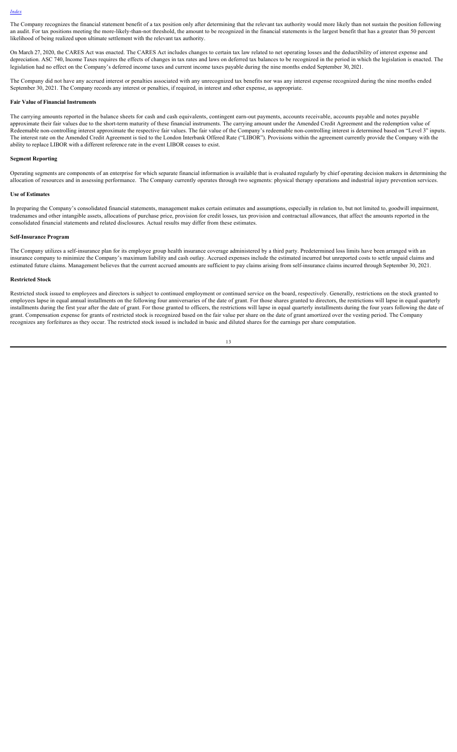The Company recognizes the financial statement benefit of a tax position only after determining that the relevant tax authority would more likely than not sustain the position following an audit. For tax positions meeting the more-likely-than-not threshold, the amount to be recognized in the financial statements is the largest benefit that has a greater than 50 percent likelihood of being realized upon ultimate settlement with the relevant tax authority.

On March 27, 2020, the CARES Act was enacted. The CARES Act includes changes to certain tax law related to net operating losses and the deductibility of interest expense and depreciation. ASC 740, Income Taxes requires the effects of changes in tax rates and laws on deferred tax balances to be recognized in the period in which the legislation is enacted. The legislation had no effect on the Company's deferred income taxes and current income taxes payable during the nine months ended September 30, 2021.

The Company did not have any accrued interest or penalties associated with any unrecognized tax benefits nor was any interest expense recognized during the nine months ended September 30, 2021. The Company records any interest or penalties, if required, in interest and other expense, as appropriate.

### **Fair Value of Financial Instruments**

The carrying amounts reported in the balance sheets for cash and cash equivalents, contingent earn-out payments, accounts receivable, accounts payable and notes payable approximate their fair values due to the short-term maturity of these financial instruments. The carrying amount under the Amended Credit Agreement and the redemption value of Redeemable non-controlling interest approximate the respective fair values. The fair value of the Company's redeemable non-controlling interest is determined based on "Level 3" inputs. The interest rate on the Amended Credit Agreement is tied to the London Interbank Offered Rate ("LIBOR"). Provisions within the agreement currently provide the Company with the ability to replace LIBOR with a different reference rate in the event LIBOR ceases to exist.

#### **Segment Reporting**

Operating segments are components of an enterprise for which separate financial information is available that is evaluated regularly by chief operating decision makers in determining the allocation of resources and in assessing performance. The Company currently operates through two segments: physical therapy operations and industrial injury prevention services.

### **Use of Estimates**

In preparing the Company's consolidated financial statements, management makes certain estimates and assumptions, especially in relation to, but not limited to, goodwill impairment, tradenames and other intangible assets, allocations of purchase price, provision for credit losses, tax provision and contractual allowances, that affect the amounts reported in the consolidated financial statements and related disclosures. Actual results may differ from these estimates.

### **Self-Insurance Program**

The Company utilizes a self-insurance plan for its employee group health insurance coverage administered by a third party. Predetermined loss limits have been arranged with an insurance company to minimize the Company's maximum liability and cash outlay. Accrued expenses include the estimated incurred but unreported costs to settle unpaid claims and estimated future claims. Management believes that the current accrued amounts are sufficient to pay claims arising from self-insurance claims incurred through September 30, 2021.

#### **Restricted Stock**

Restricted stock issued to employees and directors is subject to continued employment or continued service on the board, respectively. Generally, restrictions on the stock granted to employees lapse in equal annual installments on the following four anniversaries of the date of grant. For those shares granted to directors, the restrictions will lapse in equal quarterly installments during the first year after the date of grant. For those granted to officers, the restrictions will lapse in equal quarterly installments during the four years following the date of grant. Compensation expense for grants of restricted stock is recognized based on the fair value per share on the date of grant amortized over the vesting period. The Company recognizes any forfeitures as they occur. The restricted stock issued is included in basic and diluted shares for the earnings per share computation.

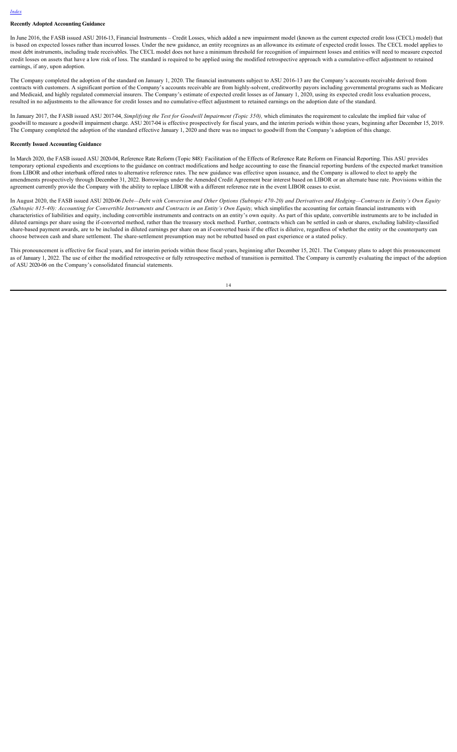#### **Recently Adopted Accounting Guidance**

In June 2016, the FASB issued ASU 2016-13, Financial Instruments – Credit Losses, which added a new impairment model (known as the current expected credit loss (CECL) model) that is based on expected losses rather than incurred losses. Under the new guidance, an entity recognizes as an allowance its estimate of expected credit losses. The CECL model applies to most debt instruments, including trade receivables. The CECL model does not have a minimum threshold for recognition of impairment losses and entities will need to measure expected credit losses on assets that have a low risk of loss. The standard is required to be applied using the modified retrospective approach with a cumulative-effect adjustment to retained earnings, if any, upon adoption.

The Company completed the adoption of the standard on January 1, 2020. The financial instruments subject to ASU 2016-13 are the Company's accounts receivable derived from contracts with customers. A significant portion of the Company's accounts receivable are from highly-solvent, creditworthy payors including governmental programs such as Medicare and Medicaid, and highly regulated commercial insurers. The Company's estimate of expected credit losses as of January 1, 2020, using its expected credit loss evaluation process, resulted in no adjustments to the allowance for credit losses and no cumulative-effect adjustment to retained earnings on the adoption date of the standard.

In January 2017, the FASB issued ASU 2017-04, *Simplifying the Test for Goodwill Impairment (Topic 350),* which eliminates the requirement to calculate the implied fair value of goodwill to measure a goodwill impairment charge. ASU 2017-04 is effective prospectively for fiscal years, and the interim periods within those years, beginning after December 15, 2019. The Company completed the adoption of the standard effective January 1, 2020 and there was no impact to goodwill from the Company's adoption of this change.

#### **Recently Issued Accounting Guidance**

In March 2020, the FASB issued ASU 2020-04, Reference Rate Reform (Topic 848): Facilitation of the Effects of Reference Rate Reform on Financial Reporting. This ASU provides temporary optional expedients and exceptions to the guidance on contract modifications and hedge accounting to ease the financial reporting burdens of the expected market transition from LIBOR and other interbank offered rates to alternative reference rates. The new guidance was effective upon issuance, and the Company is allowed to elect to apply the amendments prospectively through December 31, 2022. Borrowings under the Amended Credit Agreement bear interest based on LIBOR or an alternate base rate. Provisions within the agreement currently provide the Company with the ability to replace LIBOR with a different reference rate in the event LIBOR ceases to exist.

In August 2020, the FASB issued ASU 2020-06 *Debt—Debt with Conversion and Other Options (Subtopic 470-20) and Derivatives and Hedging—Contracts in Entity's Own Equity* (Subtopic 815-40): Accounting for Convertible Instruments and Contracts in an Entity's Own Equity, which simplifies the accounting for certain financial instruments with characteristics of liabilities and equity, including convertible instruments and contracts on an entity's own equity. As part of this update, convertible instruments are to be included in diluted earnings per share using the if-converted method, rather than the treasury stock method. Further, contracts which can be settled in cash or shares, excluding liability-classified share-based payment awards, are to be included in diluted earnings per share on an if-converted basis if the effect is dilutive, regardless of whether the entity or the counterparty can choose between cash and share settlement. The share-settlement presumption may not be rebutted based on past experience or a stated policy.

This pronouncement is effective for fiscal years, and for interim periods within those fiscal years, beginning after December 15, 2021. The Company plans to adopt this pronouncement as of January 1, 2022. The use of either the modified retrospective or fully retrospective method of transition is permitted. The Company is currently evaluating the impact of the adoption of ASU 2020-06 on the Company's consolidated financial statements.

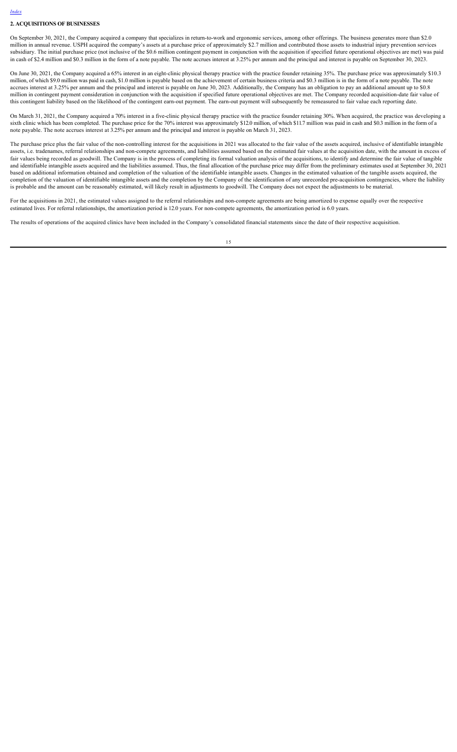#### **2. ACQUISITIONS OF BUSINESSES**

On September 30, 2021, the Company acquired a company that specializes in return-to-work and ergonomic services, among other offerings. The business generates more than \$2.0 million in annual revenue. USPH acquired the company's assets at a purchase price of approximately \$2.7 million and contributed those assets to industrial injury prevention services subsidiary. The initial purchase price (not inclusive of the \$0.6 million contingent payment in conjunction with the acquisition if specified future operational objectives are met) was paid in cash of \$2.4 million and \$0.3 million in the form of a note payable. The note accrues interest at 3.25% per annum and the principal and interest is payable on September 30, 2023.

On June 30, 2021, the Company acquired a 65% interest in an eight-clinic physical therapy practice with the practice founder retaining 35%. The purchase price was approximately \$10.3 million, of which \$9.0 million was paid in cash, \$1.0 million is payable based on the achievement of certain business criteria and \$0.3 million is in the form of a note payable. The note accrues interest at 3.25% per annum and the principal and interest is payable on June 30, 2023. Additionally, the Company has an obligation to pay an additional amount up to \$0.8 million in contingent payment consideration in conjunction with the acquisition if specified future operational objectives are met. The Company recorded acquisition-date fair value of this contingent liability based on the likelihood of the contingent earn-out payment. The earn-out payment will subsequently be remeasured to fair value each reporting date.

On March 31, 2021, the Company acquired a 70% interest in a five-clinic physical therapy practice with the practice founder retaining 30%. When acquired, the practice was developing a sixth clinic which has been completed. The purchase price for the 70% interest was approximately \$12.0 million, of which \$11.7 million was paid in cash and \$0.3 million in the form of a note payable. The note accrues interest at 3.25% per annum and the principal and interest is payable on March 31, 2023.

The purchase price plus the fair value of the non-controlling interest for the acquisitions in 2021 was allocated to the fair value of the assets acquired, inclusive of identifiable intangible assets, i.e. tradenames, referral relationships and non-compete agreements, and liabilities assumed based on the estimated fair values at the acquisition date, with the amount in excess of fair values being recorded as goodwill. The Company is in the process of completing its formal valuation analysis of the acquisitions, to identify and determine the fair value of tangible and identifiable intangible assets acquired and the liabilities assumed. Thus, the final allocation of the purchase price may differ from the preliminary estimates used at September 30, 2021 based on additional information obtained and completion of the valuation of the identifiable intangible assets. Changes in the estimated valuation of the tangible assets acquired, the completion of the valuation of identifiable intangible assets and the completion by the Company of the identification of any unrecorded pre-acquisition contingencies, where the liability is probable and the amount can be reasonably estimated, will likely result in adjustments to goodwill. The Company does not expect the adjustments to be material.

For the acquisitions in 2021, the estimated values assigned to the referral relationships and non-compete agreements are being amortized to expense equally over the respective estimated lives. For referral relationships, the amortization period is 12.0 years. For non-compete agreements, the amortization period is 6.0 years.

The results of operations of the acquired clinics have been included in the Company's consolidated financial statements since the date of their respective acquisition.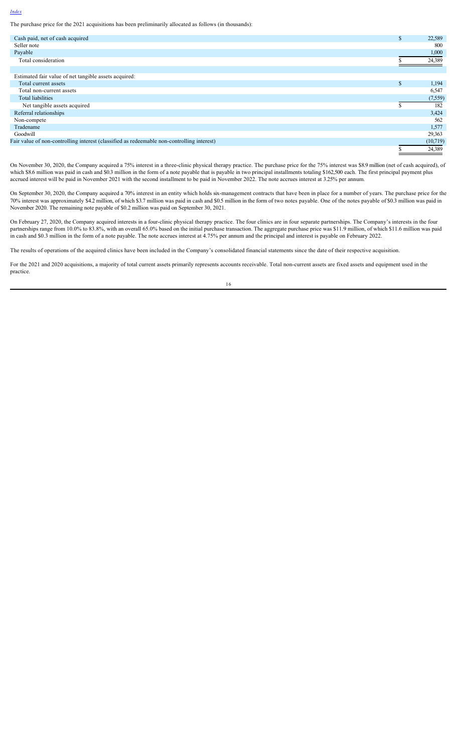The purchase price for the 2021 acquisitions has been preliminarily allocated as follows (in thousands):

| Cash paid, net of cash acquired                                                            | \$ | 22,589   |
|--------------------------------------------------------------------------------------------|----|----------|
| Seller note                                                                                |    | 800      |
| Payable                                                                                    |    | 1,000    |
| Total consideration                                                                        |    | 24,389   |
|                                                                                            |    |          |
| Estimated fair value of net tangible assets acquired:                                      |    |          |
| Total current assets                                                                       | S  | 1,194    |
| Total non-current assets                                                                   |    | 6,547    |
| <b>Total liabilities</b>                                                                   |    | (7, 559) |
| Net tangible assets acquired                                                               |    | 182      |
| Referral relationships                                                                     |    | 3,424    |
| Non-compete                                                                                |    | 562      |
| Tradename                                                                                  |    | 1,577    |
| Goodwill                                                                                   |    | 29,363   |
| Fair value of non-controlling interest (classified as redeemable non-controlling interest) |    | (10,719) |
|                                                                                            |    | 24,389   |
|                                                                                            |    |          |

On November 30, 2020, the Company acquired a 75% interest in a three-clinic physical therapy practice. The purchase price for the 75% interest was \$8.9 million (net of cash acquired), of which \$8.6 million was paid in cash and \$0.3 million in the form of a note payable that is payable in two principal installments totaling \$162,500 each. The first principal payment plus accrued interest will be paid in November 2021 with the second installment to be paid in November 2022. The note accrues interest at 3.25% per annum.

On September 30, 2020, the Company acquired a 70% interest in an entity which holds six-management contracts that have been in place for a number of years. The purchase price for the 70% interest was approximately \$4.2 million, of which \$3.7 million was paid in cash and \$0.5 million in the form of two notes payable. One of the notes payable of \$0.3 million was paid in November 2020. The remaining note payable of \$0.2 million was paid on September 30, 2021.

On February 27, 2020, the Company acquired interests in a four-clinic physical therapy practice. The four clinics are in four separate partnerships. The Company's interests in the four partnerships range from 10.0% to 83.8%, with an overall 65.0% based on the initial purchase transaction. The aggregate purchase price was \$11.9 million, of which \$11.6 million was paid in cash and \$0.3 million in the form of a note payable. The note accrues interest at 4.75% per annum and the principal and interest is payable on February 2022.

The results of operations of the acquired clinics have been included in the Company's consolidated financial statements since the date of their respective acquisition.

For the 2021 and 2020 acquisitions, a majority of total current assets primarily represents accounts receivable. Total non-current assets are fixed assets and equipment used in the practice.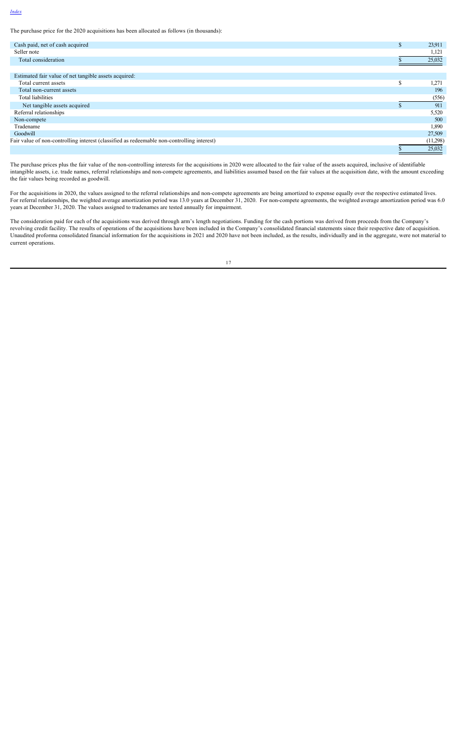The purchase price for the 2020 acquisitions has been allocated as follows (in thousands):

| Cash paid, net of cash acquired                                                            | S | 23,911   |
|--------------------------------------------------------------------------------------------|---|----------|
| Seller note                                                                                |   | 1,121    |
| Total consideration                                                                        |   | 25,032   |
|                                                                                            |   |          |
| Estimated fair value of net tangible assets acquired:                                      |   |          |
| Total current assets                                                                       | э | 1,271    |
| Total non-current assets                                                                   |   | 196      |
| Total liabilities                                                                          |   | (556)    |
| Net tangible assets acquired                                                               |   | 911      |
| Referral relationships                                                                     |   | 5,520    |
| Non-compete                                                                                |   | 500      |
| Tradename                                                                                  |   | 1,890    |
| Goodwill                                                                                   |   | 27,509   |
| Fair value of non-controlling interest (classified as redeemable non-controlling interest) |   | (11,298) |
|                                                                                            |   | 25,032   |

The purchase prices plus the fair value of the non-controlling interests for the acquisitions in 2020 were allocated to the fair value of the assets acquired, inclusive of identifiable intangible assets, i.e. trade names, referral relationships and non-compete agreements, and liabilities assumed based on the fair values at the acquisition date, with the amount exceeding the fair values being recorded as goodwill.

For the acquisitions in 2020, the values assigned to the referral relationships and non-compete agreements are being amortized to expense equally over the respective estimated lives. For referral relationships, the weighted average amortization period was 13.0 years at December 31, 2020. For non-compete agreements, the weighted average amortization period was 6.0 years at December 31, 2020. The values assigned to tradenames are tested annually for impairment.

The consideration paid for each of the acquisitions was derived through arm's length negotiations. Funding for the cash portions was derived from proceeds from the Company's revolving credit facility. The results of operations of the acquisitions have been included in the Company's consolidated financial statements since their respective date of acquisition. Unaudited proforma consolidated financial information for the acquisitions in 2021 and 2020 have not been included, as the results, individually and in the aggregate, were not material to current operations.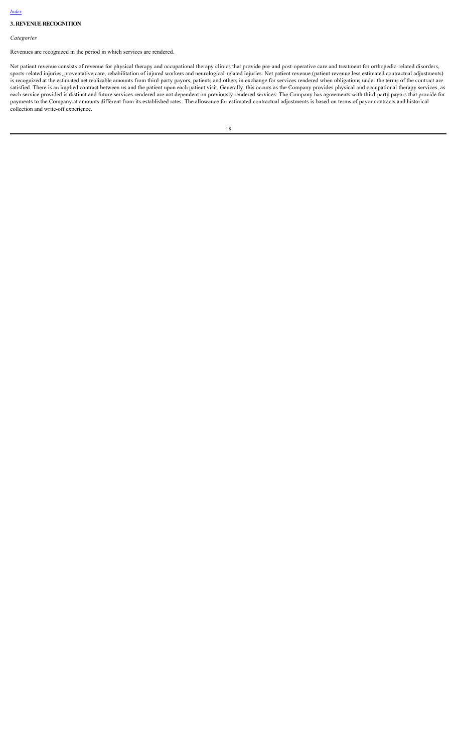### **3. REVENUE RECOGNITION**

*Categories*

Revenues are recognized in the period in which services are rendered.

Net patient revenue consists of revenue for physical therapy and occupational therapy clinics that provide pre-and post-operative care and treatment for orthopedic-related disorders, sports-related injuries, preventative care, rehabilitation of injured workers and neurological-related injuries. Net patient revenue (patient revenue less estimated contractual adjustments) is recognized at the estimated net realizable amounts from third-party payors, patients and others in exchange for services rendered when obligations under the terms of the contract are satisfied. There is an implied contract between us and the patient upon each patient visit. Generally, this occurs as the Company provides physical and occupational therapy services, as each service provided is distinct and future services rendered are not dependent on previously rendered services. The Company has agreements with third-party payors that provide for payments to the Company at amounts different from its established rates. The allowance for estimated contractual adjustments is based on terms of payor contracts and historical collection and write-off experience.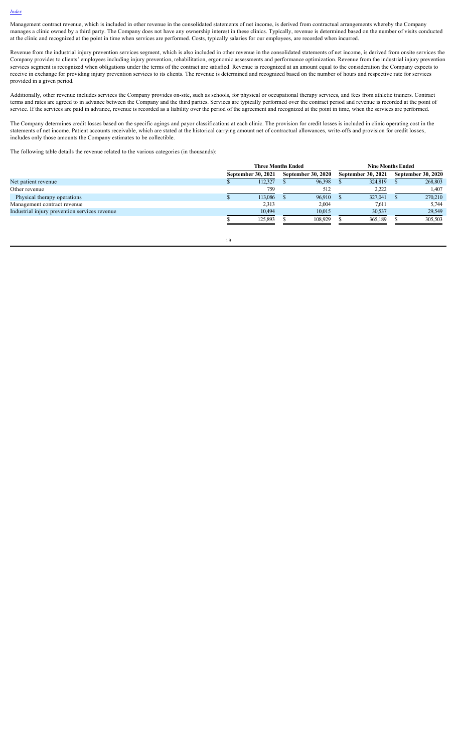Management contract revenue, which is included in other revenue in the consolidated statements of net income, is derived from contractual arrangements whereby the Company manages a clinic owned by a third party. The Company does not have any ownership interest in these clinics. Typically, revenue is determined based on the number of visits conducted at the clinic and recognized at the point in time when services are performed. Costs, typically salaries for our employees, are recorded when incurred.

Revenue from the industrial injury prevention services segment, which is also included in other revenue in the consolidated statements of net income, is derived from onsite services the Company provides to clients' employees including injury prevention, rehabilitation, ergonomic assessments and performance optimization. Revenue from the industrial injury prevention services segment is recognized when obligations under the terms of the contract are satisfied. Revenue is recognized at an amount equal to the consideration the Company expects to receive in exchange for providing injury prevention services to its clients. The revenue is determined and recognized based on the number of hours and respective rate for services provided in a given period.

Additionally, other revenue includes services the Company provides on-site, such as schools, for physical or occupational therapy services, and fees from athletic trainers. Contract terms and rates are agreed to in advance between the Company and the third parties. Services are typically performed over the contract period and revenue is recorded at the point of service. If the services are paid in advance, revenue is recorded as a liability over the period of the agreement and recognized at the point in time, when the services are performed.

The Company determines credit losses based on the specific agings and payor classifications at each clinic. The provision for credit losses is included in clinic operating cost in the statements of net income. Patient accounts receivable, which are stated at the historical carrying amount net of contractual allowances, write-offs and provision for credit losses, includes only those amounts the Company estimates to be collectible.

The following table details the revenue related to the various categories (in thousands):

|                                               | <b>Three Months Ended</b> |                           |  |                           | <b>Nine Months Ended</b> |                           |  |                           |
|-----------------------------------------------|---------------------------|---------------------------|--|---------------------------|--------------------------|---------------------------|--|---------------------------|
|                                               |                           | <b>September 30, 2021</b> |  | <b>September 30, 2020</b> |                          | <b>September 30, 2021</b> |  | <b>September 30, 2020</b> |
| Net patient revenue                           |                           | 112.327                   |  | 96,398                    |                          | 324,819                   |  | 268,803                   |
| Other revenue                                 |                           | 759                       |  | 512                       |                          | 2,222                     |  | 1,407                     |
| Physical therapy operations                   |                           | 113,086                   |  | 96,910                    |                          | 327,041                   |  | 270,210                   |
| Management contract revenue                   |                           | 2,313                     |  | 2,004                     |                          | 7,611                     |  | 5,744                     |
| Industrial injury prevention services revenue |                           | 10,494                    |  | 10,015                    |                          | 30,537                    |  | 29,549                    |
|                                               |                           | 125,893                   |  | 108.929                   |                          | 365,189                   |  | 305,503                   |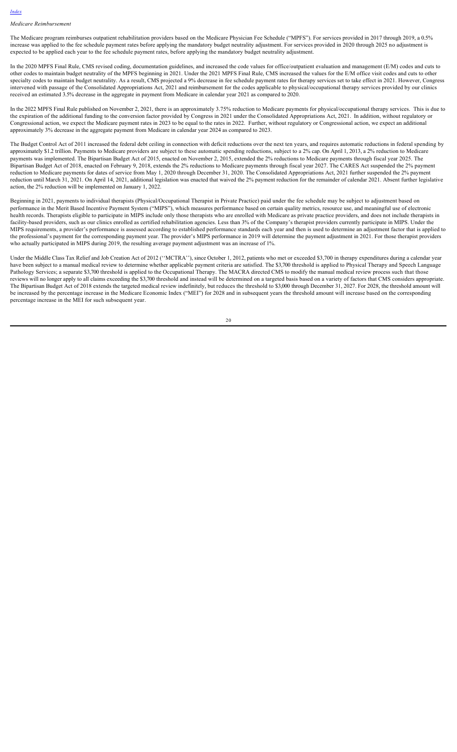*Medicare Reimbursement*

The Medicare program reimburses outpatient rehabilitation providers based on the Medicare Physician Fee Schedule ("MPFS"). For services provided in 2017 through 2019, a 0.5% increase was applied to the fee schedule payment rates before applying the mandatory budget neutrality adjustment. For services provided in 2020 through 2025 no adjustment is expected to be applied each year to the fee schedule payment rates, before applying the mandatory budget neutrality adjustment.

In the 2020 MPFS Final Rule, CMS revised coding, documentation guidelines, and increased the code values for office/outpatient evaluation and management (E/M) codes and cuts to other codes to maintain budget neutrality of the MPFS beginning in 2021. Under the 2021 MPFS Final Rule, CMS increased the values for the E/M office visit codes and cuts to other specialty codes to maintain budget neutrality. As a result, CMS projected a 9% decrease in fee schedule payment rates for therapy services set to take effect in 2021. However, Congress intervened with passage of the Consolidated Appropriations Act, 2021 and reimbursement for the codes applicable to physical/occupational therapy services provided by our clinics received an estimated 3.5% decrease in the aggregate in payment from Medicare in calendar year 2021 as compared to 2020.

In the 2022 MPFS Final Rule published on November 2, 2021, there is an approximately 3.75% reduction to Medicare payments for physical/occupational therapy services. This is due to the expiration of the additional funding to the conversion factor provided by Congress in 2021 under the Consolidated Appropriations Act, 2021. In addition, without regulatory or Congressional action, we expect the Medicare payment rates in 2023 to be equal to the rates in 2022. Further, without regulatory or Congressional action, we expect an additional approximately 3% decrease in the aggregate payment from Medicare in calendar year 2024 as compared to 2023.

The Budget Control Act of 2011 increased the federal debt ceiling in connection with deficit reductions over the next ten years, and requires automatic reductions in federal spending by approximately \$1.2 trillion. Payments to Medicare providers are subject to these automatic spending reductions, subject to a 2% cap. On April 1, 2013, a 2% reduction to Medicare payments was implemented. The Bipartisan Budget Act of 2015, enacted on November 2, 2015, extended the 2% reductions to Medicare payments through fiscal year 2025. The Bipartisan Budget Act of 2018, enacted on February 9, 2018, extends the 2% reductions to Medicare payments through fiscal year 2027. The CARES Act suspended the 2% payment reduction to Medicare payments for dates of service from May 1, 2020 through December 31, 2020. The Consolidated Appropriations Act, 2021 further suspended the 2% payment reduction until March 31, 2021. On April 14, 2021, additional legislation was enacted that waived the 2% payment reduction for the remainder of calendar 2021. Absent further legislative action, the 2% reduction will be implemented on January 1, 2022.

Beginning in 2021, payments to individual therapists (Physical/Occupational Therapist in Private Practice) paid under the fee schedule may be subject to adjustment based on performance in the Merit Based Incentive Payment System ("MIPS"), which measures performance based on certain quality metrics, resource use, and meaningful use of electronic .<br>health records. Therapists eligible to participate in MIPS include only those therapists who are enrolled with Medicare as private practice providers, and does not include therapists in facility-based providers, such as our clinics enrolled as certified rehabilitation agencies. Less than 3% of the Company's therapist providers currently participate in MIPS. Under the MIPS requirements, a provider's performance is assessed according to established performance standards each year and then is used to determine an adjustment factor that is applied to the professional's payment for the corresponding payment year. The provider's MIPS performance in 2019 will determine the payment adjustment in 2021. For those therapist providers who actually participated in MIPS during 2019, the resulting average payment adjustment was an increase of 1%.

Under the Middle Class Tax Relief and Job Creation Act of 2012 ("MCTRA"), since October 1, 2012, patients who met or exceeded \$3,700 in therapy expenditures during a calendar year have been subject to a manual medical review to determine whether applicable payment criteria are satisfied. The \$3,700 threshold is applied to Physical Therapy and Speech Language Pathology Services; a separate \$3,700 threshold is applied to the Occupational Therapy. The MACRA directed CMS to modify the manual medical review process such that those reviews will no longer apply to all claims exceeding the \$3,700 threshold and instead will be determined on a targeted basis based on a variety of factors that CMS considers appropriate. The Bipartisan Budget Act of 2018 extends the targeted medical review indefinitely, but reduces the threshold to \$3,000 through December 31, 2027. For 2028, the threshold amount will be increased by the percentage increase in the Medicare Economic Index ("MEI") for 2028 and in subsequent years the threshold amount will increase based on the corresponding percentage increase in the MEI for such subsequent year.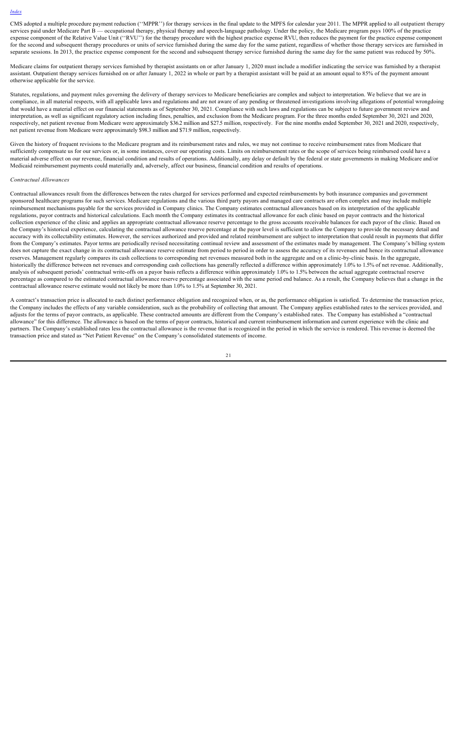CMS adopted a multiple procedure payment reduction (''MPPR'') for therapy services in the final update to the MPFS for calendar year 2011. The MPPR applied to all outpatient therapy services paid under Medicare Part B — occupational therapy, physical therapy and speech-language pathology. Under the policy, the Medicare program pays 100% of the practice expense component of the Relative Value Unit (''RVU'') for the therapy procedure with the highest practice expense RVU, then reduces the payment for the practice expense component for the second and subsequent therapy procedures or units of service furnished during the same day for the same patient, regardless of whether those therapy services are furnished in separate sessions. In 2013, the practice expense component for the second and subsequent therapy service furnished during the same day for the same patient was reduced by 50%.

Medicare claims for outpatient therapy services furnished by therapist assistants on or after January 1, 2020 must include a modifier indicating the service was furnished by a therapist assistant. Outpatient therapy services furnished on or after January 1, 2022 in whole or part by a therapist assistant will be paid at an amount equal to 85% of the payment amount otherwise applicable for the service.

Statutes, regulations, and payment rules governing the delivery of therapy services to Medicare beneficiaries are complex and subject to interpretation. We believe that we are in compliance, in all material respects, with all applicable laws and regulations and are not aware of any pending or threatened investigations involving allegations of potential wrongdoing that would have a material effect on our financial statements as of September 30, 2021. Compliance with such laws and regulations can be subject to future government review and interpretation, as well as significant regulatory action including fines, penalties, and exclusion from the Medicare program. For the three months ended September 30, 2021 and 2020, respectively, net patient revenue from Medicare were approximately \$36.2 million and \$27.5 million, respectively. For the nine months ended September 30, 2021 and 2020, respectively, net patient revenue from Medicare were approximately \$98.3 million and \$71.9 million, respectively.

Given the history of frequent revisions to the Medicare program and its reimbursement rates and rules, we may not continue to receive reimbursement rates from Medicare that sufficiently compensate us for our services or, in some instances, cover our operating costs. Limits on reimbursement rates or the scope of services being reimbursed could have a material adverse effect on our revenue, financial condition and results of operations. Additionally, any delay or default by the federal or state governments in making Medicare and/or Medicaid reimbursement payments could materially and, adversely, affect our business, financial condition and results of operations.

### *Contractual Allowances*

Contractual allowances result from the differences between the rates charged for services performed and expected reimbursements by both insurance companies and government sponsored healthcare programs for such services. Medicare regulations and the various third party payors and managed care contracts are often complex and may include multiple reimbursement mechanisms payable for the services provided in Company clinics. The Company estimates contractual allowances based on its interpretation of the applicable regulations, payor contracts and historical calculations. Each month the Company estimates its contractual allowance for each clinic based on payor contracts and the historical collection experience of the clinic and applies an appropriate contractual allowance reserve percentage to the gross accounts receivable balances for each payor of the clinic. Based on the Company's historical experience, calculating the contractual allowance reserve percentage at the payor level is sufficient to allow the Company to provide the necessary detail and accuracy with its collectability estimates. However, the services authorized and provided and related reimbursement are subject to interpretation that could result in payments that differ from the Company's estimates. Payor terms are periodically revised necessitating continual review and assessment of the estimates made by management. The Company's billing system does not capture the exact change in its contractual allowance reserve estimate from period to period in order to assess the accuracy of its revenues and hence its contractual allowance reserves. Management regularly compares its cash collections to corresponding net revenues measured both in the aggregate and on a clinic-by-clinic basis. In the aggregate, historically the difference between net revenues and corresponding cash collections has generally reflected a difference within approximately 1.0% to 1.5% of net revenue. Additionally, analysis of subsequent periods' contractual write-offs on a payor basis reflects a difference within approximately 1.0% to 1.5% between the actual aggregate contractual reserve percentage as compared to the estimated contractual allowance reserve percentage associated with the same period end balance. As a result, the Company believes that a change in the contractual allowance reserve estimate would not likely be more than 1.0% to 1.5% at September 30, 2021.

A contract's transaction price is allocated to each distinct performance obligation and recognized when, or as, the performance obligation is satisfied. To determine the transaction price, the Company includes the effects of any variable consideration, such as the probability of collecting that amount. The Company applies established rates to the services provided, and adjusts for the terms of payor contracts, as applicable. These contracted amounts are different from the Company's established rates. The Company has established a "contractual allowance" for this difference. The allowance is based on the terms of payor contracts, historical and current reimbursement information and current experience with the clinic and partners. The Company's established rates less the contractual allowance is the revenue that is recognized in the period in which the service is rendered. This revenue is deemed the transaction price and stated as "Net Patient Revenue" on the Company's consolidated statements of income.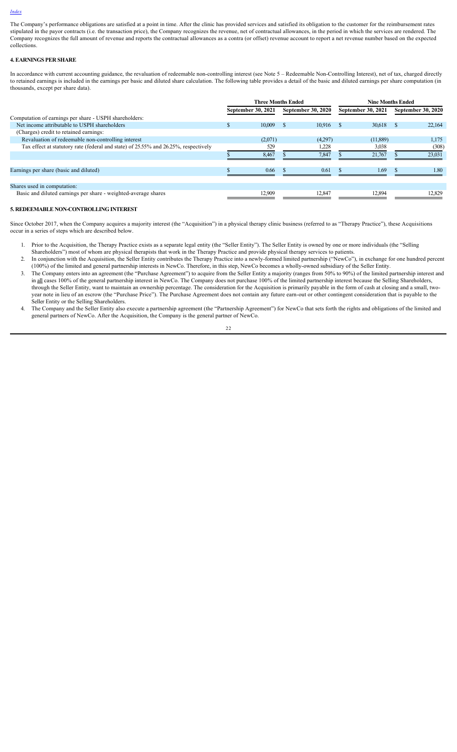The Company's performance obligations are satisfied at a point in time. After the clinic has provided services and satisfied its obligation to the customer for the reimbursement rates stipulated in the payor contracts (i.e. the transaction price), the Company recognizes the revenue, net of contractual allowances, in the period in which the services are rendered. The Company recognizes the full amount of revenue and reports the contractual allowances as a contra (or offset) revenue account to report a net revenue number based on the expected collections.

### **4. EARNINGS PER SHARE**

In accordance with current accounting guidance, the revaluation of redeemable non-controlling interest (see Note 5 – Redeemable Non-Controlling Interest), net of tax, charged directly to retained earnings is included in the earnings per basic and diluted share calculation. The following table provides a detail of the basic and diluted earnings per share computation (in thousands, except per share data).

|                                                                                     | <b>Three Months Ended</b> |                           |   |                           |  | <b>Nine Months Ended</b> |    |                           |
|-------------------------------------------------------------------------------------|---------------------------|---------------------------|---|---------------------------|--|--------------------------|----|---------------------------|
|                                                                                     |                           | <b>September 30, 2021</b> |   | <b>September 30, 2020</b> |  | September 30, 2021       |    | <b>September 30, 2020</b> |
| Computation of earnings per share - USPH shareholders:                              |                           |                           |   |                           |  |                          |    |                           |
| Net income attributable to USPH shareholders                                        | ж                         | 10.009                    | э | 10,916                    |  | 30.618                   | S. | 22,164                    |
| (Charges) credit to retained earnings:                                              |                           |                           |   |                           |  |                          |    |                           |
| Revaluation of redeemable non-controlling interest                                  |                           | (2,071)                   |   | (4,297)                   |  | (11,889)                 |    | 1,175                     |
| Tax effect at statutory rate (federal and state) of 25.55% and 26.25%, respectively |                           | 529                       |   | 1,228                     |  | 3,038                    |    | (308)                     |
|                                                                                     |                           | 8,467                     |   | 7,847                     |  | 21,767                   |    | 23,031                    |
| Earnings per share (basic and diluted)                                              |                           | 0.66                      |   | 0.61                      |  | 1.69                     |    | 1.80                      |
|                                                                                     |                           |                           |   |                           |  |                          |    |                           |
| Shares used in computation:                                                         |                           |                           |   |                           |  |                          |    |                           |
| Basic and diluted earnings per share - weighted-average shares                      |                           | 12,909                    |   | 12,847                    |  | 12,894                   |    | 12,829                    |

### **5. REDEEMABLE NON-CONTROLLING INTEREST**

Since October 2017, when the Company acquires a majority interest (the "Acquisition") in a physical therapy clinic business (referred to as "Therapy Practice"), these Acquisitions occur in a series of steps which are described below.

- 1. Prior to the Acquisition, the Therapy Practice exists as a separate legal entity (the "Seller Entity"). The Seller Entity is owned by one or more individuals (the "Selling
- Shareholders") most of whom are physical therapists that work in the Therapy Practice and provide physical therapy services to patients.
- 2. In conjunction with the Acquisition, the Seller Entity contributes the Therapy Practice into a newly-formed limited partnership ("NewCo"), in exchange for one hundred percent (100%) of the limited and general partnership interests in NewCo. Therefore, in this step, NewCo becomes a wholly-owned subsidiary of the Seller Entity.
- 3. The Company enters into an agreement (the "Purchase Agreement") to acquire from the Seller Entity a majority (ranges from 50% to 90%) of the limited partnership interest and in all cases 100% of the general partnership interest in NewCo. The Company does not purchase 100% of the limited partnership interest because the Selling Shareholders, through the Seller Entity, want to maintain an ownership percentage. The consideration for the Acquisition is primarily payable in the form of cash at closing and a small, twoyear note in lieu of an escrow (the "Purchase Price"). The Purchase Agreement does not contain any future earn-out or other contingent consideration that is payable to the Seller Entity or the Selling Shareholders.
- 4. The Company and the Seller Entity also execute a partnership agreement (the "Partnership Agreement") for NewCo that sets forth the rights and obligations of the limited and general partners of NewCo. After the Acquisition, the Company is the general partner of NewCo.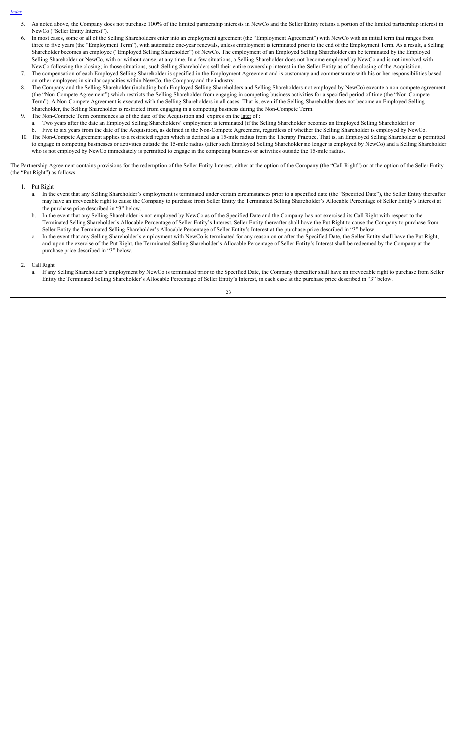- 5. As noted above, the Company does not purchase 100% of the limited partnership interests in NewCo and the Seller Entity retains a portion of the limited partnership interest in NewCo ("Seller Entity Interest").
- 6. In most cases, some or all of the Selling Shareholders enter into an employment agreement (the "Employment Agreement") with NewCo with an initial term that ranges from three to five years (the "Employment Term"), with automatic one-year renewals, unless employment is terminated prior to the end of the Employment Term. As a result, a Selling Shareholder becomes an employee ("Employed Selling Shareholder") of NewCo. The employment of an Employed Selling Shareholder can be terminated by the Employed Selling Shareholder or NewCo, with or without cause, at any time. In a few situations, a Selling Shareholder does not become employed by NewCo and is not involved with NewCo following the closing; in those situations, such Selling Shareholders sell their entire ownership interest in the Seller Entity as of the closing of the Acquisition.
- 7. The compensation of each Employed Selling Shareholder is specified in the Employment Agreement and is customary and commensurate with his or her responsibilities based on other employees in similar capacities within NewCo, the Company and the industry.
- 8. The Company and the Selling Shareholder (including both Employed Selling Shareholders and Selling Shareholders not employed by NewCo) execute a non-compete agreement (the "Non-Compete Agreement") which restricts the Selling Shareholder from engaging in competing business activities for a specified period of time (the "Non-Compete Term"). A Non-Compete Agreement is executed with the Selling Shareholders in all cases. That is, even if the Selling Shareholder does not become an Employed Selling Shareholder, the Selling Shareholder is restricted from engaging in a competing business during the Non-Compete Term.
- 9. The Non-Compete Term commences as of the date of the Acquisition and expires on the later of : a. Two years after the date an Employed Selling Shareholders' employment is terminated (if the Selling Shareholder becomes an Employed Selling Shareholder) or b. Five to six years from the date of the Acquisition, as defined in the Non-Compete Agreement, regardless of whether the Selling Shareholder is employed by NewCo.
- 10. The Non-Compete Agreement applies to a restricted region which is defined as a 15-mile radius from the Therapy Practice. That is, an Employed Selling Shareholder is permitted to engage in competing businesses or activities outside the 15-mile radius (after such Employed Selling Shareholder no longer is employed by NewCo) and a Selling Shareholder who is not employed by NewCo immediately is permitted to engage in the competing business or activities outside the 15-mile radius.

The Partnership Agreement contains provisions for the redemption of the Seller Entity Interest, either at the option of the Company (the "Call Right") or at the option of the Seller Entity (the "Put Right") as follows:

### 1. Put Right

- a. In the event that any Selling Shareholder's employment is terminated under certain circumstances prior to a specified date (the "Specified Date"), the Seller Entity thereafter may have an irrevocable right to cause the Company to purchase from Seller Entity the Terminated Selling Shareholder's Allocable Percentage of Seller Entity's Interest at the purchase price described in "3" below.
- b. In the event that any Selling Shareholder is not employed by NewCo as of the Specified Date and the Company has not exercised its Call Right with respect to the Terminated Selling Shareholder's Allocable Percentage of Seller Entity's Interest, Seller Entity thereafter shall have the Put Right to cause the Company to purchase from Seller Entity the Terminated Selling Shareholder's Allocable Percentage of Seller Entity's Interest at the purchase price described in "3" below.
- c. In the event that any Selling Shareholder's employment with NewCo is terminated for any reason on or after the Specified Date, the Seller Entity shall have the Put Right, and upon the exercise of the Put Right, the Terminated Selling Shareholder's Allocable Percentage of Seller Entity's Interest shall be redeemed by the Company at the purchase price described in "3" below.

### 2. Call Right

a. If any Selling Shareholder's employment by NewCo is terminated prior to the Specified Date, the Company thereafter shall have an irrevocable right to purchase from Seller Entity the Terminated Selling Shareholder's Allocable Percentage of Seller Entity's Interest, in each case at the purchase price described in "3" below.

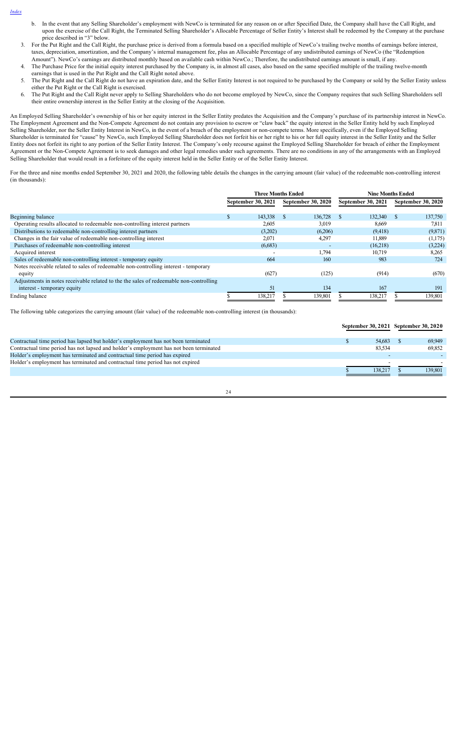- b. In the event that any Selling Shareholder's employment with NewCo is terminated for any reason on or after Specified Date, the Company shall have the Call Right, and upon the exercise of the Call Right, the Terminated Selling Shareholder's Allocable Percentage of Seller Entity's Interest shall be redeemed by the Company at the purchase price described in "3" below.
- 3. For the Put Right and the Call Right, the purchase price is derived from a formula based on a specified multiple of NewCo's trailing twelve months of earnings before interest, taxes, depreciation, amortization, and the Company's internal management fee, plus an Allocable Percentage of any undistributed earnings of NewCo (the "Redemption Amount"). NewCo's earnings are distributed monthly based on available cash within NewCo.; Therefore, the undistributed earnings amount is small, if any.
- 4. The Purchase Price for the initial equity interest purchased by the Company is, in almost all cases, also based on the same specified multiple of the trailing twelve-month earnings that is used in the Put Right and the Call Right noted above.
- 5. The Put Right and the Call Right do not have an expiration date, and the Seller Entity Interest is not required to be purchased by the Company or sold by the Seller Entity unless either the Put Right or the Call Right is exercised.
- 6. The Put Right and the Call Right never apply to Selling Shareholders who do not become employed by NewCo, since the Company requires that such Selling Shareholders sell their entire ownership interest in the Seller Entity at the closing of the Acquisition.

An Employed Selling Shareholder's ownership of his or her equity interest in the Seller Entity predates the Acquisition and the Company's purchase of its partnership interest in NewCo. The Employment Agreement and the Non-Compete Agreement do not contain any provision to escrow or "claw back" the equity interest in the Seller Entity held by such Employed Selling Shareholder, nor the Seller Entity Interest in NewCo, in the event of a breach of the employment or non-compete terms. More specifically, even if the Employed Selling Shareholder is terminated for "cause" by NewCo, such Employed Selling Shareholder does not forfeit his or her right to his or her full equity interest in the Seller Entity and the Seller Entity does not forfeit its right to any portion of the Seller Entity Interest. The Company's only recourse against the Employed Selling Shareholder for breach of either the Employment Agreement or the Non-Compete Agreement is to seek damages and other legal remedies under such agreements. There are no conditions in any of the arrangements with an Employed Selling Shareholder that would result in a forfeiture of the equity interest held in the Seller Entity or of the Seller Entity Interest.

For the three and nine months ended September 30, 2021 and 2020, the following table details the changes in the carrying amount (fair value) of the redeemable non-controlling interest (in thousands):

|                                                                                        | <b>Three Months Ended</b> |         |                           |         | <b>Nine Months Ended</b> |          |   |                           |
|----------------------------------------------------------------------------------------|---------------------------|---------|---------------------------|---------|--------------------------|----------|---|---------------------------|
|                                                                                        | <b>September 30, 2021</b> |         | <b>September 30, 2020</b> |         | September 30, 2021       |          |   | <b>September 30, 2020</b> |
|                                                                                        |                           |         |                           |         |                          |          |   |                           |
| Beginning balance                                                                      | S                         | 143,338 | <b>S</b>                  | 136,728 |                          | 132,340  | S | 137,750                   |
| Operating results allocated to redeemable non-controlling interest partners            |                           | 2,605   |                           | 3,019   |                          | 8,669    |   | 7,811                     |
| Distributions to redeemable non-controlling interest partners                          |                           | (3,202) |                           | (6,206) |                          | (9,418)  |   | (9,871)                   |
| Changes in the fair value of redeemable non-controlling interest                       |                           | 2,071   |                           | 4,297   |                          | 11,889   |   | (1,175)                   |
| Purchases of redeemable non-controlling interest                                       |                           | (6,683) |                           |         |                          | (16,218) |   | (3,224)                   |
| Acquired interest                                                                      |                           |         |                           | 1,794   |                          | 10,719   |   | 8,265                     |
| Sales of redeemable non-controlling interest - temporary equity                        |                           | 664     |                           | 160     |                          | 983      |   | 724                       |
| Notes receivable related to sales of redeemable non-controlling interest - temporary   |                           |         |                           |         |                          |          |   |                           |
| equity                                                                                 |                           | (627)   |                           | (125)   |                          | (914)    |   | (670)                     |
| Adjustments in notes receivable related to the the sales of redeemable non-controlling |                           |         |                           |         |                          |          |   |                           |
| interest - temporary equity                                                            |                           | 51      |                           | 134     |                          | 167      |   | 191                       |
| Ending balance                                                                         |                           | 138,217 |                           | 139,801 |                          | 138,217  |   | 139,801                   |

The following table categorizes the carrying amount (fair value) of the redeemable non-controlling interest (in thousands):

|                                                                                        | September 30, 2021 September 30, 2020 |         |         |
|----------------------------------------------------------------------------------------|---------------------------------------|---------|---------|
| Contractual time period has lapsed but holder's employment has not been terminated     |                                       | 54.683  | 69.949  |
| Contractual time period has not lapsed and holder's employment has not been terminated |                                       | 83.534  | 69,852  |
| Holder's employment has terminated and contractual time period has expired             |                                       |         |         |
| Holder's employment has terminated and contractual time period has not expired         |                                       |         |         |
|                                                                                        |                                       | 138.217 | 139,801 |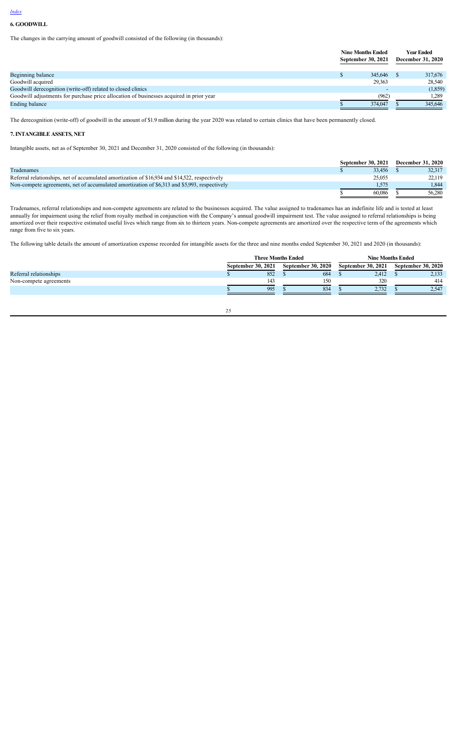### **6. GOODWILL**

The changes in the carrying amount of goodwill consisted of the following (in thousands):

|                                                                                         | <b>Nine Months Ended</b><br><b>September 30, 2021</b> |         | <b>Year Ended</b><br><b>December 31, 2020</b> |
|-----------------------------------------------------------------------------------------|-------------------------------------------------------|---------|-----------------------------------------------|
| Beginning balance                                                                       |                                                       | 345,646 | 317,676                                       |
| Goodwill acquired                                                                       |                                                       | 29,363  | 28,540                                        |
| Goodwill derecognition (write-off) related to closed clinics                            |                                                       |         | (1,859)                                       |
| Goodwill adjustments for purchase price allocation of businesses acquired in prior year |                                                       | (962)   | 1.289                                         |
| <b>Ending balance</b>                                                                   |                                                       | 374,047 | 345,646                                       |

The derecognition (write-off) of goodwill in the amount of \$1.9 million during the year 2020 was related to certain clinics that have been permanently closed.

### **7. INTANGIBLE ASSETS, NET**

Intangible assets, net as of September 30, 2021 and December 31, 2020 consisted of the following (in thousands):

|                                                                                                | <b>September 30, 2021</b> |        | <b>December 31, 2020</b> |
|------------------------------------------------------------------------------------------------|---------------------------|--------|--------------------------|
| Tradenames                                                                                     |                           | 33.456 | 32.317                   |
| Referral relationships, net of accumulated amortization of \$16,934 and \$14,522, respectively |                           | 25.055 | 22.119                   |
| Non-compete agreements, net of accumulated amortization of \$6,313 and \$5,993, respectively   |                           | 1.575  | 1.844                    |
|                                                                                                |                           | 60.086 | 56.280                   |

Tradenames, referral relationships and non-compete agreements are related to the businesses acquired. The value assigned to tradenames has an indefinite life and is tested at least annually for impairment using the relief from royalty method in conjunction with the Company's annual goodwill impairment test. The value assigned to referral relationships is being amortized over their respective estimated useful lives which range from six to thirteen years. Non-compete agreements are amortized over the respective term of the agreements which range from five to six years.

The following table details the amount of amortization expense recorded for intangible assets for the three and nine months ended September 30, 2021 and 2020 (in thousands):

|                        | <b>Three Months Ended</b>                       |  |                    | <b>Nine Months Ended</b> |                           |  |       |  |
|------------------------|-------------------------------------------------|--|--------------------|--------------------------|---------------------------|--|-------|--|
|                        | September 30, 2021<br><b>September 30, 2020</b> |  | September 30, 2021 |                          | <b>September 30, 2020</b> |  |       |  |
| Referral relationships | 852                                             |  | 684                |                          | 2,412                     |  | 2,133 |  |
| Non-compete agreements | 143                                             |  | 150                |                          | 320                       |  | 414   |  |
|                        | 995                                             |  | 834                |                          | 2.732                     |  | 2,547 |  |
|                        |                                                 |  |                    |                          |                           |  |       |  |

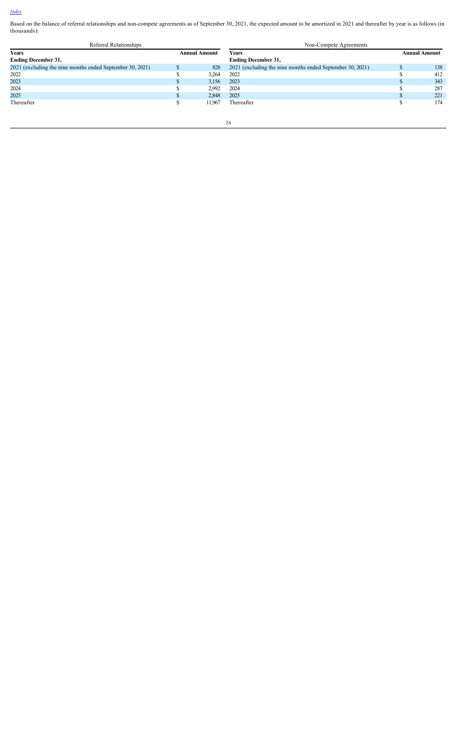Based on the balance of referral relationships and non-compete agreements as of September 30, 2021, the expected amount to be amortized in 2021 and thereafter by year is as follows (in thousands):

| Referral Relationships                                    |               | Non-Compete Agreements                                    |  |                      |  |  |  |
|-----------------------------------------------------------|---------------|-----------------------------------------------------------|--|----------------------|--|--|--|
| <b>Years</b>                                              | Annual Amount | <b>Years</b>                                              |  | <b>Annual Amount</b> |  |  |  |
| <b>Ending December 31,</b>                                |               | <b>Ending December 31,</b>                                |  |                      |  |  |  |
| 2021 (excluding the nine months ended September 30, 2021) | 828           | 2021 (excluding the nine months ended September 30, 2021) |  | 138                  |  |  |  |
| 2022                                                      | 3,264         | 2022                                                      |  | 412                  |  |  |  |
| 2023                                                      | 3,156         | 2023                                                      |  | 343                  |  |  |  |
| 2024                                                      | 2,992         | 2024                                                      |  | 287                  |  |  |  |
| 2025                                                      | 2,848         | 2025                                                      |  | 221                  |  |  |  |
| Thereafter                                                | 11.967        | Thereafter                                                |  | 174                  |  |  |  |
|                                                           |               |                                                           |  |                      |  |  |  |
|                                                           |               |                                                           |  |                      |  |  |  |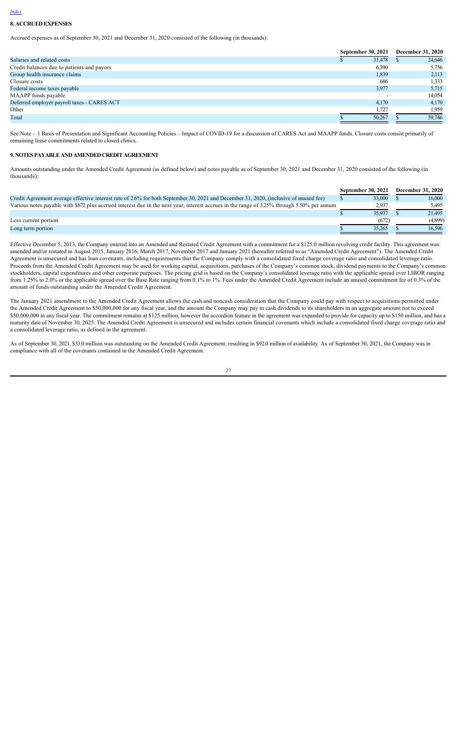### **8. ACCRUED EXPENSES**

Accrued expenses as of September 30, 2021 and December 31, 2020 consisted of the following (in thousands):

|                                             | <b>September 30, 2021</b> | <b>December 31, 2020</b> |
|---------------------------------------------|---------------------------|--------------------------|
| Salaries and related costs                  | 31,478                    | 24,646                   |
| Credit balances due to patients and payors  | 6,390                     | 5,756                    |
| Group health insurance claims               | 1,839                     | 2,113                    |
| Closure costs                               | 686                       | 1,333                    |
| Federal income taxes payable                | 3,977                     | 5,715                    |
| MAAPP funds payable                         |                           | 14,054                   |
| Deferred employer payroll taxes - CARES ACT | 4.170                     | 4,170                    |
| Other                                       | 1,727                     | 1.959                    |
| Total                                       | 50,267                    | 59,746                   |

See Note – 1 Basis of Presentation and Significant Accounting Policies – Impact of COVID-19 for a discussion of CARES Act and MAAPP funds. Closure costs consist primarily of remaining lease commitments related to closed clinics.

### **9. NOTES PAYABLE AND AMENDED CREDIT AGREEMENT**

Amounts outstanding under the Amended Credit Agreement (as defined below) and notes payable as of September 30, 2021 and December 31, 2020 consisted of the following (in thousands):

|                                                                                                                                             | <b>September 30, 2021</b> | <b>December 31, 2020</b> |
|---------------------------------------------------------------------------------------------------------------------------------------------|---------------------------|--------------------------|
| Credit Agreement average effective interest rate of 2.6% for both September 30, 2021 and December 31, 2020, (inclusive of unused fee)       | 33,000                    | 16,000                   |
| Various notes payable with \$672 plus accrued interest due in the next year, interest accrues in the range of 3.25% through 5.50% per annum | 2.937                     | 5.495                    |
|                                                                                                                                             | 35,937                    | 21,495                   |
| Less current portion                                                                                                                        | (672)                     | (4,899)                  |
| Long term portion                                                                                                                           | 35.265                    | 16.596                   |

Effective December 5, 2013, the Company entered into an Amended and Restated Credit Agreement with a commitment for a \$125.0 million revolving credit facility. This agreement was amended and/or restated in August 2015, January 2016, March 2017, November 2017 and January 2021 (hereafter referred to as "Amended Credit Agreement"). The Amended Credit Agreement is unsecured and has loan covenants, including requirements that the Company comply with a consolidated fixed charge coverage ratio and consolidated leverage ratio. Proceeds from the Amended Credit Agreement may be used for working capital, acquisitions, purchases of the Company's common stock, dividend payments to the Company's common stockholders, capital expenditures and other corporate purposes. The pricing grid is based on the Company's consolidated leverage ratio with the applicable spread over LIBOR ranging from 1.25% to 2.0% or the applicable spread over the Base Rate ranging from 0.1% to 1%. Fees under the Amended Credit Agreement include an unused commitment fee of 0.3% of the amount of funds outstanding under the Amended Credit Agreement.

The January 2021 amendment to the Amended Credit Agreement allows the cash and noncash consideration that the Company could pay with respect to acquisitions permitted under the Amended Credit Agreement to \$50,000,000 for any fiscal year, and the amount the Company may pay in cash dividends to its shareholders in an aggregate amount not to exceed \$50,000,000 in any fiscal year. The commitment remains at \$125 million, however the accordion feature in the agreement was expanded to provide for capacity up to \$150 million, and has a maturity date of November 30, 2025. The Amended Credit Agreement is unsecured and includes certain financial covenants which include a consolidated fixed charge coverage ratio and a consolidated leverage ratio, as defined in the agreement.

As of September 30, 2021, \$33.0 million was outstanding on the Amended Credit Agreement, resulting in \$92.0 million of availability. As of September 30, 2021, the Company was in compliance with all of the covenants contained in the Amended Credit Agreement.

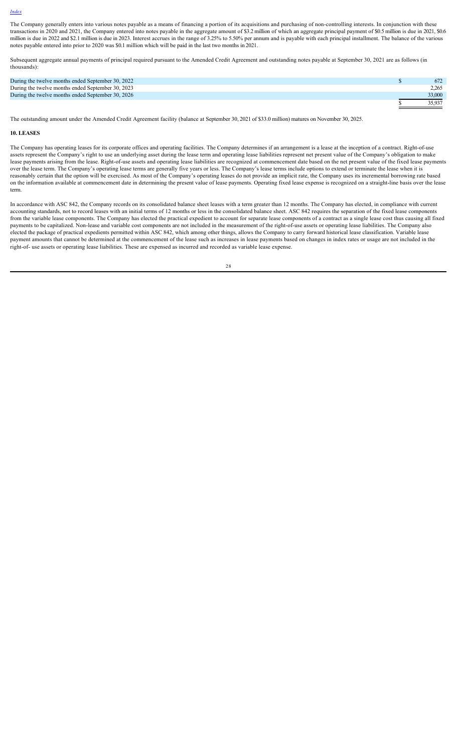The Company generally enters into various notes payable as a means of financing a portion of its acquisitions and purchasing of non-controlling interests. In conjunction with these transactions in 2020 and 2021, the Company entered into notes payable in the aggregate amount of \$3.2 million of which an aggregate principal payment of \$0.5 million is due in 2021, \$0.6 million is due in 2022 and \$2.1 million is due in 2023. Interest accrues in the range of 3.25% to 5.50% per annum and is payable with each principal installment. The balance of the various notes payable entered into prior to 2020 was \$0.1 million which will be paid in the last two months in 2021.

Subsequent aggregate annual payments of principal required pursuant to the Amended Credit Agreement and outstanding notes payable at September 30, 2021 are as follows (in thousands):

| During the twelve months ended September 30, 2022 | 672    |
|---------------------------------------------------|--------|
| During the twelve months ended September 30, 2023 | 2.265  |
| During the twelve months ended September 30, 2026 | 33,000 |
|                                                   |        |

The outstanding amount under the Amended Credit Agreement facility (balance at September 30, 2021 of \$33.0 million) matures on November 30, 2025.

### **10. LEASES**

The Company has operating leases for its corporate offices and operating facilities. The Company determines if an arrangement is a lease at the inception of a contract. Right-of-use assets represent the Company's right to use an underlying asset during the lease term and operating lease liabilities represent net present value of the Company's obligation to make lease payments arising from the lease. Right-of-use assets and operating lease liabilities are recognized at commencement date based on the net present value of the fixed lease payments over the lease term. The Company's operating lease terms are generally five years or less. The Company's lease terms include options to extend or terminate the lease when it is reasonably certain that the option will be exercised. As most of the Company's operating leases do not provide an implicit rate, the Company uses its incremental borrowing rate based on the information available at commencement date in determining the present value of lease payments. Operating fixed lease expense is recognized on a straight-line basis over the lease term.

In accordance with ASC 842, the Company records on its consolidated balance sheet leases with a term greater than 12 months. The Company has elected, in compliance with current accounting standards, not to record leases with an initial terms of 12 months or less in the consolidated balance sheet. ASC 842 requires the separation of the fixed lease components from the variable lease components. The Company has elected the practical expedient to account for separate lease components of a contract as a single lease cost thus causing all fixed payments to be capitalized. Non-lease and variable cost components are not included in the measurement of the right-of-use assets or operating lease liabilities. The Company also elected the package of practical expedients permitted within ASC 842, which among other things, allows the Company to carry forward historical lease classification. Variable lease payment amounts that cannot be determined at the commencement of the lease such as increases in lease payments based on changes in index rates or usage are not included in the right-of- use assets or operating lease liabilities. These are expensed as incurred and recorded as variable lease expense.

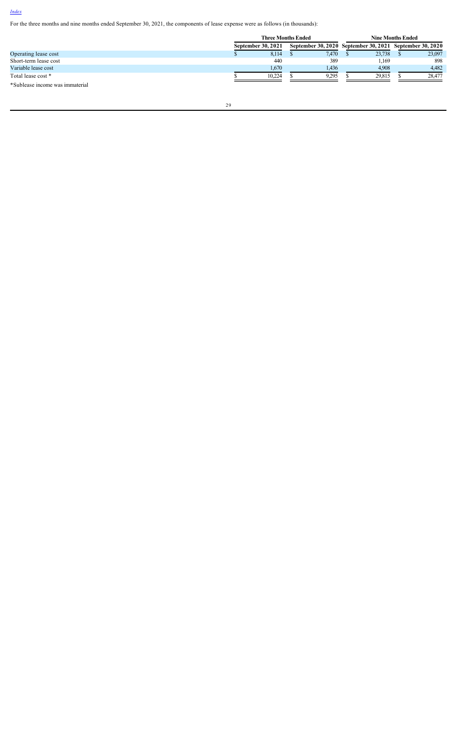For the three months and nine months ended September 30, 2021, the components of lease expense were as follows (in thousands):

|                                 |                           | <b>Three Months Ended</b> |  |       | <b>Nine Months Ended</b>                                 |  |        |  |  |
|---------------------------------|---------------------------|---------------------------|--|-------|----------------------------------------------------------|--|--------|--|--|
|                                 | <b>September 30, 2021</b> |                           |  |       | September 30, 2020 September 30, 2021 September 30, 2020 |  |        |  |  |
| Operating lease cost            |                           | 8,114                     |  | 7,470 | 23,738                                                   |  | 23,097 |  |  |
| Short-term lease cost           |                           | 440                       |  | 389   | 1.169                                                    |  | 898    |  |  |
| Variable lease cost             |                           | 1,670                     |  | 1,436 | 4.908                                                    |  | 4.482  |  |  |
| Total lease cost *              |                           | 10.224                    |  | 9.295 | 29.815                                                   |  | 28,477 |  |  |
| *Sublease income was immaterial |                           |                           |  |       |                                                          |  |        |  |  |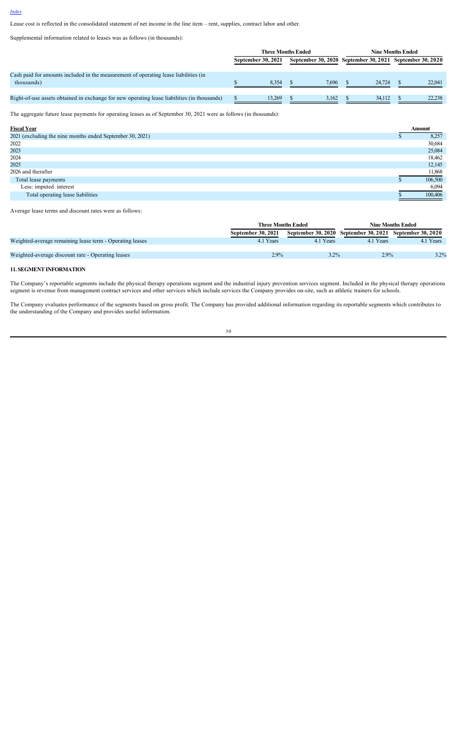Lease cost is reflected in the consolidated statement of net income in the line item – rent, supplies, contract labor and other.

Supplemental information related to leases was as follows (in thousands):

|                                                                                                    | <b>Three Months Ended</b> |                           |  | <b>Nine Months Ended</b> |  |        |  |                                                          |
|----------------------------------------------------------------------------------------------------|---------------------------|---------------------------|--|--------------------------|--|--------|--|----------------------------------------------------------|
|                                                                                                    |                           | <b>September 30, 2021</b> |  |                          |  |        |  | September 30, 2020 September 30, 2021 September 30, 2020 |
| Cash paid for amounts included in the measurement of operating lease liabilities (in<br>thousands) |                           | 8.354                     |  | 7.696                    |  | 24,724 |  | 22,041                                                   |
| Right-of-use assets obtained in exchange for new operating lease liabilities (in thousands)        |                           | 13.269                    |  | 3.162                    |  | 34.112 |  | 22.238                                                   |

The aggregate future lease payments for operating leases as of September 30, 2021 were as follows (in thousands):

| <b>Fiscal Year</b>                                        | Amount  |
|-----------------------------------------------------------|---------|
| 2021 (excluding the nine months ended September 30, 2021) | 8.257   |
| 2022                                                      | 30,684  |
| 2023                                                      | 25,084  |
| 2024                                                      | 18,462  |
| 2025                                                      | 12,145  |
| 2026 and therafter                                        | 11,868  |
| Total lease payments                                      | 106,500 |
| Less: imputed interest                                    | 6,094   |
| Total operating lease liabilities                         | 100,406 |

Average lease terms and discount rates were as follows:

|                                                          | <b>Three Months Ended</b> |                                                          | <b>Nine Months Ended</b> |           |  |  |
|----------------------------------------------------------|---------------------------|----------------------------------------------------------|--------------------------|-----------|--|--|
|                                                          | <b>September 30, 2021</b> | September 30, 2020 September 30, 2021 September 30, 2020 |                          |           |  |  |
| Weighted-average remaining lease term - Operating leases | 4.1 Years                 | 4.1 Years                                                | 4.1 Years                | 4.1 Years |  |  |
| Weighted-average discount rate - Operating leases        | $2.9\%$                   | $3.2\%$                                                  | 2.9%                     | $3.2\%$   |  |  |

### **11. SEGMENT INFORMATION**

The Company's reportable segments include the physical therapy operations segment and the industrial injury prevention services segment. Included in the physical therapy operations segment is revenue from management contract services and other services which include services the Company provides on-site, such as athletic trainers for schools.

The Company evaluates performance of the segments based on gross profit. The Company has provided additional information regarding its reportable segments which contributes to the understanding of the Company and provides useful information.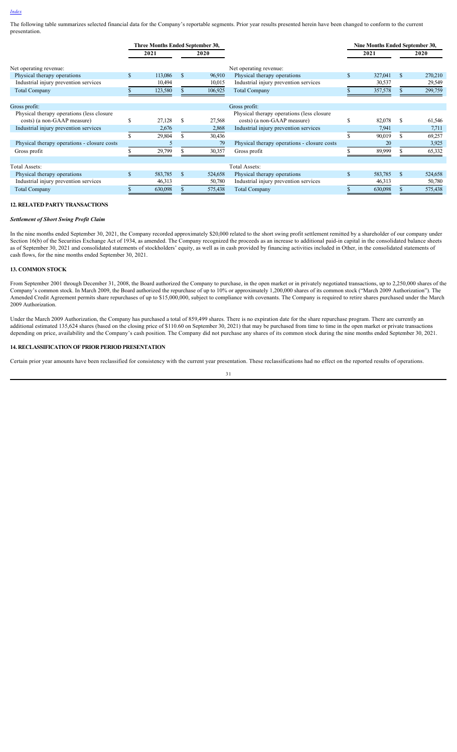The following table summarizes selected financial data for the Company's reportable segments. Prior year results presented herein have been changed to conform to the current presentation.

|                                             | Three Months Ended September 30, |         |               |         |                                             | Nine Months Ended September 30, |         |    |         |
|---------------------------------------------|----------------------------------|---------|---------------|---------|---------------------------------------------|---------------------------------|---------|----|---------|
|                                             |                                  | 2021    |               | 2020    |                                             |                                 | 2021    |    | 2020    |
| Net operating revenue:                      |                                  |         |               |         | Net operating revenue:                      |                                 |         |    |         |
| Physical therapy operations                 | $\mathbb{S}$                     | 113,086 | <sup>\$</sup> | 96,910  | Physical therapy operations                 | \$                              | 327,041 | \$ | 270,210 |
| Industrial injury prevention services       |                                  | 10,494  |               | 10,015  | Industrial injury prevention services       |                                 | 30,537  |    | 29,549  |
| <b>Total Company</b>                        |                                  | 123,580 |               | 106,925 | <b>Total Company</b>                        |                                 | 357,578 |    | 299,759 |
| Gross profit:                               |                                  |         |               |         | Gross profit:                               |                                 |         |    |         |
| Physical therapy operations (less closure)  |                                  |         |               |         | Physical therapy operations (less closure)  |                                 |         |    |         |
| costs) (a non-GAAP measure)                 | S                                | 27,128  | <sup>\$</sup> | 27,568  | costs) (a non-GAAP measure)                 | ъ                               | 82,078  | S  | 61,546  |
| Industrial injury prevention services       |                                  | 2,676   |               | 2,868   | Industrial injury prevention services       |                                 | 7,941   |    | 7,711   |
|                                             | S                                | 29,804  |               | 30,436  |                                             | ъ                               | 90,019  |    | 69,257  |
| Physical therapy operations - closure costs |                                  |         |               | 79      | Physical therapy operations - closure costs |                                 | 20      |    | 3,925   |
| Gross profit                                |                                  | 29,799  |               | 30,357  | Gross profit                                |                                 | 89,999  |    | 65,332  |
|                                             |                                  |         |               |         |                                             |                                 |         |    |         |
| Total Assets:                               |                                  |         |               |         | Total Assets:                               |                                 |         |    |         |
| Physical therapy operations                 | $\mathbb{S}$                     | 583,785 | <sup>\$</sup> | 524,658 | Physical therapy operations                 | \$                              | 583,785 | \$ | 524,658 |
| Industrial injury prevention services       |                                  | 46,313  |               | 50,780  | Industrial injury prevention services       |                                 | 46,313  |    | 50,780  |
| <b>Total Company</b>                        |                                  | 630,098 |               | 575,438 | <b>Total Company</b>                        |                                 | 630,098 |    | 575,438 |

### **12. RELATED PARTY TRANSACTIONS**

### *Settlement of Short Swing Profit Claim*

In the nine months ended September 30, 2021, the Company recorded approximately \$20,000 related to the short swing profit settlement remitted by a shareholder of our company under Section 16(b) of the Securities Exchange Act of 1934, as amended. The Company recognized the proceeds as an increase to additional paid-in capital in the consolidated balance sheets as of September 30, 2021 and consolidated statements of stockholders' equity, as well as in cash provided by financing activities included in Other, in the consolidated statements of cash flows, for the nine months ended September 30, 2021.

### **13. COMMON STOCK**

From September 2001 through December 31, 2008, the Board authorized the Company to purchase, in the open market or in privately negotiated transactions, up to 2,250,000 shares of the Company's common stock. In March 2009, the Board authorized the repurchase of up to 10% or approximately 1,200,000 shares of its common stock ("March 2009 Authorization"). The Amended Credit Agreement permits share repurchases of up to \$15,000,000, subject to compliance with covenants. The Company is required to retire shares purchased under the March 2009 Authorization.

Under the March 2009 Authorization, the Company has purchased a total of 859,499 shares. There is no expiration date for the share repurchase program. There are currently an additional estimated 135,624 shares (based on the closing price of \$110.60 on September 30, 2021) that may be purchased from time to time in the open market or private transactions depending on price, availability and the Company's cash position. The Company did not purchase any shares of its common stock during the nine months ended September 30, 2021.

### **14. RECLASSIFICATION OF PRIOR PERIOD PRESENTATION**

Certain prior year amounts have been reclassified for consistency with the current year presentation. These reclassifications had no effect on the reported results of operations.

31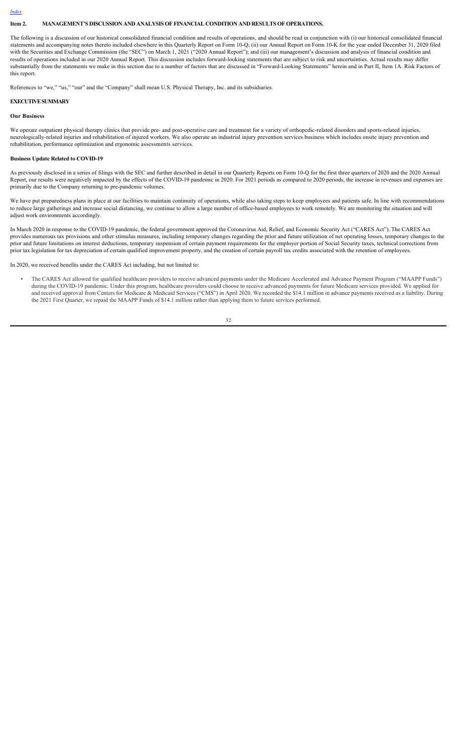#### <span id="page-31-0"></span>**Item 2. MANAGEMENT'S DISCUSSION AND ANALYSIS OF FINANCIAL CONDITION AND RESULTS OF OPERATIONS.**

The following is a discussion of our historical consolidated financial condition and results of operations, and should be read in conjunction with (i) our historical consolidated financial statements and accompanying notes thereto included elsewhere in this Quarterly Report on Form 10-Q; (ii) our Annual Report on Form 10-K for the year ended December 31, 2020 filed with the Securities and Exchange Commission (the "SEC") on March 1, 2021 ("2020 Annual Report"); and (iii) our management's discussion and analysis of financial condition and results of operations included in our 2020 Annual Report. This discussion includes forward-looking statements that are subject to risk and uncertainties. Actual results may differ substantially from the statements we make in this section due to a number of factors that are discussed in "Forward-Looking Statements" herein and in Part II, Item 1A. Risk Factors of this report.

References to "we," "us," "our" and the "Company" shall mean U.S. Physical Therapy, Inc. and its subsidiaries.

### **EXECUTIVE SUMMARY**

#### **Our Business**

We operate outpatient physical therapy clinics that provide pre- and post-operative care and treatment for a variety of orthopedic-related disorders and sports-related injuries, neurologically-related injuries and rehabilitation of injured workers. We also operate an industrial injury prevention services business which includes onsite injury prevention and rehabilitation, performance optimization and ergonomic assessments services.

### **Business Update Related to COVID-19**

As previously disclosed in a series of filings with the SEC and further described in detail in our Quarterly Reports on Form 10-Q for the first three quarters of 2020 and the 2020 Annual Report, our results were negatively impacted by the effects of the COVID-19 pandemic in 2020. For 2021 periods as compared to 2020 periods, the increase in revenues and expenses are primarily due to the Company returning to pre-pandemic volumes.

We have put preparedness plans in place at our facilities to maintain continuity of operations, while also taking steps to keep employees and patients safe. In line with recommendations to reduce large gatherings and increase social distancing, we continue to allow a large number of office-based employees to work remotely. We are monitoring the situation and will adjust work environments accordingly.

In March 2020 in response to the COVID-19 pandemic, the federal government approved the Coronavirus Aid, Relief, and Economic Security Act ("CARES Act"). The CARES Act provides numerous tax provisions and other stimulus measures, including temporary changes regarding the prior and future utilization of net operating losses, temporary changes to the prior and future limitations on interest deductions, temporary suspension of certain payment requirements for the employer portion of Social Security taxes, technical corrections from prior tax legislation for tax depreciation of certain qualified improvement property, and the creation of certain payroll tax credits associated with the retention of employees.

In 2020, we received benefits under the CARES Act including, but not limited to:

• The CARES Act allowed for qualified healthcare providers to receive advanced payments under the Medicare Accelerated and Advance Payment Program ("MAAPP Funds") during the COVID-19 pandemic. Under this program, healthcare providers could choose to receive advanced payments for future Medicare services provided. We applied for and received approval from Centers for Medicare & Medicaid Services ("CMS") in April 2020. We recorded the \$14.1 million in advance payments received as a liability. During the 2021 First Quarter, we repaid the MAAPP Funds of \$14.1 million rather than applying them to future services performed.

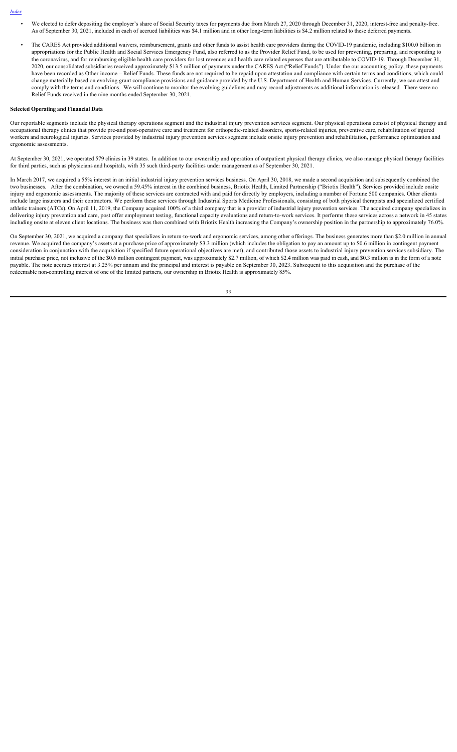- We elected to defer depositing the employer's share of Social Security taxes for payments due from March 27, 2020 through December 31, 2020, interest-free and penalty-free. As of September 30, 2021, included in each of accrued liabilities was \$4.1 million and in other long-term liabilities is \$4.2 million related to these deferred payments.
- The CARES Act provided additional waivers, reimbursement, grants and other funds to assist health care providers during the COVID-19 pandemic, including \$100.0 billion in appropriations for the Public Health and Social Services Emergency Fund, also referred to as the Provider Relief Fund, to be used for preventing, preparing, and responding to the coronavirus, and for reimbursing eligible health care providers for lost revenues and health care related expenses that are attributable to COVID-19. Through December 31, 2020, our consolidated subsidiaries received approximately \$13.5 million of payments under the CARES Act ("Relief Funds"). Under the our accounting policy, these payments have been recorded as Other income - Relief Funds. These funds are not required to be repaid upon attestation and compliance with certain terms and conditions, which could change materially based on evolving grant compliance provisions and guidance provided by the U.S. Department of Health and Human Services. Currently, we can attest and comply with the terms and conditions. We will continue to monitor the evolving guidelines and may record adjustments as additional information is released. There were no Relief Funds received in the nine months ended September 30, 2021.

### **Selected Operating and Financial Data**

Our reportable segments include the physical therapy operations segment and the industrial injury prevention services segment. Our physical operations consist of physical therapy and occupational therapy clinics that provide pre-and post-operative care and treatment for orthopedic-related disorders, sports-related injuries, preventive care, rehabilitation of injured workers and neurological injuries. Services provided by industrial injury prevention services segment include onsite injury prevention and rehabilitation, performance optimization and ergonomic assessments.

At September 30, 2021, we operated 579 clinics in 39 states. In addition to our ownership and operation of outpatient physical therapy clinics, we also manage physical therapy facilities for third parties, such as physicians and hospitals, with 35 such third-party facilities under management as of September 30, 2021.

In March 2017, we acquired a 55% interest in an initial industrial injury prevention services business. On April 30, 2018, we made a second acquisition and subsequently combined the two businesses. After the combination, we owned a 59.45% interest in the combined business, Briotix Health, Limited Partnership ("Briotix Health"). Services provided include onsite injury and ergonomic assessments. The majority of these services are contracted with and paid for directly by employers, including a number of Fortune 500 companies. Other clients include large insurers and their contractors. We perform these services through Industrial Sports Medicine Professionals, consisting of both physical therapists and specialized certified athletic trainers (ATCs). On April 11, 2019, the Company acquired 100% of a third company that is a provider of industrial injury prevention services. The acquired company specializes in delivering injury prevention and care, post offer employment testing, functional capacity evaluations and return-to-work services. It performs these services across a network in 45 states including onsite at eleven client locations. The business was then combined with Briotix Health increasing the Company's ownership position in the partnership to approximately 76.0%.

On September 30, 2021, we acquired a company that specializes in return-to-work and ergonomic services, among other offerings. The business generates more than \$2.0 million in annual revenue. We acquired the company's assets at a purchase price of approximately \$3.3 million (which includes the obligation to pay an amount up to \$0.6 million in contingent payment consideration in conjunction with the acquisition if specified future operational objectives are met), and contributed those assets to industrial injury prevention services subsidiary. The initial purchase price, not inclusive of the \$0.6 million contingent payment, was approximately \$2.7 million, of which \$2.4 million was paid in cash, and \$0.3 million is in the form of a note payable. The note accrues interest at 3.25% per annum and the principal and interest is payable on September 30, 2023. Subsequent to this acquisition and the purchase of the redeemable non-controlling interest of one of the limited partners, our ownership in Briotix Health is approximately 85%.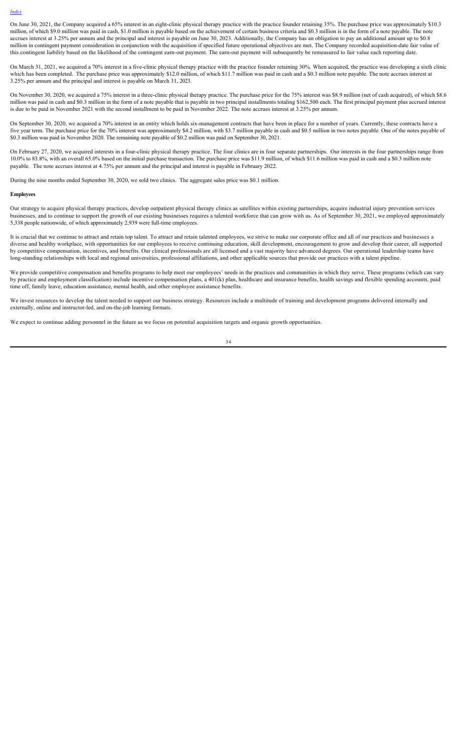On June 30, 2021, the Company acquired a 65% interest in an eight-clinic physical therapy practice with the practice founder retaining 35%. The purchase price was approximately \$10.3 million, of which \$9.0 million was paid in cash, \$1.0 million is payable based on the achievement of certain business criteria and \$0.3 million is in the form of a note payable. The note accrues interest at 3.25% per annum and the principal and interest is payable on June 30, 2023. Additionally, the Company has an obligation to pay an additional amount up to \$0.8 million in contingent payment consideration in conjunction with the acquisition if specified future operational objectives are met. The Company recorded acquisition-date fair value of this contingent liability based on the likelihood of the contingent earn-out payment. The earn-out payment will subsequently be remeasured to fair value each reporting date.

On March 31, 2021, we acquired a 70% interest in a five-clinic physical therapy practice with the practice founder retaining 30%. When acquired, the practice was developing a sixth clinic which has been completed. The purchase price was approximately \$12.0 million, of which \$11.7 million was paid in cash and a \$0.3 million note payable. The note accrues interest at 3.25% per annum and the principal and interest is payable on March 31, 2023.

On November 30, 2020, we acquired a 75% interest in a three-clinic physical therapy practice. The purchase price for the 75% interest was \$8.9 million (net of cash acquired), of which \$8.6 million was paid in cash and \$0.3 million in the form of a note payable that is payable in two principal installments totaling \$162,500 each. The first principal payment plus accrued interest is due to be paid in November 2021 with the second installment to be paid in November 2022. The note accrues interest at 3.25% per annum.

On September 30, 2020, we acquired a 70% interest in an entity which holds six-management contracts that have been in place for a number of years. Currently, these contracts have a five year term. The purchase price for the 70% interest was approximately \$4.2 million, with \$3.7 million payable in cash and \$0.5 million in two notes payable. One of the notes payable of \$0.3 million was paid in November 2020. The remaining note payable of \$0.2 million was paid on September 30, 2021.

On February 27, 2020, we acquired interests in a four-clinic physical therapy practice. The four clinics are in four separate partnerships. Our interests in the four partnerships range from 10.0% to 83.8%, with an overall 65.0% based on the initial purchase transaction. The purchase price was \$11.9 million, of which \$11.6 million was paid in cash and a \$0.3 million note payable. The note accrues interest at 4.75% per annum and the principal and interest is payable in February 2022.

During the nine months ended September 30, 2020, we sold two clinics. The aggregate sales price was \$0.1 million.

### **Employees**

Our strategy to acquire physical therapy practices, develop outpatient physical therapy clinics as satellites within existing partnerships, acquire industrial injury prevention services businesses, and to continue to support the growth of our existing businesses requires a talented workforce that can grow with us. As of September 30, 2021, we employed approximately 5,338 people nationwide, of which approximately 2,939 were full-time employees.

It is crucial that we continue to attract and retain top talent. To attract and retain talented employees, we strive to make our corporate office and all of our practices and businesses a diverse and healthy workplace, with opportunities for our employees to receive continuing education, skill development, encouragement to grow and develop their career, all supported by competitive compensation, incentives, and benefits. Our clinical professionals are all licensed and a vast majority have advanced degrees. Our operational leadership teams have long-standing relationships with local and regional universities, professional affiliations, and other applicable sources that provide our practices with a talent pipeline.

We provide competitive compensation and benefits programs to help meet our employees' needs in the practices and communities in which they serve. These programs (which can vary by practice and employment classification) include incentive compensation plans, a 401(k) plan, healthcare and insurance benefits, health savings and flexible spending accounts, paid time off, family leave, education assistance, mental health, and other employee assistance benefits.

We invest resources to develop the talent needed to support our business strategy. Resources include a multitude of training and development programs delivered internally and externally, online and instructor-led, and on-the-job learning formats.

We expect to continue adding personnel in the future as we focus on potential acquisition targets and organic growth opportunities.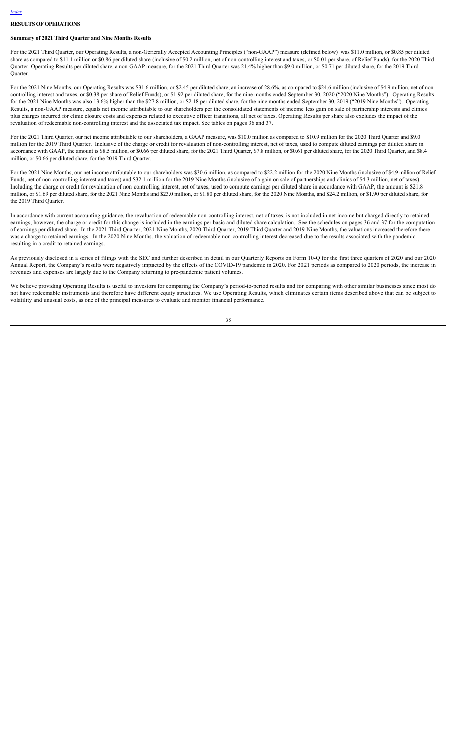### **RESULTS OF OPERATIONS**

### **Summary of 2021 Third Quarter and Nine Months Results**

For the 2021 Third Quarter, our Operating Results, a non-Generally Accepted Accounting Principles ("non-GAAP") measure (defined below) was \$11.0 million, or \$0.85 per diluted share as compared to \$11.1 million or \$0.86 per diluted share (inclusive of \$0.2 million, net of non-controlling interest and taxes, or \$0.01 per share, of Relief Funds), for the 2020 Third Quarter. Operating Results per diluted share, a non-GAAP measure, for the 2021 Third Quarter was 21.4% higher than \$9.0 million, or \$0.71 per diluted share, for the 2019 Third Quarter.

For the 2021 Nine Months, our Operating Results was \$31.6 million, or \$2.45 per diluted share, an increase of 28.6%, as compared to \$24.6 million (inclusive of \$4.9 million, net of noncontrolling interest and taxes, or \$0.38 per share of Relief Funds), or \$1.92 per diluted share, for the nine months ended September 30, 2020 ("2020 Nine Months"). Operating Results for the 2021 Nine Months was also 13.6% higher than the \$27.8 million, or \$2.18 per diluted share, for the nine months ended September 30, 2019 ("2019 Nine Months"). Operating Results, a non-GAAP measure, equals net income attributable to our shareholders per the consolidated statements of income less gain on sale of partnership interests and clinics plus charges incurred for clinic closure costs and expenses related to executive officer transitions, all net of taxes. Operating Results per share also excludes the impact of the revaluation of redeemable non-controlling interest and the associated tax impact. See tables on pages 36 and 37.

For the 2021 Third Quarter, our net income attributable to our shareholders, a GAAP measure, was \$10.0 million as compared to \$10.9 million for the 2020 Third Quarter and \$9.0 million for the 2019 Third Quarter. Inclusive of the charge or credit for revaluation of non-controlling interest, net of taxes, used to compute diluted earnings per diluted share in accordance with GAAP, the amount is \$8.5 million, or \$0.66 per diluted share, for the 2021 Third Quarter, \$7.8 million, or \$0.61 per diluted share, for the 2020 Third Quarter, and \$8.4 million, or \$0.66 per diluted share, for the 2019 Third Quarter.

For the 2021 Nine Months, our net income attributable to our shareholders was \$30.6 million, as compared to \$22.2 million for the 2020 Nine Months (inclusive of \$4.9 million of Relief Funds, net of non-controlling interest and taxes) and \$32.1 million for the 2019 Nine Months (inclusive of a gain on sale of partnerships and clinics of \$4.3 million, net of taxes). Including the charge or credit for revaluation of non-controlling interest, net of taxes, used to compute earnings per diluted share in accordance with GAAP, the amount is \$21.8 million, or \$1.69 per diluted share, for the 2021 Nine Months and \$23.0 million, or \$1.80 per diluted share, for the 2020 Nine Months, and \$24.2 million, or \$1.90 per diluted share, for the 2019 Third Quarter.

In accordance with current accounting guidance, the revaluation of redeemable non-controlling interest, net of taxes, is not included in net income but charged directly to retained earnings; however, the charge or credit for this change is included in the earnings per basic and diluted share calculation. See the schedules on pages 36 and 37 for the computation of earnings per diluted share. In the 2021 Third Quarter, 2021 Nine Months, 2020 Third Quarter, 2019 Third Quarter and 2019 Nine Months, the valuations increased therefore there was a charge to retained earnings. In the 2020 Nine Months, the valuation of redeemable non-controlling interest decreased due to the results associated with the pandemic resulting in a credit to retained earnings.

As previously disclosed in a series of filings with the SEC and further described in detail in our Quarterly Reports on Form 10-Q for the first three quarters of 2020 and our 2020 Annual Report, the Company's results were negatively impacted by the effects of the COVID-19 pandemic in 2020. For 2021 periods as compared to 2020 periods, the increase in revenues and expenses are largely due to the Company returning to pre-pandemic patient volumes.

We believe providing Operating Results is useful to investors for comparing the Company's period-to-period results and for comparing with other similar businesses since most do not have redeemable instruments and therefore have different equity structures. We use Operating Results, which eliminates certain items described above that can be subject to volatility and unusual costs, as one of the principal measures to evaluate and monitor financial performance.

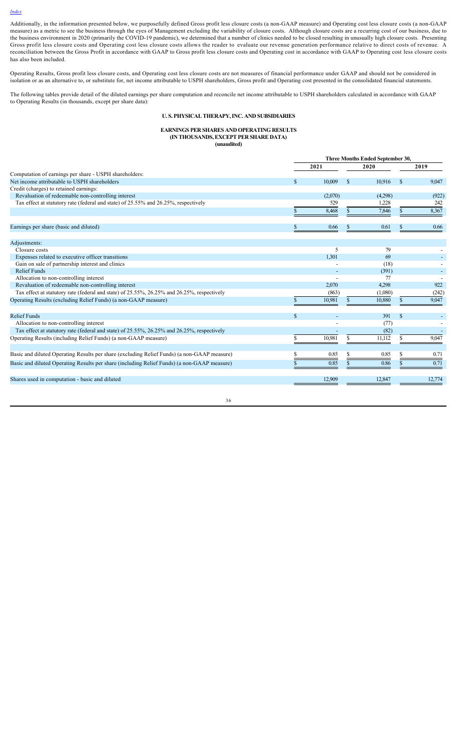Additionally, in the information presented below, we purposefully defined Gross profit less closure costs (a non-GAAP measure) and Operating cost less closure costs (a non-GAAP measure) as a metric to see the business through the eyes of Management excluding the variability of closure costs. Although closure costs are a recurring cost of our business, due to the business environment in 2020 (primarily the COVID-19 pandemic), we determined that a number of clinics needed to be closed resulting in unusually high closure costs. Presenting Gross profit less closure costs and Operating cost less closure costs allows the reader to evaluate our revenue generation performance relative to direct costs of revenue. A reconciliation between the Gross Profit in accordance with GAAP to Gross profit less closure costs and Operating cost in accordance with GAAP to Operating cost less closure costs has also been included.

Operating Results, Gross profit less closure costs, and Operating cost less closure costs are not measures of financial performance under GAAP and should not be considered in isolation or as an alternative to, or substitute for, net income attributable to USPH shareholders, Gross profit and Operating cost presented in the consolidated financial statements.

The following tables provide detail of the diluted earnings per share computation and reconcile net income attributable to USPH shareholders calculated in accordance with GAAP to Operating Results (in thousands, except per share data):

### **U. S. PHYSICAL THERAPY, INC. AND SUBSIDIARIES**

#### **EARNINGS PER SHARES AND OPERATING RESULTS (IN THOUSANDS, EXCEPT PER SHARE DATA) (unaudited)**

| 2020<br>2019<br>2021<br>Computation of earnings per share - USPH shareholders:<br>Net income attributable to USPH shareholders<br>\$<br>10,009<br>\$<br>10,916<br><sup>\$</sup><br>Credit (charges) to retained earnings:<br>Revaluation of redeemable non-controlling interest<br>(2,070)<br>(4,298)<br>Tax effect at statutory rate (federal and state) of 25.55% and 26.25%, respectively<br>529<br>1.228<br>8,468<br>7,846<br>S.<br>S |        |
|-------------------------------------------------------------------------------------------------------------------------------------------------------------------------------------------------------------------------------------------------------------------------------------------------------------------------------------------------------------------------------------------------------------------------------------------|--------|
|                                                                                                                                                                                                                                                                                                                                                                                                                                           |        |
|                                                                                                                                                                                                                                                                                                                                                                                                                                           |        |
|                                                                                                                                                                                                                                                                                                                                                                                                                                           | 9.047  |
|                                                                                                                                                                                                                                                                                                                                                                                                                                           |        |
|                                                                                                                                                                                                                                                                                                                                                                                                                                           | (922)  |
|                                                                                                                                                                                                                                                                                                                                                                                                                                           | 242    |
|                                                                                                                                                                                                                                                                                                                                                                                                                                           | 8,367  |
| Earnings per share (basic and diluted)<br>0.66<br>0.61                                                                                                                                                                                                                                                                                                                                                                                    | 0.66   |
|                                                                                                                                                                                                                                                                                                                                                                                                                                           |        |
| Adjustments:                                                                                                                                                                                                                                                                                                                                                                                                                              |        |
| 5<br>79<br>Closure costs                                                                                                                                                                                                                                                                                                                                                                                                                  |        |
| 1.301<br>Expenses related to executive officer transitions<br>69                                                                                                                                                                                                                                                                                                                                                                          |        |
| Gain on sale of partnership interest and clinics<br>(18)                                                                                                                                                                                                                                                                                                                                                                                  |        |
| <b>Relief Funds</b><br>(391)                                                                                                                                                                                                                                                                                                                                                                                                              |        |
| Allocation to non-controlling interest<br>77                                                                                                                                                                                                                                                                                                                                                                                              |        |
| Revaluation of redeemable non-controlling interest<br>2,070<br>4,298                                                                                                                                                                                                                                                                                                                                                                      | 922    |
| Tax effect at statutory rate (federal and state) of 25.55%, 26.25% and 26.25%, respectively<br>(863)<br>(1,080)                                                                                                                                                                                                                                                                                                                           | (242)  |
| Operating Results (excluding Relief Funds) (a non-GAAP measure)<br>10,880<br>10,981                                                                                                                                                                                                                                                                                                                                                       | 9,047  |
| <b>Relief Funds</b><br>\$<br>391<br><sup>\$</sup>                                                                                                                                                                                                                                                                                                                                                                                         |        |
| Allocation to non-controlling interest<br>(77)                                                                                                                                                                                                                                                                                                                                                                                            |        |
| Tax effect at statutory rate (federal and state) of 25.55%, 26.25% and 26.25%, respectively<br>(82)                                                                                                                                                                                                                                                                                                                                       |        |
| Operating Results (including Relief Funds) (a non-GAAP measure)<br>10,981<br>11,112<br>S                                                                                                                                                                                                                                                                                                                                                  | 9,047  |
| Basic and diluted Operating Results per share (excluding Relief Funds) (a non-GAAP measure)<br>0.85<br>0.85<br>S<br>S                                                                                                                                                                                                                                                                                                                     | 0.71   |
| Basic and diluted Operating Results per share (including Relief Funds) (a non-GAAP measure)<br>0.86<br>0.85                                                                                                                                                                                                                                                                                                                               | 0.71   |
|                                                                                                                                                                                                                                                                                                                                                                                                                                           |        |
| Shares used in computation - basic and diluted<br>12,909<br>12,847                                                                                                                                                                                                                                                                                                                                                                        | 12,774 |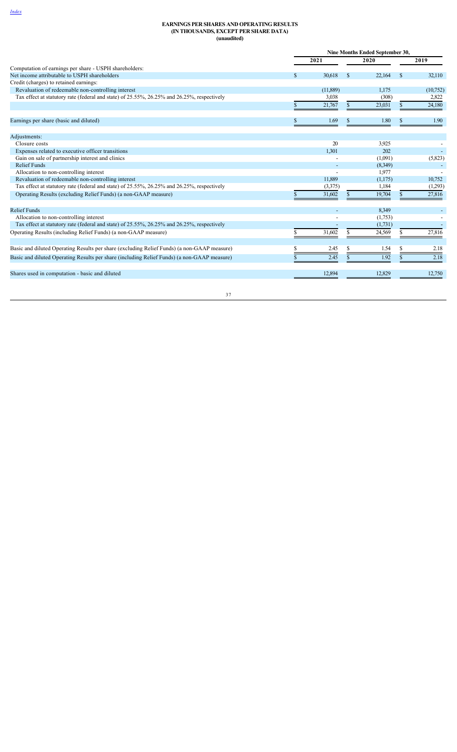#### **EARNINGS PER SHARES AND OPERATING RESULTS (IN THOUSANDS, EXCEPT PER SHARE DATA) (unaudited)**

|                                                                                             | Nine Months Ended September 30, |          |               |         |              |          |
|---------------------------------------------------------------------------------------------|---------------------------------|----------|---------------|---------|--------------|----------|
|                                                                                             |                                 | 2021     |               | 2020    |              | 2019     |
| Computation of earnings per share - USPH shareholders:                                      |                                 |          |               |         |              |          |
| Net income attributable to USPH shareholders                                                | \$                              | 30,618   | <sup>\$</sup> | 22,164  | <sup>S</sup> | 32,110   |
| Credit (charges) to retained earnings:                                                      |                                 |          |               |         |              |          |
| Revaluation of redeemable non-controlling interest                                          |                                 | (11,889) |               | 1,175   |              | (10,752) |
| Tax effect at statutory rate (federal and state) of 25.55%, 26.25% and 26.25%, respectively |                                 | 3,038    |               | (308)   |              | 2,822    |
|                                                                                             |                                 | 21,767   | \$            | 23,031  |              | 24,180   |
| Earnings per share (basic and diluted)                                                      |                                 | 1.69     | \$            | 1.80    |              | 1.90     |
| Adjustments:                                                                                |                                 |          |               |         |              |          |
| Closure costs                                                                               |                                 | 20       |               | 3,925   |              |          |
| Expenses related to executive officer transitions                                           |                                 | 1.301    |               | 202     |              |          |
| Gain on sale of partnership interest and clinics                                            |                                 |          |               | (1,091) |              | (5,823)  |
| <b>Relief Funds</b>                                                                         |                                 |          |               | (8,349) |              |          |
| Allocation to non-controlling interest                                                      |                                 |          |               | 1,977   |              |          |
| Revaluation of redeemable non-controlling interest                                          |                                 | 11.889   |               | (1,175) |              | 10,752   |
| Tax effect at statutory rate (federal and state) of 25.55%, 26.25% and 26.25%, respectively |                                 | (3,375)  |               | 1,184   |              | (1,293)  |
| Operating Results (excluding Relief Funds) (a non-GAAP measure)                             |                                 | 31,602   | S             | 19,704  |              | 27,816   |
| <b>Relief Funds</b>                                                                         |                                 |          |               | 8.349   |              |          |
| Allocation to non-controlling interest                                                      |                                 |          |               | (1,753) |              |          |
| Tax effect at statutory rate (federal and state) of 25.55%, 26.25% and 26.25%, respectively |                                 |          |               | (1,731) |              |          |
| Operating Results (including Relief Funds) (a non-GAAP measure)                             |                                 | 31,602   |               | 24,569  |              | 27,816   |
| Basic and diluted Operating Results per share (excluding Relief Funds) (a non-GAAP measure) |                                 | 2.45     | \$            | 1.54    |              | 2.18     |
| Basic and diluted Operating Results per share (including Relief Funds) (a non-GAAP measure) |                                 | 2.45     |               | 1.92    |              | 2.18     |
| Shares used in computation - basic and diluted                                              |                                 | 12,894   |               | 12,829  |              | 12,750   |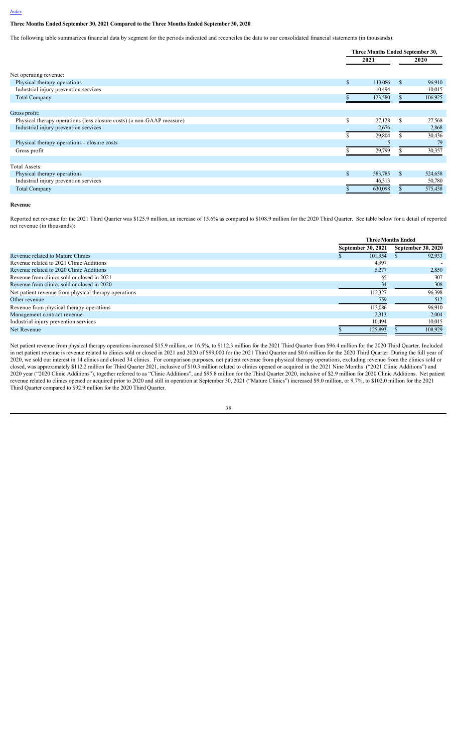### **Three Months Ended September 30, 2021 Compared to the Three Months Ended September 30, 2020**

The following table summarizes financial data by segment for the periods indicated and reconciles the data to our consolidated financial statements (in thousands):

|                                                                                        |    | Three Months Ended September 30, |   |         |  |      |
|----------------------------------------------------------------------------------------|----|----------------------------------|---|---------|--|------|
|                                                                                        |    | 2021                             |   |         |  | 2020 |
| Net operating revenue:                                                                 |    |                                  |   |         |  |      |
| Physical therapy operations                                                            | \$ | 113,086                          | S | 96,910  |  |      |
| Industrial injury prevention services                                                  |    | 10,494                           |   | 10,015  |  |      |
| <b>Total Company</b>                                                                   |    | 123,580                          |   | 106,925 |  |      |
|                                                                                        |    |                                  |   |         |  |      |
| Gross profit:<br>Physical therapy operations (less closure costs) (a non-GAAP measure) | \$ | 27,128                           | S | 27,568  |  |      |
| Industrial injury prevention services                                                  |    | 2,676                            |   | 2,868   |  |      |
|                                                                                        |    | 29,804                           |   | 30,436  |  |      |
| Physical therapy operations - closure costs                                            |    |                                  |   | 79      |  |      |
| Gross profit                                                                           |    | 29,799                           |   | 30,357  |  |      |
|                                                                                        |    |                                  |   |         |  |      |
| Total Assets:                                                                          |    |                                  |   |         |  |      |
| Physical therapy operations                                                            | \$ | 583,785                          | S | 524,658 |  |      |
| Industrial injury prevention services                                                  |    | 46,313                           |   | 50,780  |  |      |
| <b>Total Company</b>                                                                   |    | 630,098                          |   | 575,438 |  |      |
|                                                                                        |    |                                  |   |         |  |      |

### **Revenue**

Reported net revenue for the 2021 Third Quarter was \$125.9 million, an increase of 15.6% as compared to \$108.9 million for the 2020 Third Quarter. See table below for a detail of reported net revenue (in thousands):

|                                                      | <b>Three Months Ended</b> |         |  |                           |  |
|------------------------------------------------------|---------------------------|---------|--|---------------------------|--|
|                                                      | <b>September 30, 2021</b> |         |  | <b>September 30, 2020</b> |  |
| Revenue related to Mature Clinics                    |                           | 101.954 |  | 92,933                    |  |
| Revenue related to 2021 Clinic Additions             |                           | 4,997   |  |                           |  |
| Revenue related to 2020 Clinic Additions             |                           | 5,277   |  | 2,850                     |  |
| Revenue from clinics sold or closed in 2021          |                           | 65      |  | 307                       |  |
| Revenue from clinics sold or closed in 2020          |                           | 34      |  | 308                       |  |
| Net patient revenue from physical therapy operations |                           | 112.327 |  | 96,398                    |  |
| Other revenue                                        |                           | 759     |  | 512                       |  |
| Revenue from physical therapy operations             |                           | 113,086 |  | 96.910                    |  |
| Management contract revenue                          |                           | 2,313   |  | 2,004                     |  |
| Industrial injury prevention services                |                           | 10,494  |  | 10,015                    |  |
| Net Revenue                                          |                           | 125,893 |  | 108,929                   |  |

Net patient revenue from physical therapy operations increased \$15.9 million, or 16.5%, to \$112.3 million for the 2021 Third Quarter from \$96.4 million for the 2020 Third Quarter. Included in net patient revenue is revenue related to clinics sold or closed in 2021 and 2020 of \$99,000 for the 2021 Third Quarter and \$0.6 million for the 2020 Third Quarter. During the full year of 2020, we sold our interest in 14 clinics and closed 34 clinics. For comparison purposes, net patient revenue from physical therapy operations, excluding revenue from the clinics sold or closed, was approximately \$112.2 million for Third Quarter 2021, inclusive of \$10.3 million related to clinics opened or acquired in the 2021 Nine Months ("2021 Clinic Additions") and 2020 year ("2020 Clinic Additions"), together referred to as "Clinic Additions", and \$95.8 million for the Third Quarter 2020, inclusive of \$2.9 million for 2020 Clinic Additions. Net patient revenue related to clinics opened or acquired prior to 2020 and still in operation at September 30, 2021 ("Mature Clinics") increased \$9.0 million, or 9.7%, to \$102.0 million for the 2021 Third Quarter compared to \$92.9 million for the 2020 Third Quarter.

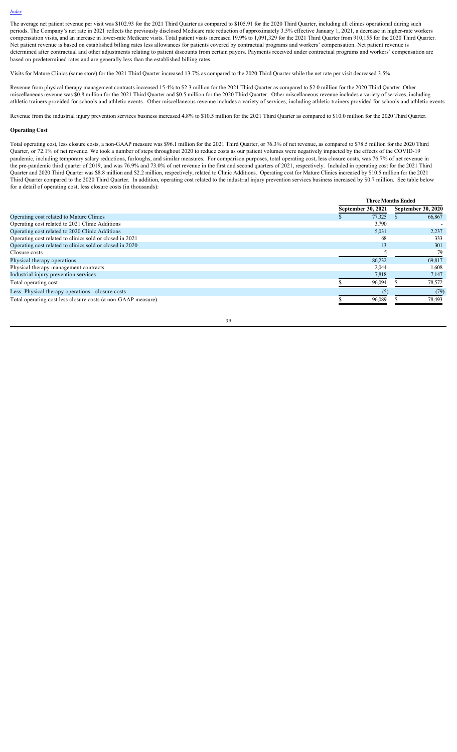The average net patient revenue per visit was \$102.93 for the 2021 Third Quarter as compared to \$105.91 for the 2020 Third Quarter, including all clinics operational during such periods. The Company's net rate in 2021 reflects the previously disclosed Medicare rate reduction of approximately 3.5% effective January 1, 2021, a decrease in higher-rate workers compensation visits, and an increase in lower-rate Medicare visits. Total patient visits increased 19.9% to 1,091,329 for the 2021 Third Quarter from 910,155 for the 2020 Third Quarter. Net patient revenue is based on established billing rates less allowances for patients covered by contractual programs and workers' compensation. Net patient revenue is determined after contractual and other adjustments relating to patient discounts from certain payors. Payments received under contractual programs and workers' compensation are based on predetermined rates and are generally less than the established billing rates.

Visits for Mature Clinics (same store) for the 2021 Third Quarter increased 13.7% as compared to the 2020 Third Quarter while the net rate per visit decreased 3.5%.

Revenue from physical therapy management contracts increased 15.4% to \$2.3 million for the 2021 Third Quarter as compared to \$2.0 million for the 2020 Third Quarter. Other miscellaneous revenue was \$0.8 million for the 2021 Third Quarter and \$0.5 million for the 2020 Third Quarter. Other miscellaneous revenue includes a variety of services, including athletic trainers provided for schools and athletic events. Other miscellaneous revenue includes a variety of services, including athletic trainers provided for schools and athletic events.

Revenue from the industrial injury prevention services business increased 4.8% to \$10.5 million for the 2021 Third Quarter as compared to \$10.0 million for the 2020 Third Quarter.

### **Operating Cost**

Total operating cost, less closure costs, a non-GAAP measure was \$96.1 million for the 2021 Third Quarter, or 76.3% of net revenue, as compared to \$78.5 million for the 2020 Third Quarter, or 72.1% of net revenue. We took a number of steps throughout 2020 to reduce costs as our patient volumes were negatively impacted by the effects of the COVID-19 pandemic, including temporary salary reductions, furloughs, and similar measures. For comparison purposes, total operating cost, less closure costs, was 76.7% of net revenue in the pre-pandemic third quarter of 2019, and was 76.9% and 73.0% of net revenue in the first and second quarters of 2021, respectively. Included in operating cost for the 2021 Third Quarter and 2020 Third Quarter was \$8.8 million and \$2.2 million, respectively, related to Clinic Additions. Operating cost for Mature Clinics increased by \$10.5 million for the 2021 Third Quarter compared to the 2020 Third Quarter. In addition, operating cost related to the industrial injury prevention services business increased by \$0.7 million. See table below for a detail of operating cost, less closure costs (in thousands):

|                                                              | <b>Three Months Ended</b> |         |  |                           |  |
|--------------------------------------------------------------|---------------------------|---------|--|---------------------------|--|
|                                                              | September 30, 2021        |         |  | <b>September 30, 2020</b> |  |
| Operating cost related to Mature Clinics                     |                           | 77,325  |  | 66,867                    |  |
| Operating cost related to 2021 Clinic Additions              |                           | 3,790   |  |                           |  |
| Operating cost related to 2020 Clinic Additions              |                           | 5,031   |  | 2,237                     |  |
| Operating cost related to clinics sold or closed in 2021     |                           | 68      |  | 333                       |  |
| Operating cost related to clinics sold or closed in 2020     |                           | 13      |  | 301                       |  |
| Closure costs                                                |                           |         |  | 79                        |  |
| Physical therapy operations                                  |                           | 86,232  |  | 69,817                    |  |
| Physical therapy management contracts                        |                           | 2,044   |  | 1,608                     |  |
| Industrial injury prevention services                        |                           | 7,818   |  | 7,147                     |  |
| Total operating cost                                         |                           | 96,094  |  | 78,572                    |  |
| Less: Physical therapy operations - closure costs            |                           | $\circ$ |  | (79)                      |  |
| Total operating cost less closure costs (a non-GAAP measure) |                           | 96,089  |  | 78,493                    |  |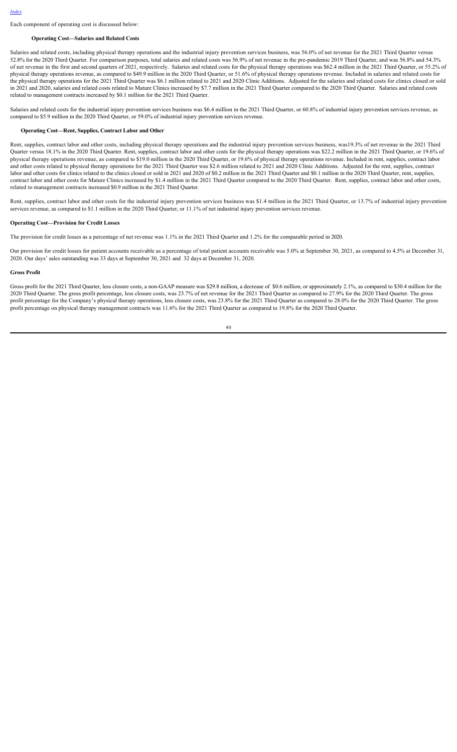Each component of operating cost is discussed below:

### **Operating Cost—Salaries and Related Costs**

Salaries and related costs, including physical therapy operations and the industrial injury prevention services business, was 56.0% of net revenue for the 2021 Third Quarter versus 52.8% for the 2020 Third Quarter. For comparison purposes, total salaries and related costs was 56.9% of net revenue in the pre-pandemic 2019 Third Quarter, and was 56.8% and 54.3% of net revenue in the first and second quarters of 2021, respectively. Salaries and related costs for the physical therapy operations was \$62.4 million in the 2021 Third Quarter, or 55.2% of physical therapy operations revenue, as compared to \$49.9 million in the 2020 Third Quarter, or 51.6% of physical therapy operations revenue. Included in salaries and related costs for the physical therapy operations for the 2021 Third Quarter was \$6.1 million related to 2021 and 2020 Clinic Additions. Adjusted for the salaries and related costs for clinics closed or sold in 2021 and 2020, salaries and related costs related to Mature Clinics increased by \$7.7 million in the 2021 Third Quarter compared to the 2020 Third Quarter. Salaries and related costs related to management contracts increased by \$0.1 million for the 2021 Third Quarter.

Salaries and related costs for the industrial injury prevention services business was \$6.4 million in the 2021 Third Quarter, or 60.8% of industrial injury prevention services revenue, as compared to \$5.9 million in the 2020 Third Quarter, or 59.0% of industrial injury prevention services revenue.

### **Operating Cost—Rent, Supplies, Contract Labor and Other**

Rent, supplies, contract labor and other costs, including physical therapy operations and the industrial injury prevention services business, was19.3% of net revenue in the 2021 Third Quarter versus 18.1% in the 2020 Third Quarter. Rent, supplies, contract labor and other costs for the physical therapy operations was \$22.2 million in the 2021 Third Quarter, or 19.6% of physical therapy operations revenue, as compared to \$19.0 million in the 2020 Third Quarter, or 19.6% of physical therapy operations revenue. Included in rent, supplies, contract labor and other costs related to physical therapy operations for the 2021 Third Quarter was \$2.6 million related to 2021 and 2020 Clinic Additions. Adjusted for the rent, supplies, contract labor and other costs for clinics related to the clinics closed or sold in 2021 and 2020 of \$0.2 million in the 2021 Third Quarter and \$0.1 million in the 2020 Third Quarter, rent, supplies, contract labor and other costs for Mature Clinics increased by \$1.4 million in the 2021 Third Quarter compared to the 2020 Third Quarter. Rent, supplies, contract labor and other costs, related to management contracts increased \$0.9 million in the 2021 Third Quarter.

Rent, supplies, contract labor and other costs for the industrial injury prevention services business was \$1.4 million in the 2021 Third Quarter, or 13.7% of industrial injury prevention services revenue, as compared to \$1.1 million in the 2020 Third Quarter, or 11.1% of net industrial injury prevention services revenue.

### **Operating Cost—Provision for Credit Losses**

The provision for credit losses as a percentage of net revenue was 1.1% in the 2021 Third Quarter and 1.2% for the comparable period in 2020.

Our provision for credit losses for patient accounts receivable as a percentage of total patient accounts receivable was 5.0% at September 30, 2021, as compared to 4.5% at December 31, 2020. Our days' sales outstanding was 33 days at September 30, 2021 and 32 days at December 31, 2020.

#### **Gross Profit**

Gross profit for the 2021 Third Quarter, less closure costs, a non-GAAP measure was \$29.8 million, a decrease of \$0.6 million, or approximately 2.1%, as compared to \$30.4 million for the 2020 Third Quarter. The gross profit percentage, less closure costs, was 23.7% of net revenue for the 2021 Third Quarter as compared to 27.9% for the 2020 Third Quarter. The gross profit percentage for the Company's physical therapy operations, less closure costs, was 23.8% for the 2021 Third Quarter as compared to 28.0% for the 2020 Third Quarter. The gross profit percentage on physical therapy management contracts was 11.6% for the 2021 Third Quarter as compared to 19.8% for the 2020 Third Quarter.

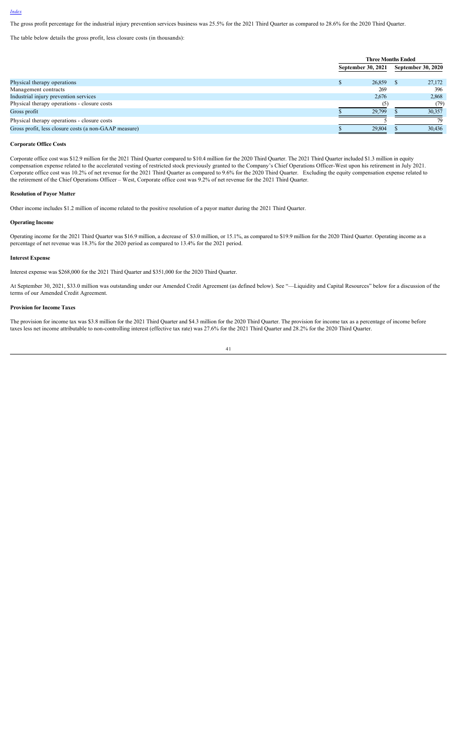The gross profit percentage for the industrial injury prevention services business was 25.5% for the 2021 Third Quarter as compared to 28.6% for the 2020 Third Quarter.

The table below details the gross profit, less closure costs (in thousands):

|                                                       | <b>Three Months Ended</b> |                    |  |                           |  |
|-------------------------------------------------------|---------------------------|--------------------|--|---------------------------|--|
|                                                       |                           | September 30, 2021 |  | <b>September 30, 2020</b> |  |
|                                                       |                           |                    |  |                           |  |
| Physical therapy operations                           |                           | 26,859             |  | 27,172                    |  |
| Management contracts                                  |                           | 269                |  | 396                       |  |
| Industrial injury prevention services                 |                           | 2,676              |  | 2,868                     |  |
| Physical therapy operations - closure costs           |                           | (5)                |  | (79)                      |  |
| Gross profit                                          |                           | 29,799             |  | 30,357                    |  |
| Physical therapy operations - closure costs           |                           |                    |  | 79                        |  |
| Gross profit, less closure costs (a non-GAAP measure) |                           | 29,804             |  | 30,436                    |  |

#### **Corporate Office Costs**

Corporate office cost was \$12.9 million for the 2021 Third Quarter compared to \$10.4 million for the 2020 Third Quarter. The 2021 Third Quarter included \$1.3 million in equity compensation expense related to the accelerated vesting of restricted stock previously granted to the Company's Chief Operations Officer-West upon his retirement in July 2021. Corporate office cost was 10.2% of net revenue for the 2021 Third Quarter as compared to 9.6% for the 2020 Third Quarter. Excluding the equity compensation expense related to the retirement of the Chief Operations Officer – West, Corporate office cost was 9.2% of net revenue for the 2021 Third Quarter.

#### **Resolution of Payor Matter**

Other income includes \$1.2 million of income related to the positive resolution of a payor matter during the 2021 Third Quarter.

### **Operating Income**

Operating income for the 2021 Third Quarter was \$16.9 million, a decrease of \$3.0 million, or 15.1%, as compared to \$19.9 million for the 2020 Third Quarter. Operating income as a percentage of net revenue was 18.3% for the 2020 period as compared to 13.4% for the 2021 period.

#### **Interest Expense**

Interest expense was \$268,000 for the 2021 Third Quarter and \$351,000 for the 2020 Third Quarter.

At September 30, 2021, \$33.0 million was outstanding under our Amended Credit Agreement (as defined below). See "—Liquidity and Capital Resources" below for a discussion of the terms of our Amended Credit Agreement.

### **Provision for Income Taxes**

The provision for income tax was \$3.8 million for the 2021 Third Quarter and \$4.3 million for the 2020 Third Quarter. The provision for income tax as a percentage of income before taxes less net income attributable to non-controlling interest (effective tax rate) was 27.6% for the 2021 Third Quarter and 28.2% for the 2020 Third Quarter.

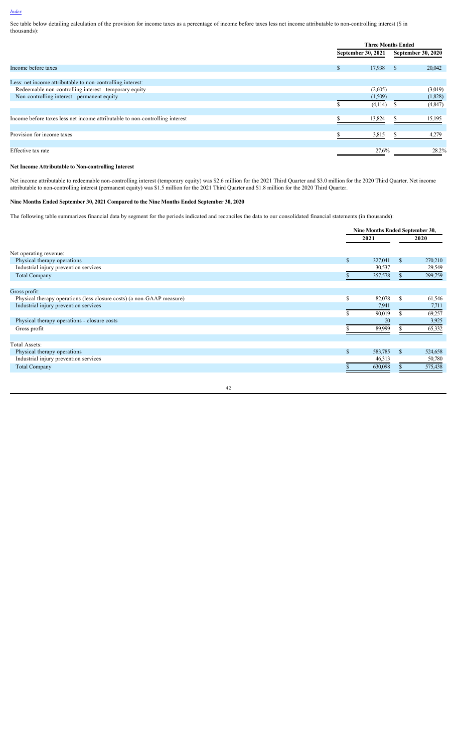See table below detailing calculation of the provision for income taxes as a percentage of income before taxes less net income attributable to non-controlling interest (\$ in thousands):

|                                                                              |    |                    | <b>Three Months Ended</b> |                    |  |  |
|------------------------------------------------------------------------------|----|--------------------|---------------------------|--------------------|--|--|
|                                                                              |    | September 30, 2021 |                           | September 30, 2020 |  |  |
|                                                                              |    |                    |                           |                    |  |  |
| Income before taxes                                                          | S. | 17,938             | <sup>\$</sup>             | 20,042             |  |  |
| Less: net income attributable to non-controlling interest:                   |    |                    |                           |                    |  |  |
| Redeemable non-controlling interest - temporary equity                       |    |                    |                           |                    |  |  |
|                                                                              |    | (2,605)            |                           | (3,019)            |  |  |
| Non-controlling interest - permanent equity                                  |    | (1,509)            |                           | (1,828)            |  |  |
|                                                                              |    | (4,114)            |                           | (4,847)            |  |  |
|                                                                              |    |                    |                           |                    |  |  |
| Income before taxes less net income attributable to non-controlling interest |    | 13,824             |                           | 15,195             |  |  |
|                                                                              |    |                    |                           |                    |  |  |
| Provision for income taxes                                                   |    | 3,815              |                           | 4.279              |  |  |
|                                                                              |    |                    |                           |                    |  |  |
| Effective tax rate                                                           |    | 27.6%              |                           | 28.2%              |  |  |

### **Net Income Attributable to Non-controlling Interest**

Net income attributable to redeemable non-controlling interest (temporary equity) was \$2.6 million for the 2021 Third Quarter and \$3.0 million for the 2020 Third Quarter. Net income attributable to non-controlling interest (permanent equity) was \$1.5 million for the 2021 Third Quarter and \$1.8 million for the 2020 Third Quarter.

### **Nine Months Ended September 30, 2021 Compared to the Nine Months Ended September 30, 2020**

The following table summarizes financial data by segment for the periods indicated and reconciles the data to our consolidated financial statements (in thousands):

|                                                                       |               | Nine Months Ended September 30, |              |         |  |
|-----------------------------------------------------------------------|---------------|---------------------------------|--------------|---------|--|
|                                                                       |               | 2021                            |              | 2020    |  |
| Net operating revenue:                                                |               |                                 |              |         |  |
| Physical therapy operations                                           | <sup>\$</sup> | 327,041                         | $\mathbb{S}$ | 270,210 |  |
| Industrial injury prevention services                                 |               | 30,537                          |              | 29,549  |  |
| <b>Total Company</b>                                                  |               | 357,578                         |              | 299,759 |  |
| Gross profit:                                                         |               |                                 |              |         |  |
| Physical therapy operations (less closure costs) (a non-GAAP measure) | \$            | 82,078                          | \$           | 61,546  |  |
| Industrial injury prevention services                                 |               | 7,941                           |              | 7,711   |  |
|                                                                       |               | 90,019                          | \$           | 69,257  |  |
| Physical therapy operations - closure costs                           |               | 20                              |              | 3,925   |  |
| Gross profit                                                          |               | 89,999                          | S.           | 65,332  |  |
| Total Assets:                                                         |               |                                 |              |         |  |
| Physical therapy operations                                           | $\mathbb{S}$  | 583,785                         | $\mathbb{S}$ | 524,658 |  |
| Industrial injury prevention services                                 |               | 46,313                          |              | 50,780  |  |
| <b>Total Company</b>                                                  |               | 630,098                         |              | 575,438 |  |
|                                                                       |               |                                 |              |         |  |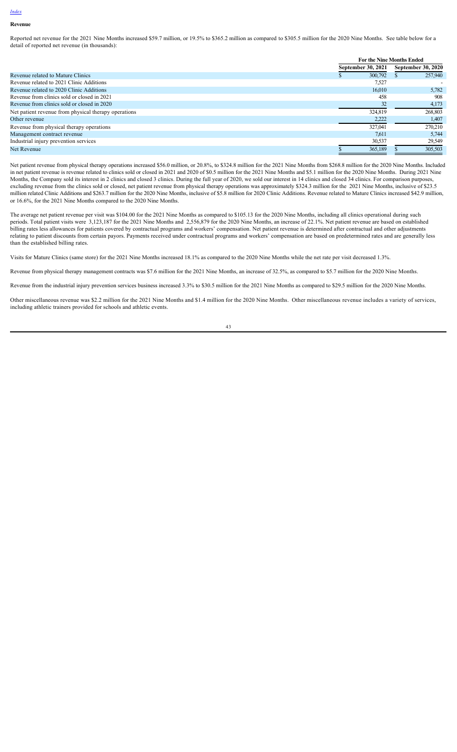# **Revenue**

Reported net revenue for the 2021 Nine Months increased \$59.7 million, or 19.5% to \$365.2 million as compared to \$305.5 million for the 2020 Nine Months. See table below for a detail of reported net revenue (in thousands):

|                                                      | <b>For the Nine Months Ended</b> |  |                           |  |
|------------------------------------------------------|----------------------------------|--|---------------------------|--|
|                                                      | <b>September 30, 2021</b>        |  | <b>September 30, 2020</b> |  |
| Revenue related to Mature Clinics                    | 300,792                          |  | 257,940                   |  |
| Revenue related to 2021 Clinic Additions             | 7,527                            |  |                           |  |
| Revenue related to 2020 Clinic Additions             | 16,010                           |  | 5,782                     |  |
| Revenue from clinics sold or closed in 2021          | 458                              |  | 908                       |  |
| Revenue from clinics sold or closed in 2020          | 32                               |  | 4,173                     |  |
| Net patient revenue from physical therapy operations | 324,819                          |  | 268,803                   |  |
| Other revenue                                        | 2,222                            |  | 1,407                     |  |
| Revenue from physical therapy operations             | 327,041                          |  | 270,210                   |  |
| Management contract revenue                          | 7.611                            |  | 5,744                     |  |
| Industrial injury prevention services                | 30,537                           |  | 29,549                    |  |
| Net Revenue                                          | 365,189                          |  | 305,503                   |  |

Net patient revenue from physical therapy operations increased \$56.0 million, or 20.8%, to \$324.8 million for the 2021 Nine Months from \$268.8 million for the 2020 Nine Months. Included in net patient revenue is revenue related to clinics sold or closed in 2021 and 2020 of \$0.5 million for the 2021 Nine Months and \$5.1 million for the 2020 Nine Months. During 2021 Nine Months, the Company sold its interest in 2 clinics and closed 3 clinics. During the full year of 2020, we sold our interest in 14 clinics and closed 34 clinics. For comparison purposes, excluding revenue from the clinics sold or closed, net patient revenue from physical therapy operations was approximately \$324.3 million for the 2021 Nine Months, inclusive of \$23.5 million related Clinic Additions and \$263.7 million for the 2020 Nine Months, inclusive of \$5.8 million for 2020 Clinic Additions. Revenue related to Mature Clinics increased \$42.9 million, or 16.6%, for the 2021 Nine Months compared to the 2020 Nine Months.

The average net patient revenue per visit was \$104.00 for the 2021 Nine Months as compared to \$105.13 for the 2020 Nine Months, including all clinics operational during such periods. Total patient visits were 3,123,187 for the 2021 Nine Months and 2,556,879 for the 2020 Nine Months, an increase of 22.1%. Net patient revenue are based on established billing rates less allowances for patients covered by contractual programs and workers' compensation. Net patient revenue is determined after contractual and other adjustments relating to patient discounts from certain payors. Payments received under contractual programs and workers' compensation are based on predetermined rates and are generally less than the established billing rates.

Visits for Mature Clinics (same store) for the 2021 Nine Months increased 18.1% as compared to the 2020 Nine Months while the net rate per visit decreased 1.3%.

Revenue from physical therapy management contracts was \$7.6 million for the 2021 Nine Months, an increase of 32.5%, as compared to \$5.7 million for the 2020 Nine Months.

Revenue from the industrial injury prevention services business increased 3.3% to \$30.5 million for the 2021 Nine Months as compared to \$29.5 million for the 2020 Nine Months.

Other miscellaneous revenue was \$2.2 million for the 2021 Nine Months and \$1.4 million for the 2020 Nine Months. Other miscellaneous revenue includes a variety of services, including athletic trainers provided for schools and athletic events.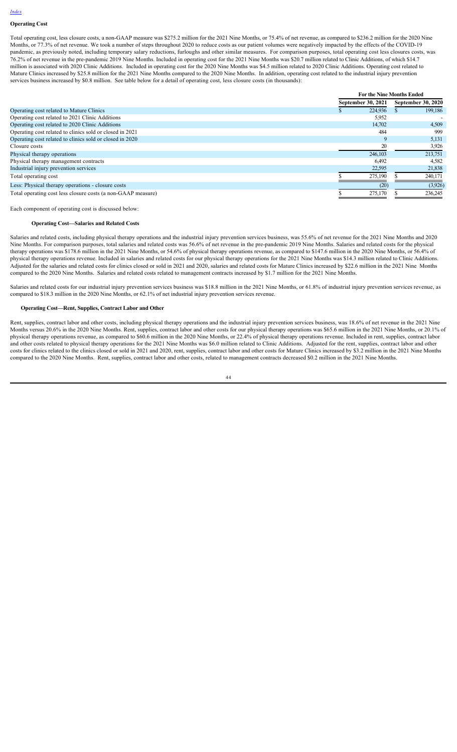### **Operating Cost**

Total operating cost, less closure costs, a non-GAAP measure was \$275.2 million for the 2021 Nine Months, or 75.4% of net revenue, as compared to \$236.2 million for the 2020 Nine Months, or 77.3% of net revenue. We took a number of steps throughout 2020 to reduce costs as our patient volumes were negatively impacted by the effects of the COVID-19 pandemic, as previously noted, including temporary salary reductions, furloughs and other similar measures. For comparison purposes, total operating cost less closures costs, was 76.2% of net revenue in the pre-pandemic 2019 Nine Months. Included in operating cost for the 2021 Nine Months was \$20.7 million related to Clinic Additions, of which \$14.7 million is associated with 2020 Clinic Additions. Included in operating cost for the 2020 Nine Months was \$4.5 million related to 2020 Clinic Additions. Operating cost related to Mature Clinics increased by \$25.8 million for the 2021 Nine Months compared to the 2020 Nine Months. In addition, operating cost related to the industrial injury prevention services business increased by \$0.8 million. See table below for a detail of operating cost, less closure costs (in thousands):

| <b>For the Nine Months Ended</b> |         |                           |         |
|----------------------------------|---------|---------------------------|---------|
| <b>September 30, 2021</b>        |         | <b>September 30, 2020</b> |         |
|                                  | 224,936 |                           | 199,186 |
|                                  | 5,952   |                           |         |
|                                  | 14,702  |                           | 4,509   |
|                                  | 484     |                           | 999     |
|                                  | 9       |                           | 5,131   |
|                                  | 20      |                           | 3,926   |
|                                  | 246,103 |                           | 213,751 |
|                                  | 6,492   |                           | 4,582   |
|                                  | 22,595  |                           | 21,838  |
|                                  | 275,190 |                           | 240,171 |
|                                  | (20)    |                           | (3,926) |
|                                  | 275,170 |                           | 236,245 |
|                                  |         |                           |         |

Each component of operating cost is discussed below:

### **Operating Cost—Salaries and Related Costs**

Salaries and related costs, including physical therapy operations and the industrial injury prevention services business, was 55.6% of net revenue for the 2021 Nine Months and 2020 Nine Months. For comparison purposes, total salaries and related costs was 56.6% of net revenue in the pre-pandemic 2019 Nine Months. Salaries and related costs for the physical therapy operations was \$178.6 million in the 2021 Nine Months, or 54.6% of physical therapy operations revenue, as compared to \$147.6 million in the 2020 Nine Months, or 56.4% of physical therapy operations revenue. Included in salaries and related costs for our physical therapy operations for the 2021 Nine Months was \$14.3 million related to Clinic Additions. .<br>Adjusted for the salaries and related costs for clinics closed or sold in 2021 and 2020, salaries and related costs for Mature Clinics increased by \$22.6 million in the 2021 Nine Months compared to the 2020 Nine Months. Salaries and related costs related to management contracts increased by \$1.7 million for the 2021 Nine Months.

Salaries and related costs for our industrial injury prevention services business was \$18.8 million in the 2021 Nine Months, or 61.8% of industrial injury prevention services revenue, as compared to \$18.3 million in the 2020 Nine Months, or 62.1% of net industrial injury prevention services revenue.

### **Operating Cost—Rent, Supplies, Contract Labor and Other**

Rent, supplies, contract labor and other costs, including physical therapy operations and the industrial injury prevention services business, was 18.6% of net revenue in the 2021 Nine Months versus 20.6% in the 2020 Nine Months. Rent, supplies, contract labor and other costs for our physical therapy operations was \$65.6 million in the 2021 Nine Months, or 20.1% of physical therapy operations revenue, as compared to \$60.6 million in the 2020 Nine Months, or 22.4% of physical therapy operations revenue. Included in rent, supplies, contract labor and other costs related to physical therapy operations for the 2021 Nine Months was \$6.0 million related to Clinic Additions. Adjusted for the rent, supplies, contract labor and other costs for clinics related to the clinics closed or sold in 2021 and 2020, rent, supplies, contract labor and other costs for Mature Clinics increased by \$3.2 million in the 2021 Nine Months compared to the 2020 Nine Months. Rent, supplies, contract labor and other costs, related to management contracts decreased \$0.2 million in the 2021 Nine Months.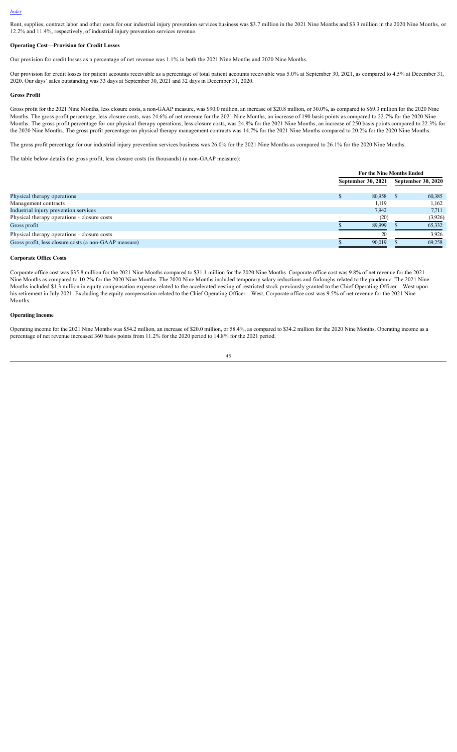Rent, supplies, contract labor and other costs for our industrial injury prevention services business was \$3.7 million in the 2021 Nine Months and \$3.3 million in the 2020 Nine Months, or 12.2% and 11.4%, respectively, of industrial injury prevention services revenue.

### **Operating Cost—Provision for Credit Losses**

Our provision for credit losses as a percentage of net revenue was 1.1% in both the 2021 Nine Months and 2020 Nine Months.

Our provision for credit losses for patient accounts receivable as a percentage of total patient accounts receivable was 5.0% at September 30, 2021, as compared to 4.5% at December 31, 2020. Our days' sales outstanding was 33 days at September 30, 2021 and 32 days in December 31, 2020.

### **Gross Profit**

Gross profit for the 2021 Nine Months, less closure costs, a non-GAAP measure, was \$90.0 million, an increase of \$20.8 million, or 30.0%, as compared to \$69.3 million for the 2020 Nine Months. The gross profit percentage, less closure costs, was 24.6% of net revenue for the 2021 Nine Months, an increase of 190 basis points as compared to 22.7% for the 2020 Nine Months. The gross profit percentage for our physical therapy operations, less closure costs, was 24.8% for the 2021 Nine Months, an increase of 250 basis points compared to 22.3% for the 2020 Nine Months. The gross profit percentage on physical therapy management contracts was 14.7% for the 2021 Nine Months compared to 20.2% for the 2020 Nine Months.

The gross profit percentage for our industrial injury prevention services business was 26.0% for the 2021 Nine Months as compared to 26.1% for the 2020 Nine Months.

The table below details the gross profit, less closure costs (in thousands) (a non-GAAP measure):

|                                                       | <b>For the Nine Months Ended</b> |        |                           |         |
|-------------------------------------------------------|----------------------------------|--------|---------------------------|---------|
|                                                       | <b>September 30, 2021</b>        |        | <b>September 30, 2020</b> |         |
|                                                       |                                  |        |                           |         |
| Physical therapy operations                           |                                  | 80,958 |                           | 60,385  |
| Management contracts                                  |                                  | 1,119  |                           | 1,162   |
| Industrial injury prevention services                 |                                  | 7,942  |                           | 7,711   |
| Physical therapy operations - closure costs           |                                  | (20)   |                           | (3,926) |
| Gross profit                                          |                                  | 89,999 |                           | 65,332  |
| Physical therapy operations - closure costs           |                                  | 20     |                           | 3,926   |
| Gross profit, less closure costs (a non-GAAP measure) |                                  | 90,019 |                           | 69.258  |

### **Corporate Office Costs**

Corporate office cost was \$35.8 million for the 2021 Nine Months compared to \$31.1 million for the 2020 Nine Months. Corporate office cost was 9.8% of net revenue for the 2021 Nine Months as compared to 10.2% for the 2020 Nine Months. The 2020 Nine Months included temporary salary reductions and furloughs related to the pandemic. The 2021 Nine Months included \$1.3 million in equity compensation expense related to the accelerated vesting of restricted stock previously granted to the Chief Operating Officer – West upon his retirement in July 2021. Excluding the equity compensation related to the Chief Operating Officer – West, Corporate office cost was 9.5% of net revenue for the 2021 Nine Months.

#### **Operating Income**

Operating income for the 2021 Nine Months was \$54.2 million, an increase of \$20.0 million, or 58.4%, as compared to \$34.2 million for the 2020 Nine Months. Operating income as a percentage of net revenue increased 360 basis points from 11.2% for the 2020 period to 14.8% for the 2021 period.

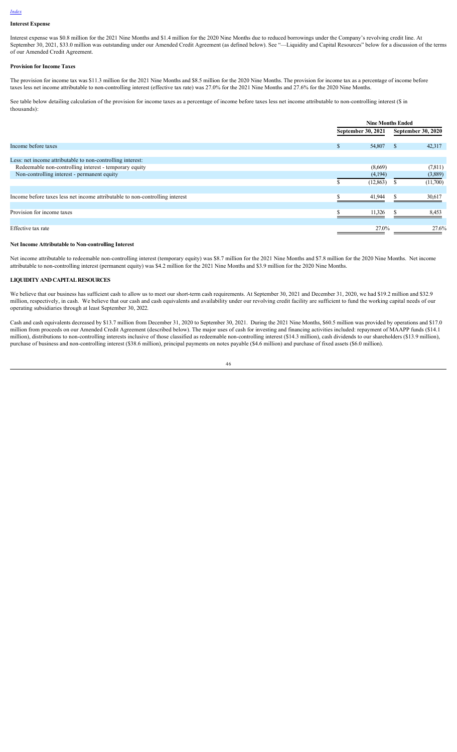### **Interest Expense**

Interest expense was \$0.8 million for the 2021 Nine Months and \$1.4 million for the 2020 Nine Months due to reduced borrowings under the Company's revolving credit line. At September 30, 2021, \$33.0 million was outstanding under our Amended Credit Agreement (as defined below). See "-Liquidity and Capital Resources" below for a discussion of the terms of our Amended Credit Agreement.

#### **Provision for Income Taxes**

The provision for income tax was \$11.3 million for the 2021 Nine Months and \$8.5 million for the 2020 Nine Months. The provision for income tax as a percentage of income before taxes less net income attributable to non-controlling interest (effective tax rate) was 27.0% for the 2021 Nine Months and 27.6% for the 2020 Nine Months.

See table below detailing calculation of the provision for income taxes as a percentage of income before taxes less net income attributable to non-controlling interest (\$ in thousands):

|                                                                              | <b>Nine Months Ended</b> |    |                    |  |
|------------------------------------------------------------------------------|--------------------------|----|--------------------|--|
|                                                                              | September 30, 2021       |    | September 30, 2020 |  |
|                                                                              |                          |    |                    |  |
| Income before taxes                                                          | \$<br>54,807             | -S | 42,317             |  |
| Less: net income attributable to non-controlling interest:                   |                          |    |                    |  |
|                                                                              |                          |    |                    |  |
| Redeemable non-controlling interest - temporary equity                       | (8,669)                  |    | (7,811)            |  |
| Non-controlling interest - permanent equity                                  | (4,194)                  |    | (3,889)            |  |
|                                                                              | (12, 863)                |    | (11,700)           |  |
|                                                                              |                          |    |                    |  |
| Income before taxes less net income attributable to non-controlling interest | 41,944                   |    | 30,617             |  |
|                                                                              |                          |    |                    |  |
| Provision for income taxes                                                   | 11,326                   |    | 8,453              |  |
|                                                                              |                          |    |                    |  |
| Effective tax rate                                                           | 27.0%                    |    | 27.6%              |  |

#### **Net Income Attributable to Non-controlling Interest**

Net income attributable to redeemable non-controlling interest (temporary equity) was \$8.7 million for the 2021 Nine Months and \$7.8 million for the 2020 Nine Months. Net income attributable to non-controlling interest (permanent equity) was \$4.2 million for the 2021 Nine Months and \$3.9 million for the 2020 Nine Months.

### **LIQUIDITY AND CAPITAL RESOURCES**

We believe that our business has sufficient cash to allow us to meet our short-term cash requirements. At September 30, 2021 and December 31, 2020, we had \$19.2 million and \$32.9 million, respectively, in cash. We believe that our cash and cash equivalents and availability under our revolving credit facility are sufficient to fund the working capital needs of our operating subsidiaries through at least September 30, 2022.

Cash and cash equivalents decreased by \$13.7 million from December 31, 2020 to September 30, 2021. During the 2021 Nine Months, \$60.5 million was provided by operations and \$17.0 million from proceeds on our Amended Credit Agreement (described below). The major uses of cash for investing and financing activities included: repayment of MAAPP funds (\$14.1 million), distributions to non-controlling interests inclusive of those classified as redeemable non-controlling interest (\$14.3 million), cash dividends to our shareholders (\$13.9 million), purchase of business and non-controlling interest (\$38.6 million), principal payments on notes payable (\$4.6 million) and purchase of fixed assets (\$6.0 million).

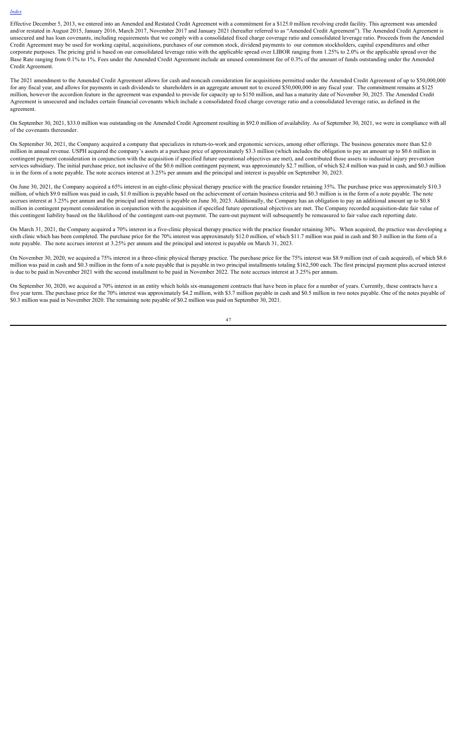Effective December 5, 2013, we entered into an Amended and Restated Credit Agreement with a commitment for a \$125.0 million revolving credit facility. This agreement was amended and/or restated in August 2015, January 2016, March 2017, November 2017 and January 2021 (hereafter referred to as "Amended Credit Agreement"). The Amended Credit Agreement is unsecured and has loan covenants, including requirements that we comply with a consolidated fixed charge coverage ratio and consolidated leverage ratio. Proceeds from the Amended Credit Agreement may be used for working capital, acquisitions, purchases of our common stock, dividend payments to our common stockholders, capital expenditures and other corporate purposes. The pricing grid is based on our consolidated leverage ratio with the applicable spread over LIBOR ranging from 1.25% to 2.0% or the applicable spread over the Base Rate ranging from 0.1% to 1%. Fees under the Amended Credit Agreement include an unused commitment fee of 0.3% of the amount of funds outstanding under the Amended Credit Agreement.

The 2021 amendment to the Amended Credit Agreement allows for cash and noncash consideration for acquisitions permitted under the Amended Credit Agreement of up to \$50,000,000 for any fiscal year, and allows for payments in cash dividends to shareholders in an aggregate amount not to exceed \$50,000,000 in any fiscal year. The commitment remains at \$125 million, however the accordion feature in the agreement was expanded to provide for capacity up to \$150 million, and has a maturity date of November 30, 2025. The Amended Credit Agreement is unsecured and includes certain financial covenants which include a consolidated fixed charge coverage ratio and a consolidated leverage ratio, as defined in the agreement.

On September 30, 2021, \$33.0 million was outstanding on the Amended Credit Agreement resulting in \$92.0 million of availability. As of September 30, 2021, we were in compliance with all of the covenants thereunder.

On September 30, 2021, the Company acquired a company that specializes in return-to-work and ergonomic services, among other offerings. The business generates more than \$2.0 million in annual revenue. USPH acquired the company's assets at a purchase price of approximately \$3.3 million (which includes the obligation to pay an amount up to \$0.6 million in contingent payment consideration in conjunction with the acquisition if specified future operational objectives are met), and contributed those assets to industrial injury prevention services subsidiary. The initial purchase price, not inclusive of the \$0.6 million contingent payment, was approximately \$2.7 million, of which \$2.4 million was paid in cash, and \$0.3 million is in the form of a note payable. The note accrues interest at 3.25% per annum and the principal and interest is payable on September 30, 2023.

On June 30, 2021, the Company acquired a 65% interest in an eight-clinic physical therapy practice with the practice founder retaining 35%. The purchase price was approximately \$10.3 million, of which \$9.0 million was paid in cash, \$1.0 million is payable based on the achievement of certain business criteria and \$0.3 million is in the form of a note payable. The note accrues interest at 3.25% per annum and the principal and interest is payable on June 30, 2023. Additionally, the Company has an obligation to pay an additional amount up to \$0.8 million in contingent payment consideration in conjunction with the acquisition if specified future operational objectives are met. The Company recorded acquisition-date fair value of this contingent liability based on the likelihood of the contingent earn-out payment. The earn-out payment will subsequently be remeasured to fair value each reporting date.

On March 31, 2021, the Company acquired a 70% interest in a five-clinic physical therapy practice with the practice founder retaining 30%. When acquired, the practice was developing a sixth clinic which has been completed. The purchase price for the 70% interest was approximately \$12.0 million, of which \$11.7 million was paid in cash and \$0.3 million in the form of a note payable. The note accrues interest at 3.25% per annum and the principal and interest is payable on March 31, 2023.

On November 30, 2020, we acquired a 75% interest in a three-clinic physical therapy practice. The purchase price for the 75% interest was \$8.9 million (net of cash acquired), of which \$8.6 million was paid in cash and \$0.3 million in the form of a note payable that is payable in two principal installments totaling \$162,500 each. The first principal payment plus accrued interest is due to be paid in November 2021 with the second installment to be paid in November 2022. The note accrues interest at 3.25% per annum.

On September 30, 2020, we acquired a 70% interest in an entity which holds six-management contracts that have been in place for a number of years. Currently, these contracts have a five year term. The purchase price for the 70% interest was approximately \$4.2 million, with \$3.7 million payable in cash and \$0.5 million in two notes payable. One of the notes payable of \$0.3 million was paid in November 2020. The remaining note payable of \$0.2 million was paid on September 30, 2021.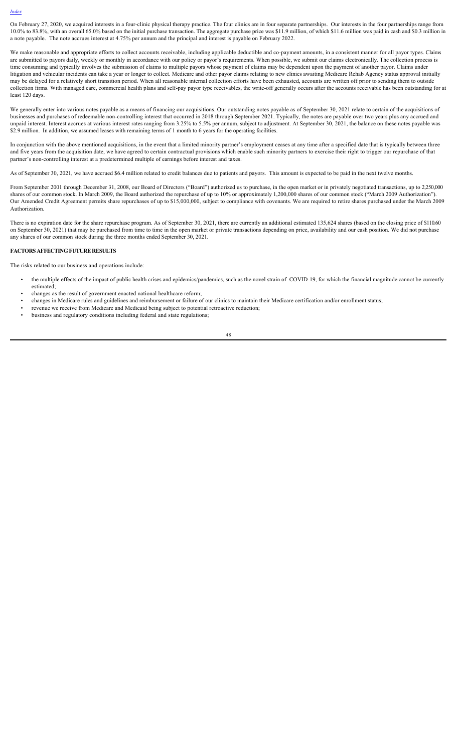On February 27, 2020, we acquired interests in a four-clinic physical therapy practice. The four clinics are in four separate partnerships. Our interests in the four partnerships range from 10.0% to 83.8%, with an overall 65.0% based on the initial purchase transaction. The aggregate purchase price was \$11.9 million, of which \$11.6 million was paid in cash and \$0.3 million in a note payable. The note accrues interest at 4.75% per annum and the principal and interest is payable on February 2022.

We make reasonable and appropriate efforts to collect accounts receivable, including applicable deductible and co-payment amounts, in a consistent manner for all payor types. Claims are submitted to payors daily, weekly or monthly in accordance with our policy or payor's requirements. When possible, we submit our claims electronically. The collection process is time consuming and typically involves the submission of claims to multiple payors whose payment of claims may be dependent upon the payment of another payor. Claims under litigation and vehicular incidents can take a year or longer to collect. Medicare and other payor claims relating to new clinics awaiting Medicare Rehab Agency status approval initially may be delayed for a relatively short transition period. When all reasonable internal collection efforts have been exhausted, accounts are written off prior to sending them to outside collection firms. With managed care, commercial health plans and self-pay payor type receivables, the write-off generally occurs after the accounts receivable has been outstanding for at least 120 days.

We generally enter into various notes payable as a means of financing our acquisitions. Our outstanding notes payable as of September 30, 2021 relate to certain of the acquisitions of businesses and purchases of redeemable non-controlling interest that occurred in 2018 through September 2021. Typically, the notes are payable over two years plus any accrued and unpaid interest. Interest accrues at various interest rates ranging from 3.25% to 5.5% per annum, subject to adjustment. At September 30, 2021, the balance on these notes payable was \$2.9 million. In addition, we assumed leases with remaining terms of 1 month to 6 years for the operating facilities.

In conjunction with the above mentioned acquisitions, in the event that a limited minority partner's employment ceases at any time after a specified date that is typically between three and five years from the acquisition date, we have agreed to certain contractual provisions which enable such minority partners to exercise their right to trigger our repurchase of that partner's non-controlling interest at a predetermined multiple of earnings before interest and taxes.

As of September 30, 2021, we have accrued \$6.4 million related to credit balances due to patients and payors. This amount is expected to be paid in the next twelve months.

From September 2001 through December 31, 2008, our Board of Directors ("Board") authorized us to purchase, in the open market or in privately negotiated transactions, up to 2,250,000 shares of our common stock. In March 2009, the Board authorized the repurchase of up to 10% or approximately 1,200,000 shares of our common stock ("March 2009 Authorization"). Our Amended Credit Agreement permits share repurchases of up to \$15,000,000, subject to compliance with covenants. We are required to retire shares purchased under the March 2009 Authorization.

There is no expiration date for the share repurchase program. As of September 30, 2021, there are currently an additional estimated 135,624 shares (based on the closing price of \$110.60 on September 30, 2021) that may be purchased from time to time in the open market or private transactions depending on price, availability and our cash position. We did not purchase any shares of our common stock during the three months ended September 30, 2021.

### **FACTORS AFFECTING FUTURE RESULTS**

The risks related to our business and operations include:

- the multiple effects of the impact of public health crises and epidemics/pandemics, such as the novel strain of COVID-19, for which the financial magnitude cannot be currently estimated;
- changes as the result of government enacted national healthcare reform;
- changes in Medicare rules and guidelines and reimbursement or failure of our clinics to maintain their Medicare certification and/or enrollment status;
- revenue we receive from Medicare and Medicaid being subject to potential retroactive reduction; business and regulatory conditions including federal and state regulations;
	-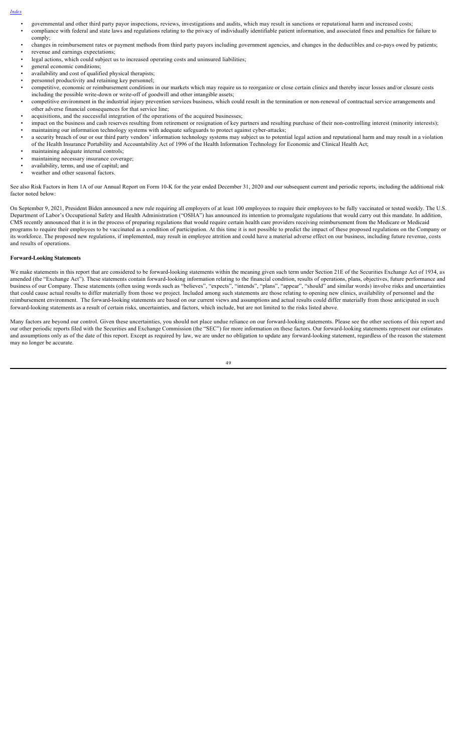- governmental and other third party payor inspections, reviews, investigations and audits, which may result in sanctions or reputational harm and increased costs; • compliance with federal and state laws and regulations relating to the privacy of individually identifiable patient information, and associated fines and penalties for failure to
- comply; • changes in reimbursement rates or payment methods from third party payors including government agencies, and changes in the deductibles and co-pays owed by patients; revenue and earnings expectations;
- legal actions, which could subject us to increased operating costs and uninsured liabilities;
- general economic conditions;
- availability and cost of qualified physical therapists; personnel productivity and retaining key personnel;
- competitive, economic or reimbursement conditions in our markets which may require us to reorganize or close certain clinics and thereby incur losses and/or closure costs including the possible write-down or write-off of goodwill and other intangible assets;
- competitive environment in the industrial injury prevention services business, which could result in the termination or non-renewal of contractual service arrangements and other adverse financial consequences for that service line;
- acquisitions, and the successful integration of the operations of the acquired businesses;
- impact on the business and cash reserves resulting from retirement or resignation of key partners and resulting purchase of their non-controlling interest (minority interests); • maintaining our information technology systems with adequate safeguards to protect against cyber-attacks;
- a security breach of our or our third party vendors' information technology systems may subject us to potential legal action and reputational harm and may result in a violation of the Health Insurance Portability and Accountability Act of 1996 of the Health Information Technology for Economic and Clinical Health Act;
- maintaining adequate internal controls;
- maintaining necessary insurance coverage;
- availability, terms, and use of capital; and
- weather and other seasonal factors.

See also Risk Factors in Item 1A of our Annual Report on Form 10-K for the year ended December 31, 2020 and our subsequent current and periodic reports, including the additional risk factor noted below:

On September 9, 2021, President Biden announced a new rule requiring all employers of at least 100 employees to require their employees to be fully vaccinated or tested weekly. The U.S. Department of Labor's Occupational Safety and Health Administration ("OSHA") has announced its intention to promulgate regulations that would carry out this mandate. In addition, CMS recently announced that it is in the process of preparing regulations that would require certain health care providers receiving reimbursement from the Medicare or Medicaid programs to require their employees to be vaccinated as a condition of participation. At this time it is not possible to predict the impact of these proposed regulations on the Company or its workforce. The proposed new regulations, if implemented, may result in employee attrition and could have a material adverse effect on our business, including future revenue, costs and results of operations.

### **Forward-Looking Statements**

We make statements in this report that are considered to be forward-looking statements within the meaning given such term under Section 21E of the Securities Exchange Act of 1934, as amended (the "Exchange Act"). These statements contain forward-looking information relating to the financial condition, results of operations, plans, objectives, future performance and business of our Company. These statements (often using words such as "believes", "expects", "intends", "plans", "appear", "should" and similar words) involve risks and uncertainties that could cause actual results to differ materially from those we project. Included among such statements are those relating to opening new clinics, availability of personnel and the reimbursement environment. The forward-looking statements are based on our current views and assumptions and actual results could differ materially from those anticipated in such forward-looking statements as a result of certain risks, uncertainties, and factors, which include, but are not limited to the risks listed above.

Many factors are beyond our control. Given these uncertainties, you should not place undue reliance on our forward-looking statements. Please see the other sections of this report and our other periodic reports filed with the Securities and Exchange Commission (the "SEC") for more information on these factors. Our forward-looking statements represent our estimates and assumptions only as of the date of this report. Except as required by law, we are under no obligation to update any forward-looking statement, regardless of the reason the statement may no longer be accurate.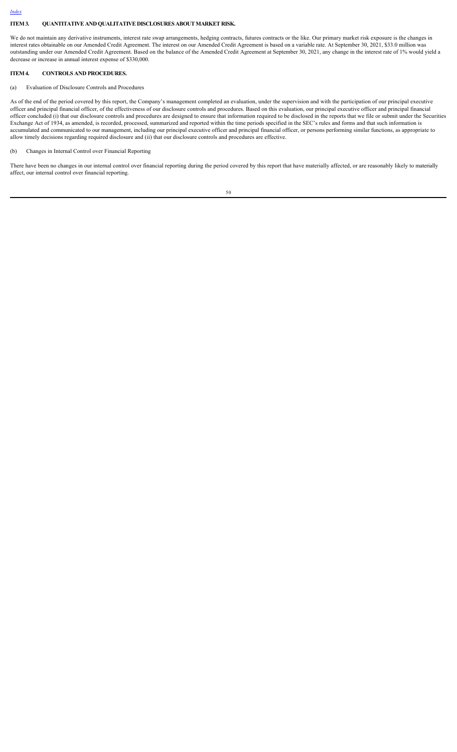#### <span id="page-49-0"></span>**ITEM 3. QUANTITATIVE AND QUALITATIVE DISCLOSURES ABOUT MARKET RISK.**

We do not maintain any derivative instruments, interest rate swap arrangements, hedging contracts, futures contracts or the like. Our primary market risk exposure is the changes in interest rates obtainable on our Amended Credit Agreement. The interest on our Amended Credit Agreement is based on a variable rate. At September 30, 2021, \$33.0 million was outstanding under our Amended Credit Agreement. Based on the balance of the Amended Credit Agreement at September 30, 2021, any change in the interest rate of 1% would yield a decrease or increase in annual interest expense of \$330,000.

### <span id="page-49-1"></span>**ITEM 4. CONTROLS AND PROCEDURES.**

(a) Evaluation of Disclosure Controls and Procedures

As of the end of the period covered by this report, the Company's management completed an evaluation, under the supervision and with the participation of our principal executive officer and principal financial officer, of the effectiveness of our disclosure controls and procedures. Based on this evaluation, our principal executive officer and principal financial officer concluded (i) that our disclosure controls and procedures are designed to ensure that information required to be disclosed in the reports that we file or submit under the Securities Exchange Act of 1934, as amended, is recorded, processed, summarized and reported within the time periods specified in the SEC's rules and forms and that such information is accumulated and communicated to our management, including our principal executive officer and principal financial officer, or persons performing similar functions, as appropriate to allow timely decisions regarding required disclosure and (ii) that our disclosure controls and procedures are effective.

### (b) Changes in Internal Control over Financial Reporting

There have been no changes in our internal control over financial reporting during the period covered by this report that have materially affected, or are reasonably likely to materially affect, our internal control over financial reporting.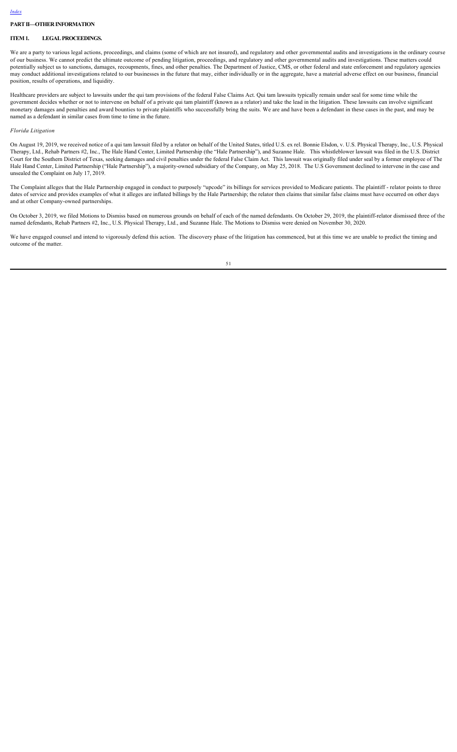### **PART II—OTHER INFORMATION**

### <span id="page-50-0"></span>**ITEM 1. LEGAL PROCEEDINGS.**

We are a party to various legal actions, proceedings, and claims (some of which are not insured), and regulatory and other governmental audits and investigations in the ordinary course of our business. We cannot predict the ultimate outcome of pending litigation, proceedings, and regulatory and other governmental audits and investigations. These matters could potentially subject us to sanctions, damages, recoupments, fines, and other penalties. The Department of Justice, CMS, or other federal and state enforcement and regulatory agencies may conduct additional investigations related to our businesses in the future that may, either individually or in the aggregate, have a material adverse effect on our business, financial position, results of operations, and liquidity.

Healthcare providers are subject to lawsuits under the qui tam provisions of the federal False Claims Act. Qui tam lawsuits typically remain under seal for some time while the government decides whether or not to intervene on behalf of a private qui tam plaintiff (known as a relator) and take the lead in the litigation. These lawsuits can involve significant monetary damages and penalties and award bounties to private plaintiffs who successfully bring the suits. We are and have been a defendant in these cases in the past, and may be named as a defendant in similar cases from time to time in the future.

### *Florida Litigation*

On August 19, 2019, we received notice of a qui tam lawsuit filed by a relator on behalf of the United States, titled U.S. ex rel. Bonnie Elsdon, v. U.S. Physical Therapy, Inc., U.S. Physical Therapy, Ltd., Rehab Partners #2, Inc., The Hale Hand Center, Limited Partnership (the "Hale Partnership"), and Suzanne Hale. This whistleblower lawsuit was filed in the U.S. District Court for the Southern District of Texas, seeking damages and civil penalties under the federal False Claim Act. This lawsuit was originally filed under seal by a former employee of The Hale Hand Center, Limited Partnership ("Hale Partnership"), a majority-owned subsidiary of the Company, on May 25, 2018. The U.S Government declined to intervene in the case and unsealed the Complaint on July 17, 2019.

The Complaint alleges that the Hale Partnership engaged in conduct to purposely "upcode" its billings for services provided to Medicare patients. The plaintiff - relator points to three dates of service and provides examples of what it alleges are inflated billings by the Hale Partnership; the relator then claims that similar false claims must have occurred on other days and at other Company-owned partnerships.

On October 3, 2019, we filed Motions to Dismiss based on numerous grounds on behalf of each of the named defendants. On October 29, 2019, the plaintiff-relator dismissed three of the named defendants, Rehab Partners #2, Inc., U.S. Physical Therapy, Ltd., and Suzanne Hale. The Motions to Dismiss were denied on November 30, 2020.

We have engaged counsel and intend to vigorously defend this action. The discovery phase of the litigation has commenced, but at this time we are unable to predict the timing and outcome of the matter.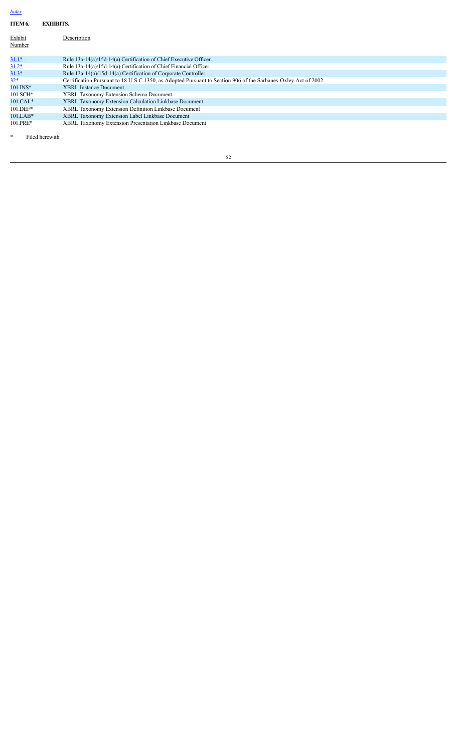# <span id="page-51-0"></span>**ITEM 6. EXHIBITS.**

| Exhibit<br>Number |                | Description                                                                                                    |
|-------------------|----------------|----------------------------------------------------------------------------------------------------------------|
| $31.1*$           |                | Rule 13a-14(a)/15d-14(a) Certification of Chief Executive Officer.                                             |
| $31.2*$           |                | Rule 13a-14(a)/15d-14(a) Certification of Chief Financial Officer.                                             |
| $31.3*$           |                | Rule 13a-14(a)/15d-14(a) Certification of Corporate Controller.                                                |
| $32*$             |                | Certification Pursuant to 18 U.S.C 1350, as Adopted Pursuant to Section 906 of the Sarbanes-Oxley Act of 2002. |
| $101.$ INS*       |                | <b>XBRL</b> Instance Document                                                                                  |
| $101.SCH*$        |                | XBRL Taxonomy Extension Schema Document                                                                        |
| $101.CAL*$        |                | XBRL Taxonomy Extension Calculation Linkbase Document                                                          |
| $101.$ DEF*       |                | XBRL Taxonomy Extension Definition Linkbase Document                                                           |
| $101.LAB*$        |                | XBRL Taxonomy Extension Label Linkbase Document                                                                |
| $101.PRE*$        |                | XBRL Taxonomy Extension Presentation Linkbase Document                                                         |
|                   |                |                                                                                                                |
| *                 | Filed herewith |                                                                                                                |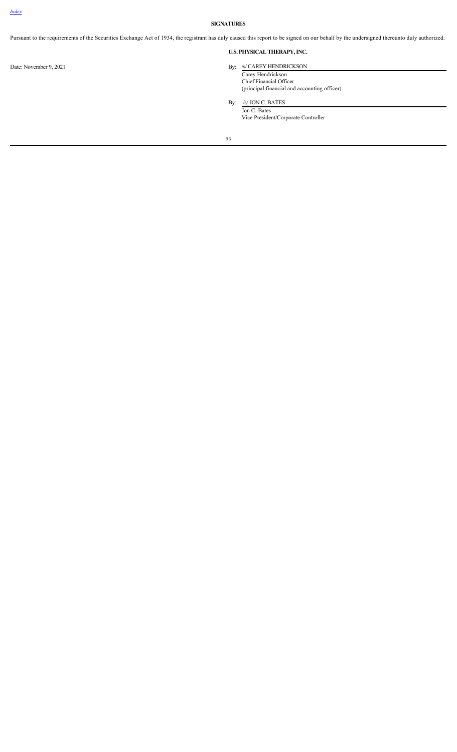### <span id="page-52-0"></span>**SIGNATURES**

Pursuant to the requirements of the Securities Exchange Act of 1934, the registrant has duly caused this report to be signed on our behalf by the undersigned thereunto duly authorized.

### **U.S. PHYSICAL THERAPY, INC.**

#### Date: November 9, 2021 By: /s/ CAREY HENDRICKSON

Carey Hendrickson Chief Financial Officer (principal financial and accounting officer)

By: /s/ JON C. BATES Jon C. Bates

Vice President/Corporate Controller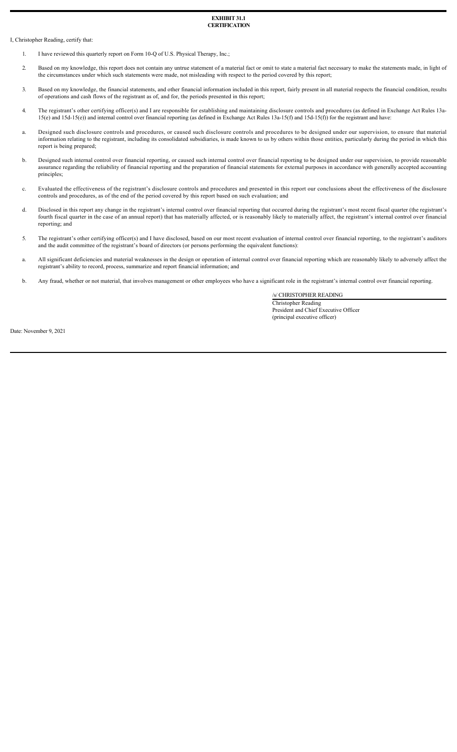I, Christopher Reading, certify that:

- 1. I have reviewed this quarterly report on Form 10-Q of U.S. Physical Therapy, Inc.;
- 2. Based on my knowledge, this report does not contain any untrue statement of a material fact or omit to state a material fact necessary to make the statements made, in light of the circumstances under which such statements were made, not misleading with respect to the period covered by this report;
- 3. Based on my knowledge, the financial statements, and other financial information included in this report, fairly present in all material respects the financial condition, results of operations and cash flows of the registrant as of, and for, the periods presented in this report;
- 4. The registrant's other certifying officer(s) and I are responsible for establishing and maintaining disclosure controls and procedures (as defined in Exchange Act Rules 13a-15(e) and 15d-15(e)) and internal control over financial reporting (as defined in Exchange Act Rules 13a-15(f) and 15d-15(f)) for the registrant and have:
- a. Designed such disclosure controls and procedures, or caused such disclosure controls and procedures to be designed under our supervision, to ensure that material information relating to the registrant, including its consolidated subsidiaries, is made known to us by others within those entities, particularly during the period in which this report is being prepared;
- b. Designed such internal control over financial reporting, or caused such internal control over financial reporting to be designed under our supervision, to provide reasonable assurance regarding the reliability of financial reporting and the preparation of financial statements for external purposes in accordance with generally accepted accounting principles;
- c. Evaluated the effectiveness of the registrant's disclosure controls and procedures and presented in this report our conclusions about the effectiveness of the disclosure controls and procedures, as of the end of the period covered by this report based on such evaluation; and
- d. Disclosed in this report any change in the registrant's internal control over financial reporting that occurred during the registrant's most recent fiscal quarter (the registrant's fourth fiscal quarter in the case of an annual report) that has materially affected, or is reasonably likely to materially affect, the registrant's internal control over financial reporting; and
- 5. The registrant's other certifying officer(s) and I have disclosed, based on our most recent evaluation of internal control over financial reporting, to the registrant's auditors and the audit committee of the registrant's board of directors (or persons performing the equivalent functions):
- a. All significant deficiencies and material weaknesses in the design or operation of internal control over financial reporting which are reasonably likely to adversely affect the registrant's ability to record, process, summarize and report financial information; and
- b. Any fraud, whether or not material, that involves management or other employees who have a significant role in the registrant's internal control over financial reporting.

/s/ CHRISTOPHER READING Christopher Reading President and Chief Executive Officer (principal executive officer)

Date: November 9, 2021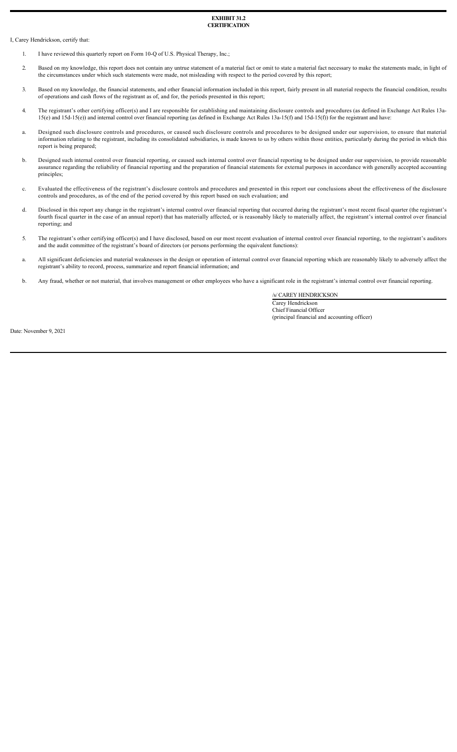I, Carey Hendrickson, certify that:

- 1. I have reviewed this quarterly report on Form 10-Q of U.S. Physical Therapy, Inc.;
- 2. Based on my knowledge, this report does not contain any untrue statement of a material fact or omit to state a material fact necessary to make the statements made, in light of the circumstances under which such statements were made, not misleading with respect to the period covered by this report;
- 3. Based on my knowledge, the financial statements, and other financial information included in this report, fairly present in all material respects the financial condition, results of operations and cash flows of the registrant as of, and for, the periods presented in this report;
- 4. The registrant's other certifying officer(s) and I are responsible for establishing and maintaining disclosure controls and procedures (as defined in Exchange Act Rules 13a-15(e) and 15d-15(e)) and internal control over financial reporting (as defined in Exchange Act Rules 13a-15(f) and 15d-15(f)) for the registrant and have:
- a. Designed such disclosure controls and procedures, or caused such disclosure controls and procedures to be designed under our supervision, to ensure that material information relating to the registrant, including its consolidated subsidiaries, is made known to us by others within those entities, particularly during the period in which this report is being prepared;
- b. Designed such internal control over financial reporting, or caused such internal control over financial reporting to be designed under our supervision, to provide reasonable assurance regarding the reliability of financial reporting and the preparation of financial statements for external purposes in accordance with generally accepted accounting principles;
- c. Evaluated the effectiveness of the registrant's disclosure controls and procedures and presented in this report our conclusions about the effectiveness of the disclosure controls and procedures, as of the end of the period covered by this report based on such evaluation; and
- d. Disclosed in this report any change in the registrant's internal control over financial reporting that occurred during the registrant's most recent fiscal quarter (the registrant's fourth fiscal quarter in the case of an annual report) that has materially affected, or is reasonably likely to materially affect, the registrant's internal control over financial reporting; and
- 5. The registrant's other certifying officer(s) and I have disclosed, based on our most recent evaluation of internal control over financial reporting, to the registrant's auditors and the audit committee of the registrant's board of directors (or persons performing the equivalent functions):
- a. All significant deficiencies and material weaknesses in the design or operation of internal control over financial reporting which are reasonably likely to adversely affect the registrant's ability to record, process, summarize and report financial information; and
- b. Any fraud, whether or not material, that involves management or other employees who have a significant role in the registrant's internal control over financial reporting.

/s/ CAREY HENDRICKSON Carey Hendrickson Chief Financial Officer (principal financial and accounting officer)

Date: November 9, 2021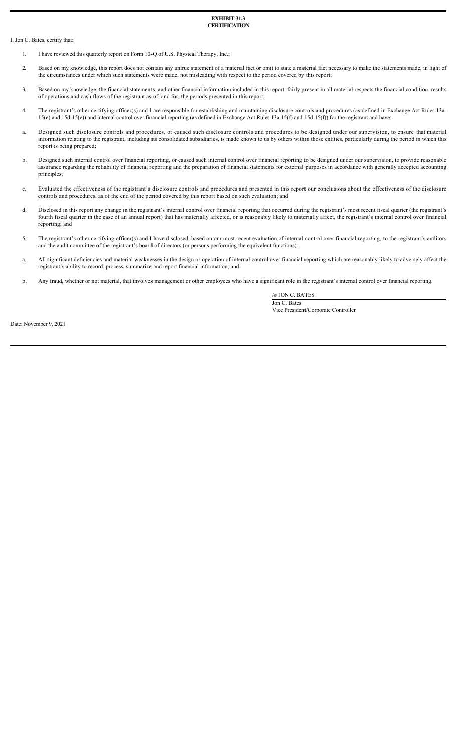I, Jon C. Bates, certify that:

- 1. I have reviewed this quarterly report on Form 10-Q of U.S. Physical Therapy, Inc.;
- 2. Based on my knowledge, this report does not contain any untrue statement of a material fact or omit to state a material fact necessary to make the statements made, in light of the circumstances under which such statements were made, not misleading with respect to the period covered by this report;
- 3. Based on my knowledge, the financial statements, and other financial information included in this report, fairly present in all material respects the financial condition, results of operations and cash flows of the registrant as of, and for, the periods presented in this report;
- 4. The registrant's other certifying officer(s) and I are responsible for establishing and maintaining disclosure controls and procedures (as defined in Exchange Act Rules 13a-15(e) and 15d-15(e)) and internal control over financial reporting (as defined in Exchange Act Rules 13a-15(f) and 15d-15(f)) for the registrant and have:
- a. Designed such disclosure controls and procedures, or caused such disclosure controls and procedures to be designed under our supervision, to ensure that material information relating to the registrant, including its consolidated subsidiaries, is made known to us by others within those entities, particularly during the period in which this report is being prepared;
- b. Designed such internal control over financial reporting, or caused such internal control over financial reporting to be designed under our supervision, to provide reasonable assurance regarding the reliability of financial reporting and the preparation of financial statements for external purposes in accordance with generally accepted accounting principles;
- c. Evaluated the effectiveness of the registrant's disclosure controls and procedures and presented in this report our conclusions about the effectiveness of the disclosure controls and procedures, as of the end of the period covered by this report based on such evaluation; and
- d. Disclosed in this report any change in the registrant's internal control over financial reporting that occurred during the registrant's most recent fiscal quarter (the registrant's fourth fiscal quarter in the case of an annual report) that has materially affected, or is reasonably likely to materially affect, the registrant's internal control over financial reporting; and
- 5. The registrant's other certifying officer(s) and I have disclosed, based on our most recent evaluation of internal control over financial reporting, to the registrant's auditors and the audit committee of the registrant's board of directors (or persons performing the equivalent functions):
- a. All significant deficiencies and material weaknesses in the design or operation of internal control over financial reporting which are reasonably likely to adversely affect the registrant's ability to record, process, summarize and report financial information; and
- b. Any fraud, whether or not material, that involves management or other employees who have a significant role in the registrant's internal control over financial reporting.

/s/ JON C. BATES Jon C. Bates Vice President/Corporate Controller

Date: November 9, 2021